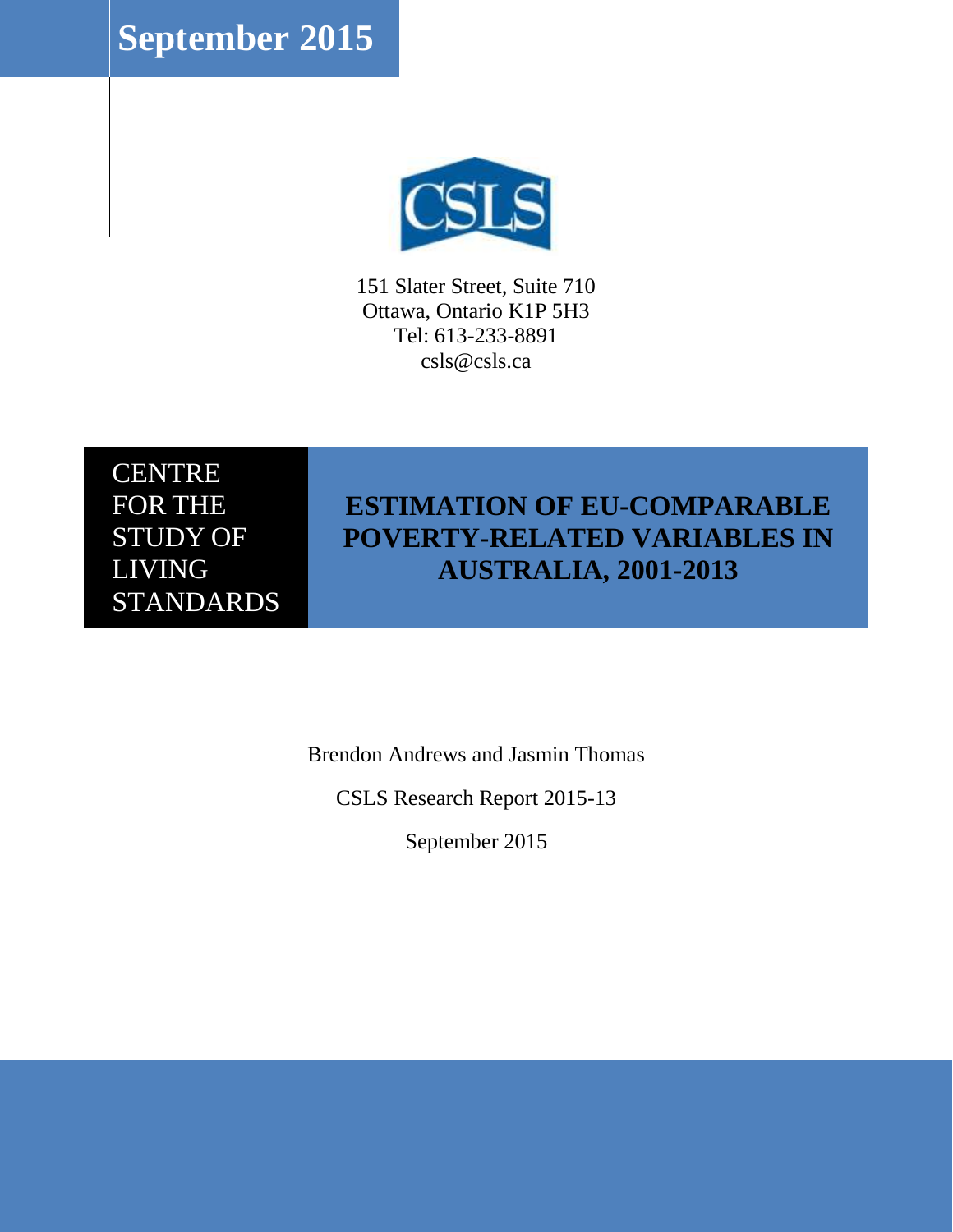**September 2015**



151 Slater Street, Suite 710 Ottawa, Ontario K1P 5H3 Tel: 613-233-8891 csls@csls.ca

CENTRE FOR THE STUDY OF LIVING **STANDARDS** 

## **ESTIMATION OF EU-COMPARABLE POVERTY-RELATED VARIABLES IN AUSTRALIA, 2001-2013**

Brendon Andrews and Jasmin Thomas

CSLS Research Report 2015-13

September 2015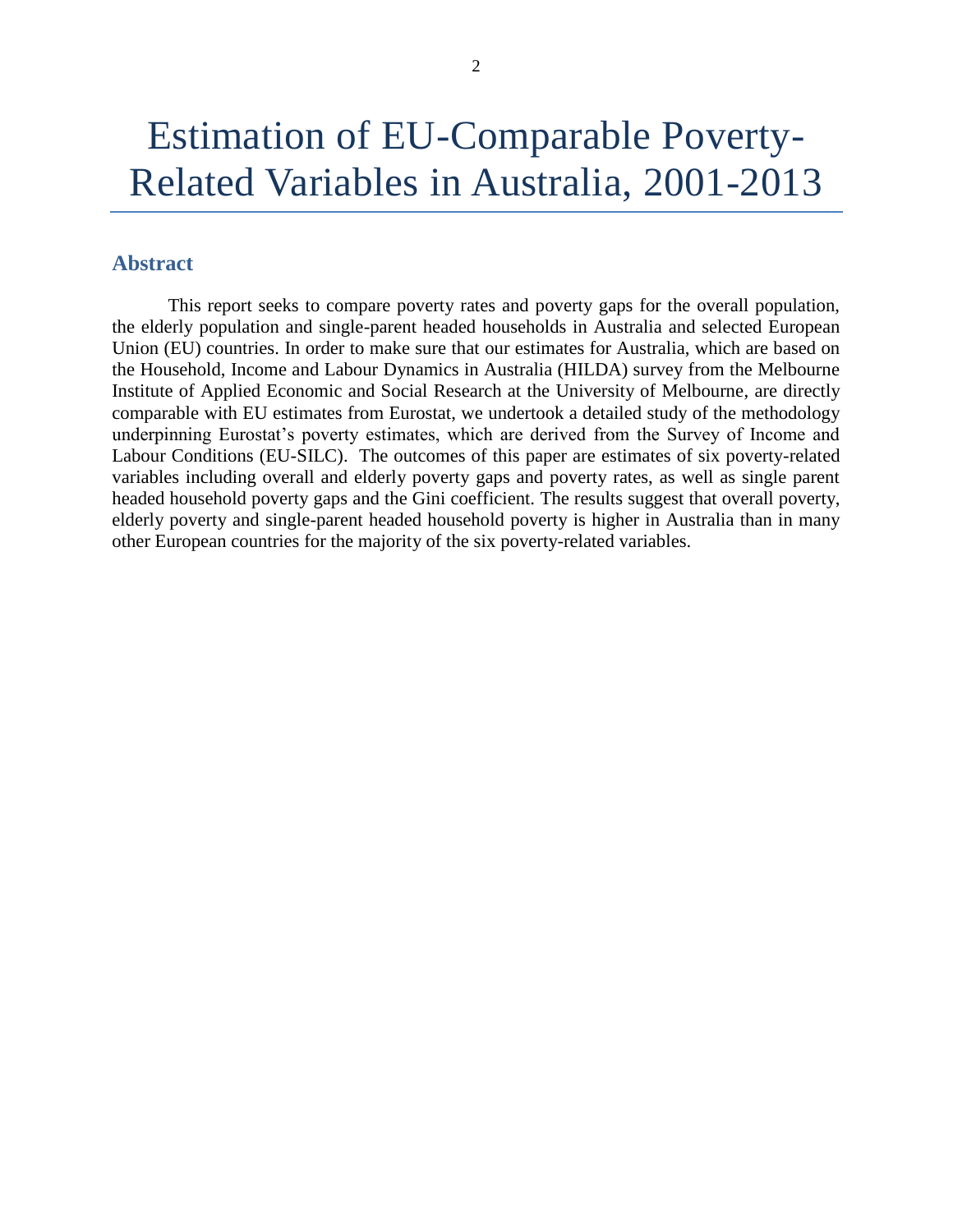## <span id="page-1-0"></span>**Abstract**

This report seeks to compare poverty rates and poverty gaps for the overall population, the elderly population and single-parent headed households in Australia and selected European Union (EU) countries. In order to make sure that our estimates for Australia, which are based on the Household, Income and Labour Dynamics in Australia (HILDA) survey from the Melbourne Institute of Applied Economic and Social Research at the University of Melbourne, are directly comparable with EU estimates from Eurostat, we undertook a detailed study of the methodology underpinning Eurostat's poverty estimates, which are derived from the Survey of Income and Labour Conditions (EU-SILC). The outcomes of this paper are estimates of six poverty-related variables including overall and elderly poverty gaps and poverty rates, as well as single parent headed household poverty gaps and the Gini coefficient. The results suggest that overall poverty, elderly poverty and single-parent headed household poverty is higher in Australia than in many other European countries for the majority of the six poverty-related variables.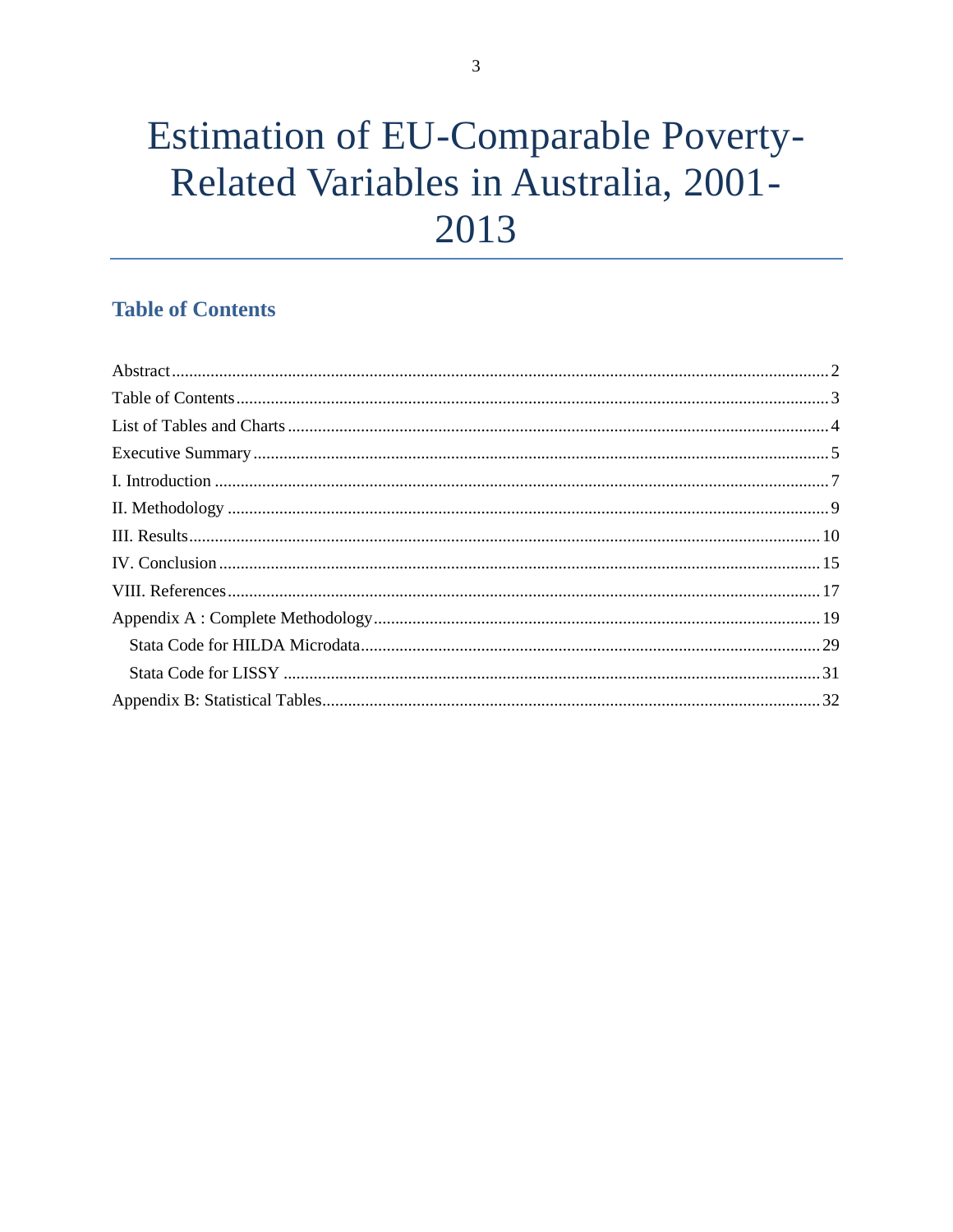## <span id="page-2-0"></span>**Table of Contents**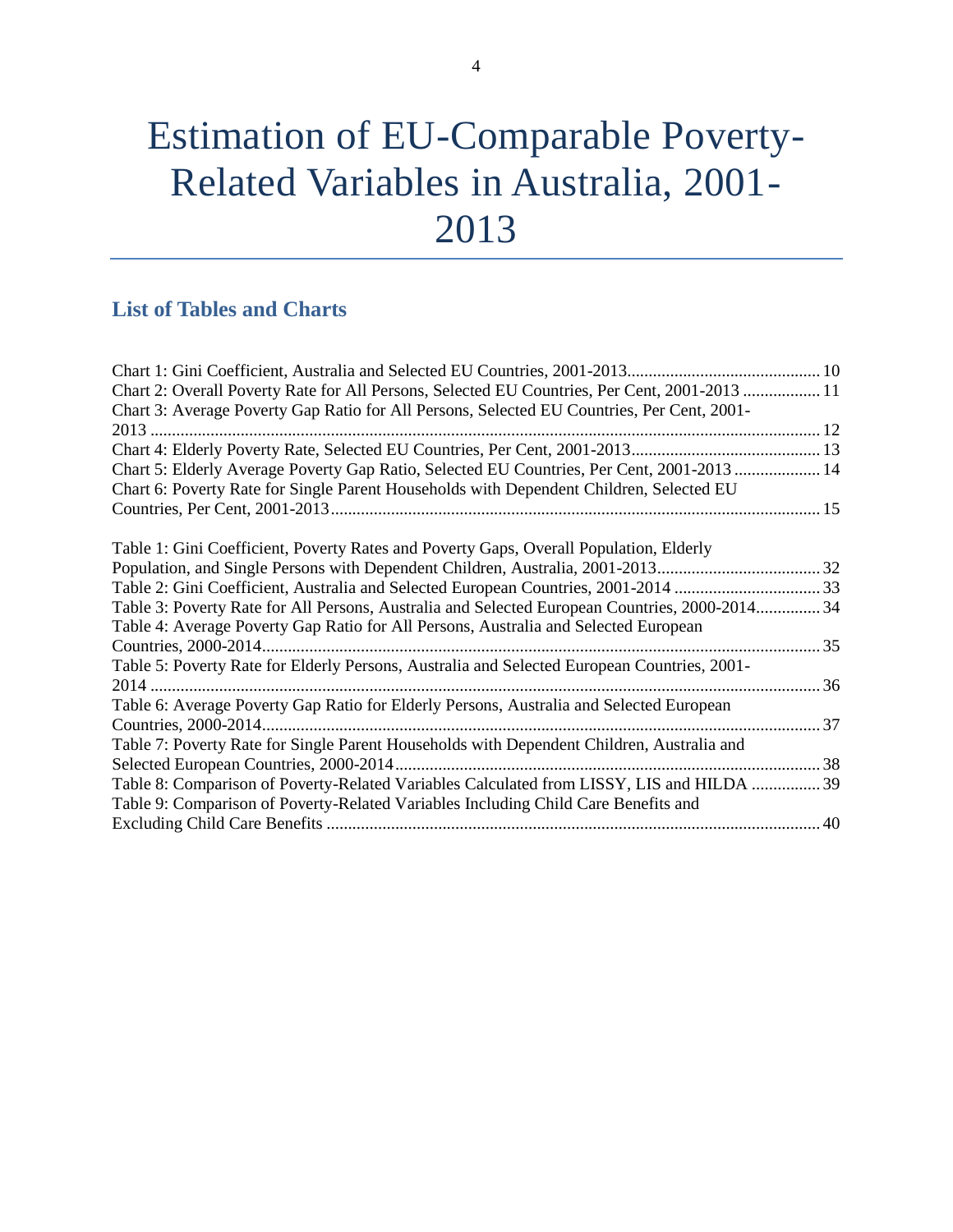## <span id="page-3-0"></span>**List of Tables and Charts**

| Chart 2: Overall Poverty Rate for All Persons, Selected EU Countries, Per Cent, 2001-2013  11  |  |
|------------------------------------------------------------------------------------------------|--|
| Chart 3: Average Poverty Gap Ratio for All Persons, Selected EU Countries, Per Cent, 2001-     |  |
|                                                                                                |  |
|                                                                                                |  |
| Chart 5: Elderly Average Poverty Gap Ratio, Selected EU Countries, Per Cent, 2001-2013  14     |  |
| Chart 6: Poverty Rate for Single Parent Households with Dependent Children, Selected EU        |  |
|                                                                                                |  |
|                                                                                                |  |
| Table 1: Gini Coefficient, Poverty Rates and Poverty Gaps, Overall Population, Elderly         |  |
|                                                                                                |  |
| Table 2: Gini Coefficient, Australia and Selected European Countries, 2001-2014 33             |  |
| Table 3: Poverty Rate for All Persons, Australia and Selected European Countries, 2000-2014 34 |  |
| Table 4: Average Poverty Gap Ratio for All Persons, Australia and Selected European            |  |
|                                                                                                |  |
| Table 5: Poverty Rate for Elderly Persons, Australia and Selected European Countries, 2001-    |  |
|                                                                                                |  |
| Table 6: Average Poverty Gap Ratio for Elderly Persons, Australia and Selected European        |  |
|                                                                                                |  |
| Table 7: Poverty Rate for Single Parent Households with Dependent Children, Australia and      |  |
|                                                                                                |  |
| Table 8: Comparison of Poverty-Related Variables Calculated from LISSY, LIS and HILDA  39      |  |
| Table 9: Comparison of Poverty-Related Variables Including Child Care Benefits and             |  |
|                                                                                                |  |
|                                                                                                |  |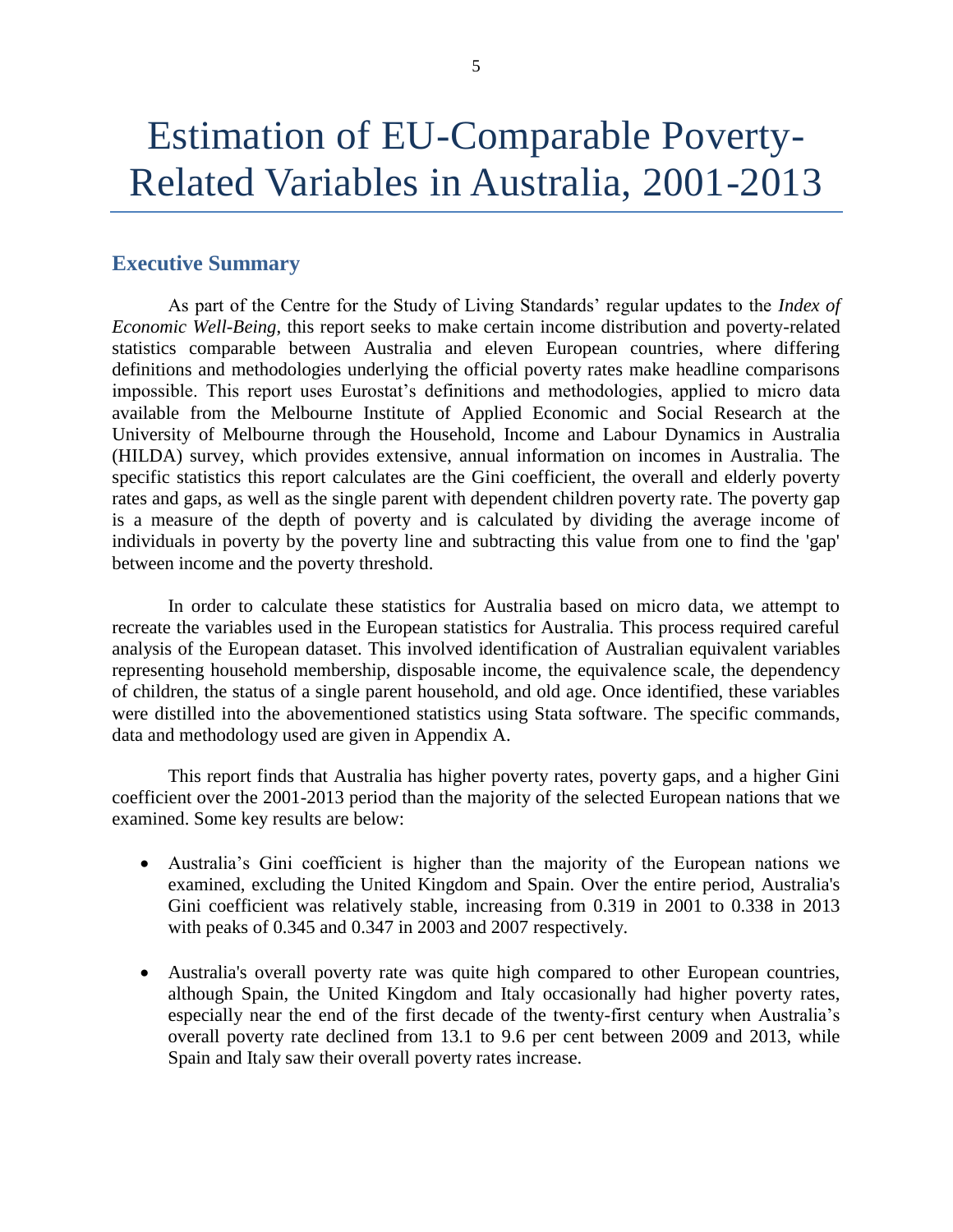## <span id="page-4-0"></span>**Executive Summary**

As part of the Centre for the Study of Living Standards' regular updates to the *Index of Economic Well-Being*, this report seeks to make certain income distribution and poverty-related statistics comparable between Australia and eleven European countries, where differing definitions and methodologies underlying the official poverty rates make headline comparisons impossible. This report uses Eurostat's definitions and methodologies, applied to micro data available from the Melbourne Institute of Applied Economic and Social Research at the University of Melbourne through the Household, Income and Labour Dynamics in Australia (HILDA) survey, which provides extensive, annual information on incomes in Australia. The specific statistics this report calculates are the Gini coefficient, the overall and elderly poverty rates and gaps, as well as the single parent with dependent children poverty rate. The poverty gap is a measure of the depth of poverty and is calculated by dividing the average income of individuals in poverty by the poverty line and subtracting this value from one to find the 'gap' between income and the poverty threshold.

In order to calculate these statistics for Australia based on micro data, we attempt to recreate the variables used in the European statistics for Australia. This process required careful analysis of the European dataset. This involved identification of Australian equivalent variables representing household membership, disposable income, the equivalence scale, the dependency of children, the status of a single parent household, and old age. Once identified, these variables were distilled into the abovementioned statistics using Stata software. The specific commands, data and methodology used are given in Appendix A.

This report finds that Australia has higher poverty rates, poverty gaps, and a higher Gini coefficient over the 2001-2013 period than the majority of the selected European nations that we examined. Some key results are below:

- Australia's Gini coefficient is higher than the majority of the European nations we examined, excluding the United Kingdom and Spain. Over the entire period, Australia's Gini coefficient was relatively stable, increasing from 0.319 in 2001 to 0.338 in 2013 with peaks of 0.345 and 0.347 in 2003 and 2007 respectively.
- Australia's overall poverty rate was quite high compared to other European countries, although Spain, the United Kingdom and Italy occasionally had higher poverty rates, especially near the end of the first decade of the twenty-first century when Australia's overall poverty rate declined from 13.1 to 9.6 per cent between 2009 and 2013, while Spain and Italy saw their overall poverty rates increase.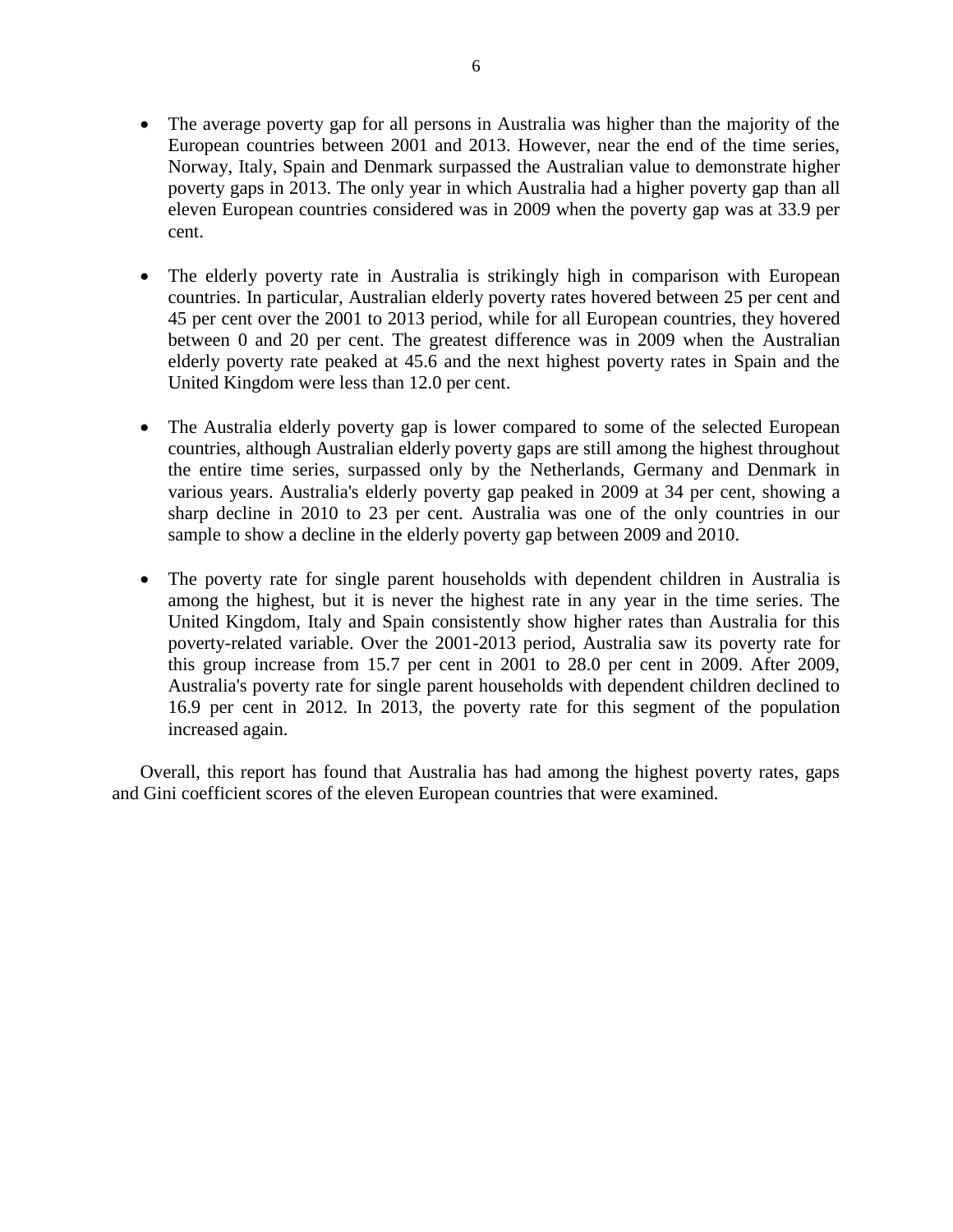- The average poverty gap for all persons in Australia was higher than the majority of the European countries between 2001 and 2013. However, near the end of the time series, Norway, Italy, Spain and Denmark surpassed the Australian value to demonstrate higher poverty gaps in 2013. The only year in which Australia had a higher poverty gap than all eleven European countries considered was in 2009 when the poverty gap was at 33.9 per cent.
- The elderly poverty rate in Australia is strikingly high in comparison with European countries. In particular, Australian elderly poverty rates hovered between 25 per cent and 45 per cent over the 2001 to 2013 period, while for all European countries, they hovered between 0 and 20 per cent. The greatest difference was in 2009 when the Australian elderly poverty rate peaked at 45.6 and the next highest poverty rates in Spain and the United Kingdom were less than 12.0 per cent.
- The Australia elderly poverty gap is lower compared to some of the selected European countries, although Australian elderly poverty gaps are still among the highest throughout the entire time series, surpassed only by the Netherlands, Germany and Denmark in various years. Australia's elderly poverty gap peaked in 2009 at 34 per cent, showing a sharp decline in 2010 to 23 per cent. Australia was one of the only countries in our sample to show a decline in the elderly poverty gap between 2009 and 2010.
- The poverty rate for single parent households with dependent children in Australia is among the highest, but it is never the highest rate in any year in the time series. The United Kingdom, Italy and Spain consistently show higher rates than Australia for this poverty-related variable. Over the 2001-2013 period, Australia saw its poverty rate for this group increase from 15.7 per cent in 2001 to 28.0 per cent in 2009. After 2009, Australia's poverty rate for single parent households with dependent children declined to 16.9 per cent in 2012. In 2013, the poverty rate for this segment of the population increased again.

Overall, this report has found that Australia has had among the highest poverty rates, gaps and Gini coefficient scores of the eleven European countries that were examined.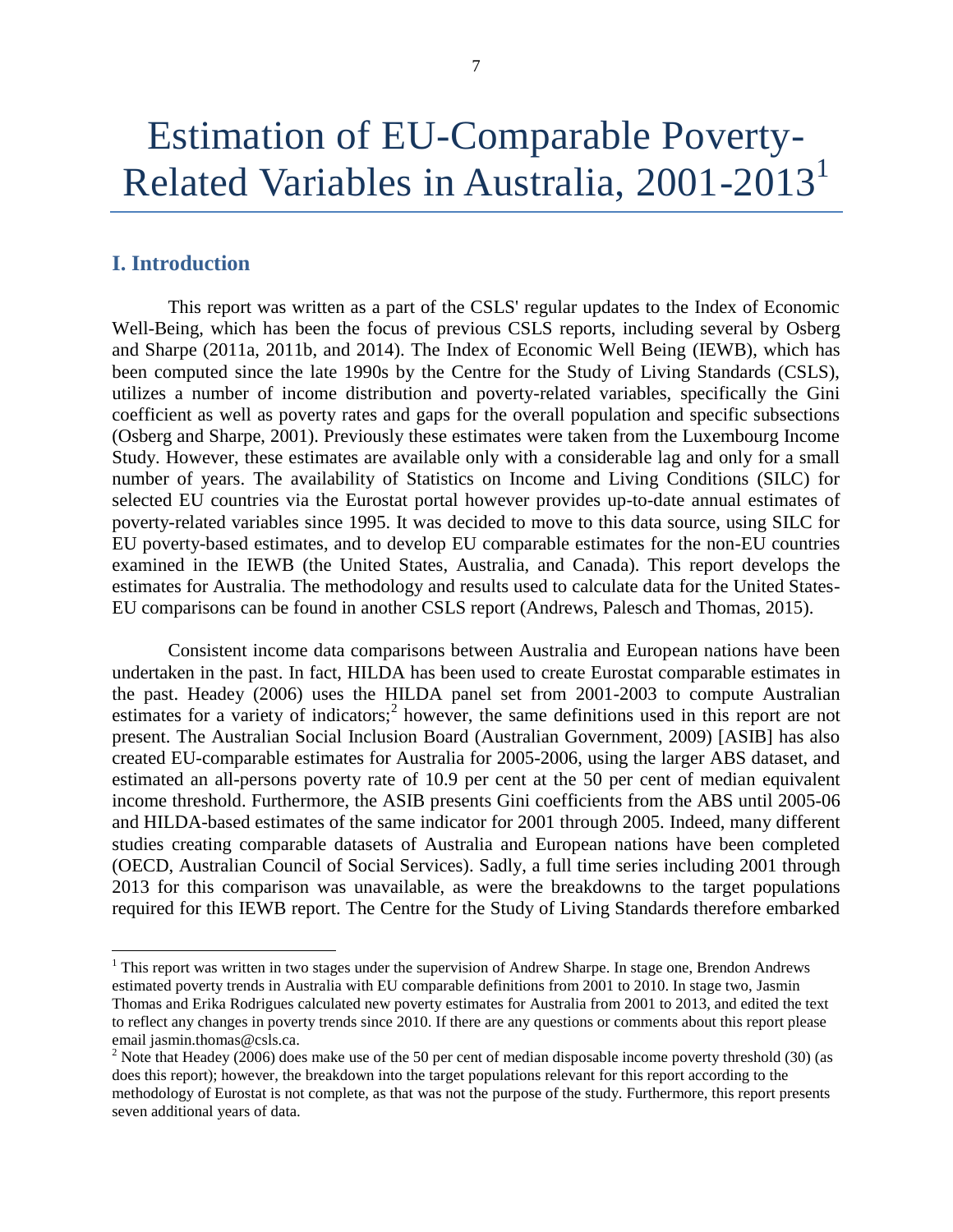## <span id="page-6-0"></span>**I. Introduction**

 $\overline{\phantom{a}}$ 

This report was written as a part of the CSLS' regular updates to the Index of Economic Well-Being, which has been the focus of previous CSLS reports, including several by Osberg and Sharpe (2011a, 2011b, and 2014). The Index of Economic Well Being (IEWB), which has been computed since the late 1990s by the Centre for the Study of Living Standards (CSLS), utilizes a number of income distribution and poverty-related variables, specifically the Gini coefficient as well as poverty rates and gaps for the overall population and specific subsections (Osberg and Sharpe, 2001). Previously these estimates were taken from the Luxembourg Income Study. However, these estimates are available only with a considerable lag and only for a small number of years. The availability of Statistics on Income and Living Conditions (SILC) for selected EU countries via the Eurostat portal however provides up-to-date annual estimates of poverty-related variables since 1995. It was decided to move to this data source, using SILC for EU poverty-based estimates, and to develop EU comparable estimates for the non-EU countries examined in the IEWB (the United States, Australia, and Canada). This report develops the estimates for Australia. The methodology and results used to calculate data for the United States-EU comparisons can be found in another CSLS report (Andrews, Palesch and Thomas, 2015).

Consistent income data comparisons between Australia and European nations have been undertaken in the past. In fact, HILDA has been used to create Eurostat comparable estimates in the past. Headey (2006) uses the HILDA panel set from 2001-2003 to compute Australian estimates for a variety of indicators;<sup>2</sup> however, the same definitions used in this report are not present. The Australian Social Inclusion Board (Australian Government, 2009) [ASIB] has also created EU-comparable estimates for Australia for 2005-2006, using the larger ABS dataset, and estimated an all-persons poverty rate of 10.9 per cent at the 50 per cent of median equivalent income threshold. Furthermore, the ASIB presents Gini coefficients from the ABS until 2005-06 and HILDA-based estimates of the same indicator for 2001 through 2005. Indeed, many different studies creating comparable datasets of Australia and European nations have been completed (OECD, Australian Council of Social Services). Sadly, a full time series including 2001 through 2013 for this comparison was unavailable, as were the breakdowns to the target populations required for this IEWB report. The Centre for the Study of Living Standards therefore embarked

 $1$  This report was written in two stages under the supervision of Andrew Sharpe. In stage one, Brendon Andrews estimated poverty trends in Australia with EU comparable definitions from 2001 to 2010. In stage two, Jasmin Thomas and Erika Rodrigues calculated new poverty estimates for Australia from 2001 to 2013, and edited the text to reflect any changes in poverty trends since 2010. If there are any questions or comments about this report please email jasmin.thomas@csls.ca.

 $2$  Note that Headey (2006) does make use of the 50 per cent of median disposable income poverty threshold (30) (as does this report); however, the breakdown into the target populations relevant for this report according to the methodology of Eurostat is not complete, as that was not the purpose of the study. Furthermore, this report presents seven additional years of data.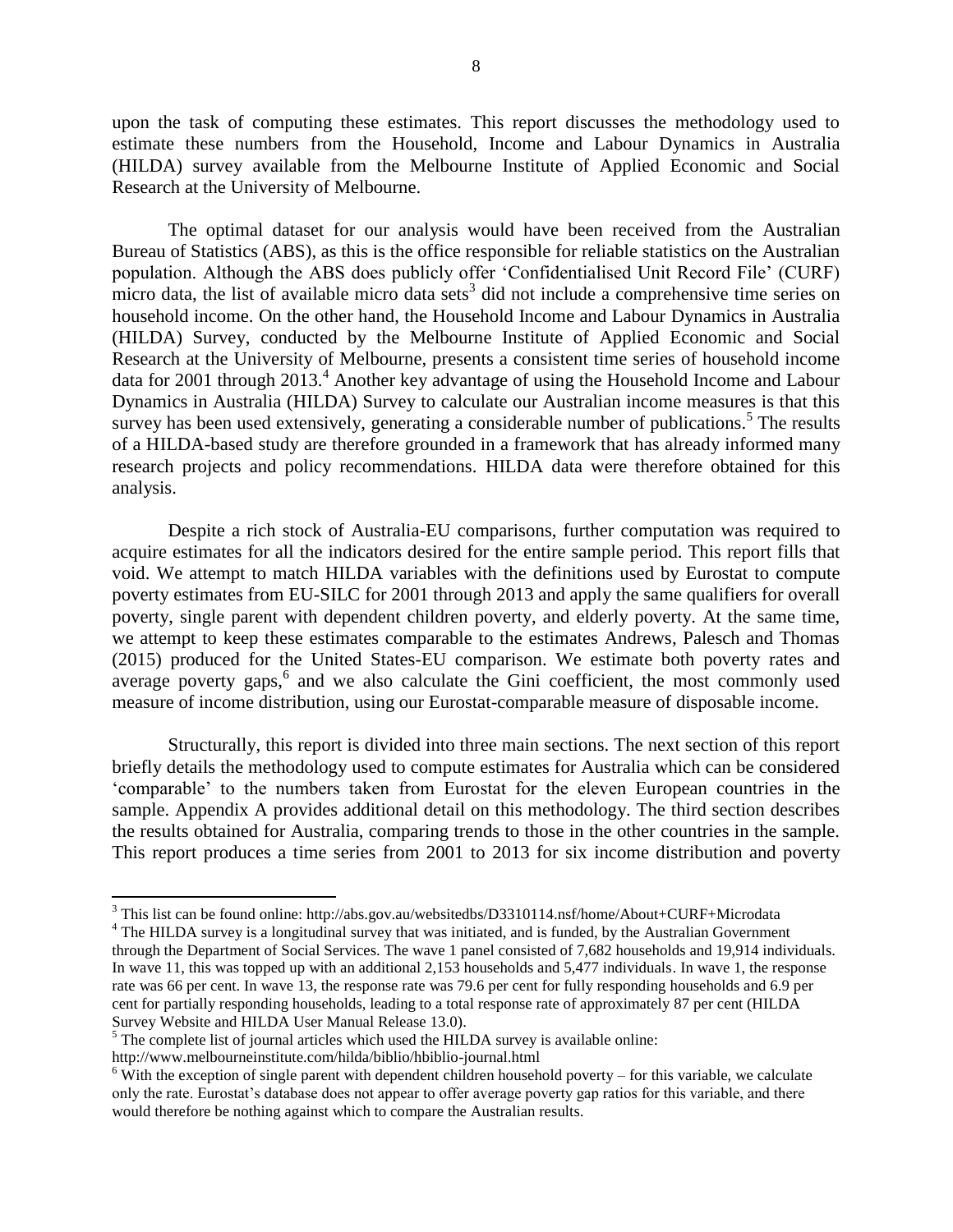upon the task of computing these estimates. This report discusses the methodology used to estimate these numbers from the Household, Income and Labour Dynamics in Australia (HILDA) survey available from the Melbourne Institute of Applied Economic and Social Research at the University of Melbourne.

The optimal dataset for our analysis would have been received from the Australian Bureau of Statistics (ABS), as this is the office responsible for reliable statistics on the Australian population. Although the ABS does publicly offer 'Confidentialised Unit Record File' (CURF) micro data, the list of available micro data sets<sup>3</sup> did not include a comprehensive time series on household income. On the other hand, the Household Income and Labour Dynamics in Australia (HILDA) Survey, conducted by the Melbourne Institute of Applied Economic and Social Research at the University of Melbourne, presents a consistent time series of household income data for 2001 through  $2013<sup>4</sup>$  Another key advantage of using the Household Income and Labour Dynamics in Australia (HILDA) Survey to calculate our Australian income measures is that this survey has been used extensively, generating a considerable number of publications.<sup>5</sup> The results of a HILDA-based study are therefore grounded in a framework that has already informed many research projects and policy recommendations. HILDA data were therefore obtained for this analysis.

Despite a rich stock of Australia-EU comparisons, further computation was required to acquire estimates for all the indicators desired for the entire sample period. This report fills that void. We attempt to match HILDA variables with the definitions used by Eurostat to compute poverty estimates from EU-SILC for 2001 through 2013 and apply the same qualifiers for overall poverty, single parent with dependent children poverty, and elderly poverty. At the same time, we attempt to keep these estimates comparable to the estimates Andrews, Palesch and Thomas (2015) produced for the United States-EU comparison. We estimate both poverty rates and average poverty gaps, $6$  and we also calculate the Gini coefficient, the most commonly used measure of income distribution, using our Eurostat-comparable measure of disposable income.

Structurally, this report is divided into three main sections. The next section of this report briefly details the methodology used to compute estimates for Australia which can be considered 'comparable' to the numbers taken from Eurostat for the eleven European countries in the sample. Appendix A provides additional detail on this methodology. The third section describes the results obtained for Australia, comparing trends to those in the other countries in the sample. This report produces a time series from 2001 to 2013 for six income distribution and poverty

 $\overline{a}$ 

<sup>3</sup> This list can be found online: http://abs.gov.au/websitedbs/D3310114.nsf/home/About+CURF+Microdata

<sup>&</sup>lt;sup>4</sup> The HILDA survey is a longitudinal survey that was initiated, and is funded, by the Australian Government through the Department of Social Services. The wave 1 panel consisted of 7,682 households and 19,914 individuals. In wave 11, this was topped up with an additional 2,153 households and 5,477 individuals. In wave 1, the response rate was 66 per cent. In wave 13, the response rate was 79.6 per cent for fully responding households and 6.9 per cent for partially responding households, leading to a total response rate of approximately 87 per cent (HILDA Survey Website and HILDA User Manual Release 13.0).

 $<sup>5</sup>$  The complete list of journal articles which used the HILDA survey is available online:</sup>

http://www.melbourneinstitute.com/hilda/biblio/hbiblio-journal.html

 $6$  With the exception of single parent with dependent children household poverty – for this variable, we calculate only the rate. Eurostat's database does not appear to offer average poverty gap ratios for this variable, and there would therefore be nothing against which to compare the Australian results.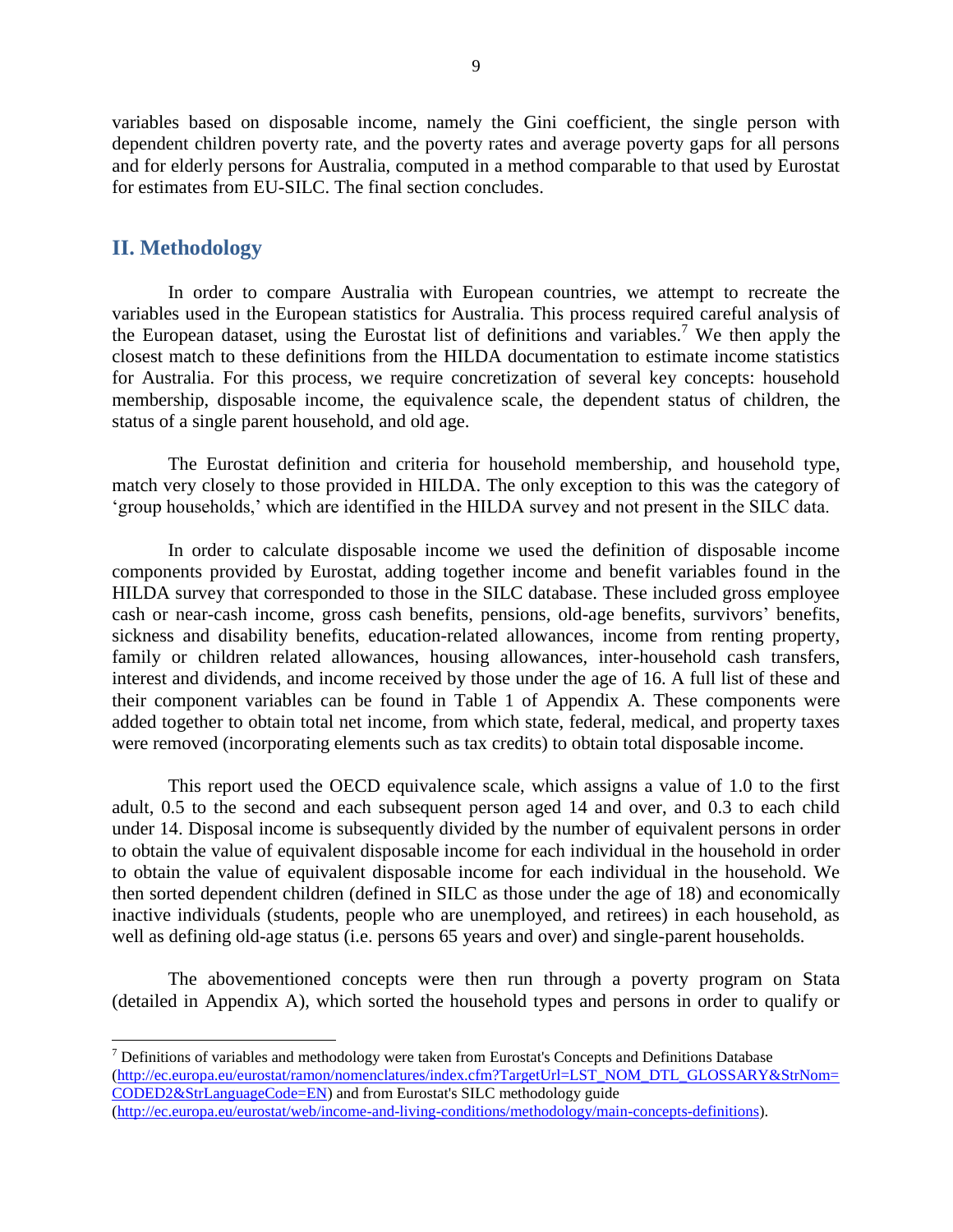variables based on disposable income, namely the Gini coefficient, the single person with dependent children poverty rate, and the poverty rates and average poverty gaps for all persons and for elderly persons for Australia, computed in a method comparable to that used by Eurostat for estimates from EU-SILC. The final section concludes.

### <span id="page-8-0"></span>**II. Methodology**

 $\overline{\phantom{a}}$ 

In order to compare Australia with European countries, we attempt to recreate the variables used in the European statistics for Australia. This process required careful analysis of the European dataset, using the Eurostat list of definitions and variables.<sup>7</sup> We then apply the closest match to these definitions from the HILDA documentation to estimate income statistics for Australia. For this process, we require concretization of several key concepts: household membership, disposable income, the equivalence scale, the dependent status of children, the status of a single parent household, and old age.

The Eurostat definition and criteria for household membership, and household type, match very closely to those provided in HILDA. The only exception to this was the category of 'group households,' which are identified in the HILDA survey and not present in the SILC data.

In order to calculate disposable income we used the definition of disposable income components provided by Eurostat, adding together income and benefit variables found in the HILDA survey that corresponded to those in the SILC database. These included gross employee cash or near-cash income, gross cash benefits, pensions, old-age benefits, survivors' benefits, sickness and disability benefits, education-related allowances, income from renting property, family or children related allowances, housing allowances, inter-household cash transfers, interest and dividends, and income received by those under the age of 16. A full list of these and their component variables can be found in Table 1 of Appendix A. These components were added together to obtain total net income, from which state, federal, medical, and property taxes were removed (incorporating elements such as tax credits) to obtain total disposable income.

This report used the OECD equivalence scale, which assigns a value of 1.0 to the first adult, 0.5 to the second and each subsequent person aged 14 and over, and 0.3 to each child under 14. Disposal income is subsequently divided by the number of equivalent persons in order to obtain the value of equivalent disposable income for each individual in the household in order to obtain the value of equivalent disposable income for each individual in the household. We then sorted dependent children (defined in SILC as those under the age of 18) and economically inactive individuals (students, people who are unemployed, and retirees) in each household, as well as defining old-age status (i.e. persons 65 years and over) and single-parent households.

The abovementioned concepts were then run through a poverty program on Stata (detailed in Appendix A), which sorted the household types and persons in order to qualify or

 $<sup>7</sup>$  Definitions of variables and methodology were taken from Eurostat's Concepts and Definitions Database</sup> [\(http://ec.europa.eu/eurostat/ramon/nomenclatures/index.cfm?TargetUrl=LST\\_NOM\\_DTL\\_GLOSSARY&StrNom=](http://ec.europa.eu/eurostat/ramon/nomenclatures/index.cfm?TargetUrl=LST_NOM_DTL_GLOSSARY&StrNom=CODED2&StrLanguageCode=EN) [CODED2&StrLanguageCode=EN\)](http://ec.europa.eu/eurostat/ramon/nomenclatures/index.cfm?TargetUrl=LST_NOM_DTL_GLOSSARY&StrNom=CODED2&StrLanguageCode=EN) and from Eurostat's SILC methodology guide [\(http://ec.europa.eu/eurostat/web/income-and-living-conditions/methodology/main-concepts-definitions\)](http://ec.europa.eu/eurostat/web/income-and-living-conditions/methodology/main-concepts-definitions).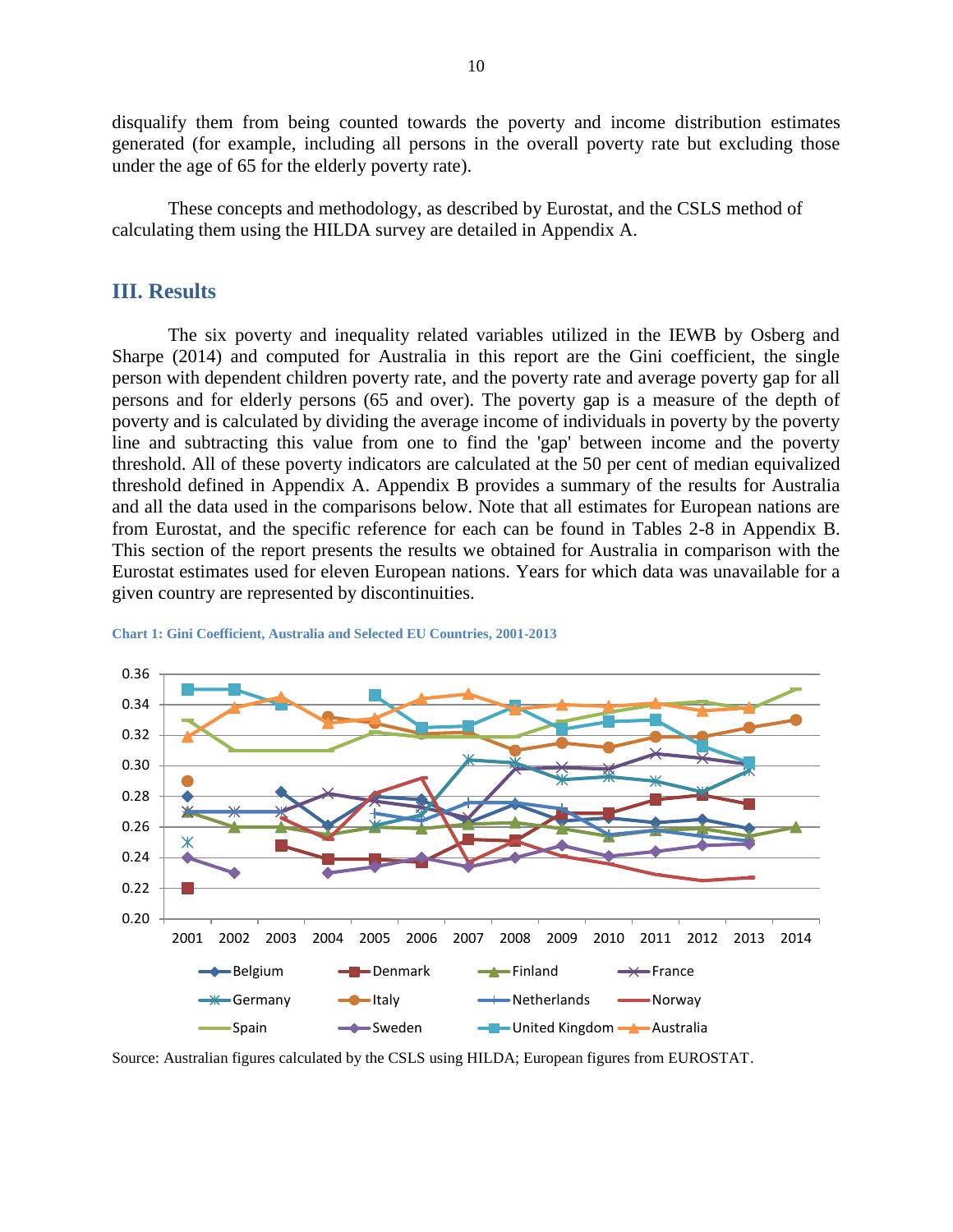disqualify them from being counted towards the poverty and income distribution estimates generated (for example, including all persons in the overall poverty rate but excluding those under the age of 65 for the elderly poverty rate).

<span id="page-9-0"></span>These concepts and methodology, as described by Eurostat, and the CSLS method of calculating them using the HILDA survey are detailed in Appendix A.

## **III. Results**

The six poverty and inequality related variables utilized in the IEWB by Osberg and Sharpe (2014) and computed for Australia in this report are the Gini coefficient, the single person with dependent children poverty rate, and the poverty rate and average poverty gap for all persons and for elderly persons (65 and over). The poverty gap is a measure of the depth of poverty and is calculated by dividing the average income of individuals in poverty by the poverty line and subtracting this value from one to find the 'gap' between income and the poverty threshold. All of these poverty indicators are calculated at the 50 per cent of median equivalized threshold defined in Appendix A. Appendix B provides a summary of the results for Australia and all the data used in the comparisons below. Note that all estimates for European nations are from Eurostat, and the specific reference for each can be found in Tables 2-8 in Appendix B. This section of the report presents the results we obtained for Australia in comparison with the Eurostat estimates used for eleven European nations. Years for which data was unavailable for a given country are represented by discontinuities.



<span id="page-9-1"></span>**Chart 1: Gini Coefficient, Australia and Selected EU Countries, 2001-2013**

Source: Australian figures calculated by the CSLS using HILDA; European figures from EUROSTAT.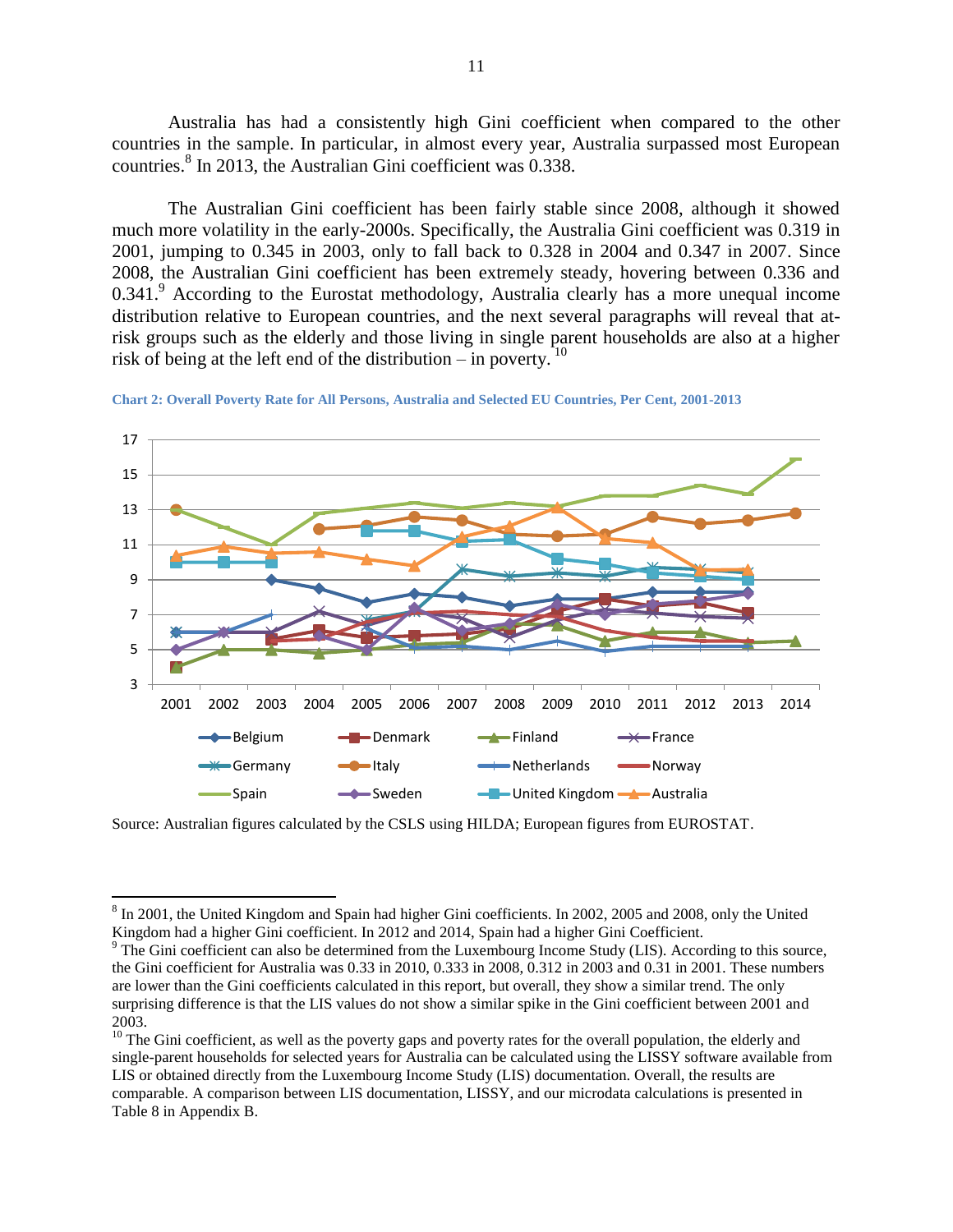Australia has had a consistently high Gini coefficient when compared to the other countries in the sample. In particular, in almost every year, Australia surpassed most European countries.<sup>8</sup> In 2013, the Australian Gini coefficient was 0.338.

The Australian Gini coefficient has been fairly stable since 2008, although it showed much more volatility in the early-2000s. Specifically, the Australia Gini coefficient was 0.319 in 2001, jumping to 0.345 in 2003, only to fall back to 0.328 in 2004 and 0.347 in 2007. Since 2008, the Australian Gini coefficient has been extremely steady, hovering between 0.336 and  $0.341<sup>9</sup>$  According to the Eurostat methodology, Australia clearly has a more unequal income distribution relative to European countries, and the next several paragraphs will reveal that atrisk groups such as the elderly and those living in single parent households are also at a higher risk of being at the left end of the distribution – in poverty. <sup>10</sup>

<span id="page-10-0"></span>



Source: Australian figures calculated by the CSLS using HILDA; European figures from EUROSTAT.

 $\overline{a}$ 

<sup>&</sup>lt;sup>8</sup> In 2001, the United Kingdom and Spain had higher Gini coefficients. In 2002, 2005 and 2008, only the United Kingdom had a higher Gini coefficient. In 2012 and 2014, Spain had a higher Gini Coefficient.

<sup>&</sup>lt;sup>9</sup> The Gini coefficient can also be determined from the Luxembourg Income Study (LIS). According to this source, the Gini coefficient for Australia was 0.33 in 2010, 0.333 in 2008, 0.312 in 2003 and 0.31 in 2001. These numbers are lower than the Gini coefficients calculated in this report, but overall, they show a similar trend. The only surprising difference is that the LIS values do not show a similar spike in the Gini coefficient between 2001 and 2003.

<sup>&</sup>lt;sup>10</sup> The Gini coefficient, as well as the poverty gaps and poverty rates for the overall population, the elderly and single-parent households for selected years for Australia can be calculated using the LISSY software available from LIS or obtained directly from the Luxembourg Income Study (LIS) documentation. Overall, the results are comparable. A comparison between LIS documentation, LISSY, and our microdata calculations is presented in [Table 8](#page-38-0) in Appendix B.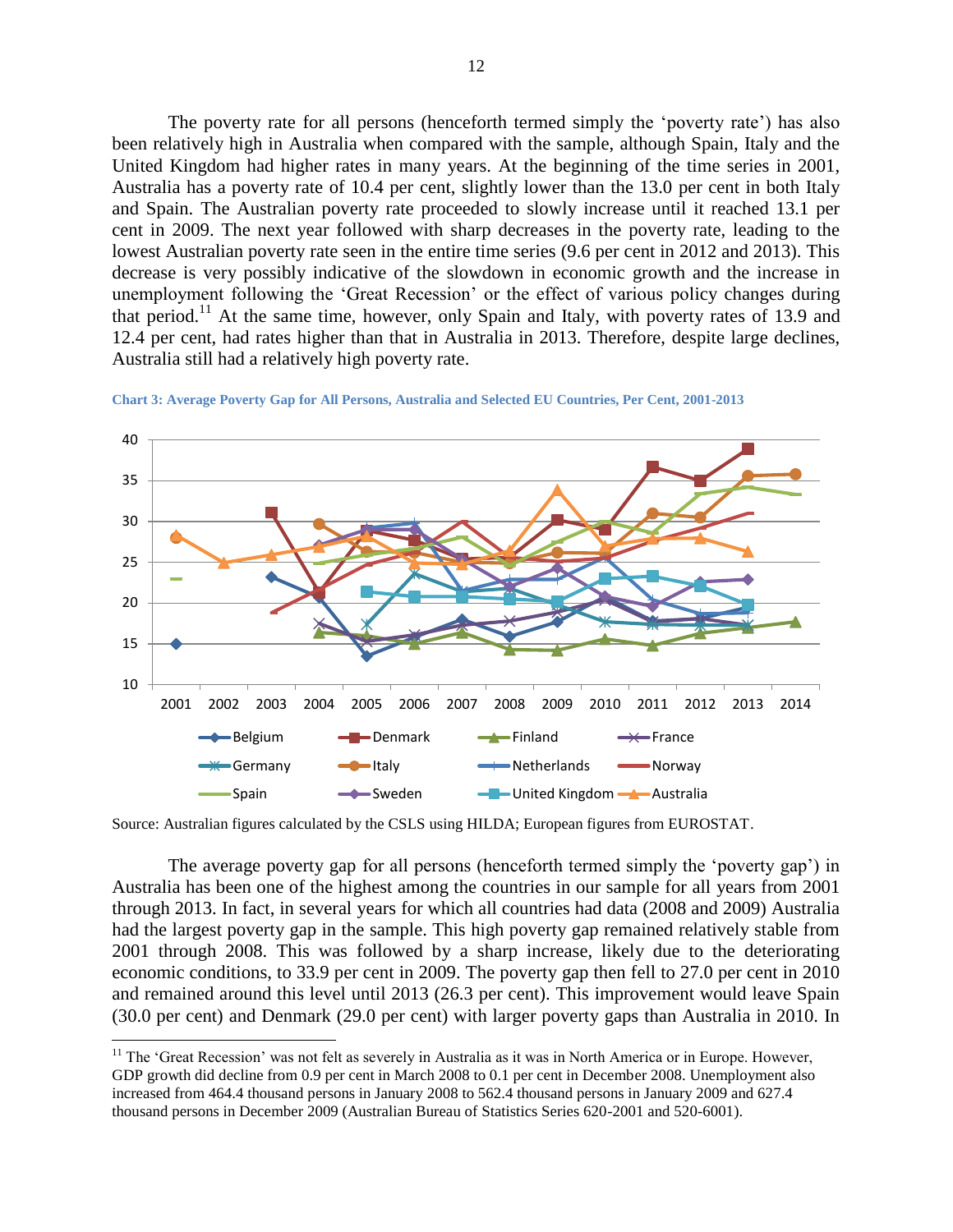The poverty rate for all persons (henceforth termed simply the 'poverty rate') has also been relatively high in Australia when compared with the sample, although Spain, Italy and the United Kingdom had higher rates in many years. At the beginning of the time series in 2001, Australia has a poverty rate of 10.4 per cent, slightly lower than the 13.0 per cent in both Italy and Spain. The Australian poverty rate proceeded to slowly increase until it reached 13.1 per cent in 2009. The next year followed with sharp decreases in the poverty rate, leading to the lowest Australian poverty rate seen in the entire time series (9.6 per cent in 2012 and 2013). This decrease is very possibly indicative of the slowdown in economic growth and the increase in unemployment following the 'Great Recession' or the effect of various policy changes during that period.<sup>11</sup> At the same time, however, only Spain and Italy, with poverty rates of 13.9 and 12.4 per cent, had rates higher than that in Australia in 2013. Therefore, despite large declines, Australia still had a relatively high poverty rate.



<span id="page-11-0"></span>**Chart 3: Average Poverty Gap for All Persons, Australia and Selected EU Countries, Per Cent, 2001-2013**

Source: Australian figures calculated by the CSLS using HILDA; European figures from EUROSTAT.

The average poverty gap for all persons (henceforth termed simply the 'poverty gap') in Australia has been one of the highest among the countries in our sample for all years from 2001 through 2013. In fact, in several years for which all countries had data (2008 and 2009) Australia had the largest poverty gap in the sample. This high poverty gap remained relatively stable from 2001 through 2008. This was followed by a sharp increase, likely due to the deteriorating economic conditions, to 33.9 per cent in 2009. The poverty gap then fell to 27.0 per cent in 2010 and remained around this level until 2013 (26.3 per cent). This improvement would leave Spain (30.0 per cent) and Denmark (29.0 per cent) with larger poverty gaps than Australia in 2010. In

 $\overline{\phantom{a}}$ 

<sup>&</sup>lt;sup>11</sup> The 'Great Recession' was not felt as severely in Australia as it was in North America or in Europe. However, GDP growth did decline from 0.9 per cent in March 2008 to 0.1 per cent in December 2008. Unemployment also increased from 464.4 thousand persons in January 2008 to 562.4 thousand persons in January 2009 and 627.4 thousand persons in December 2009 (Australian Bureau of Statistics Series 620-2001 and 520-6001).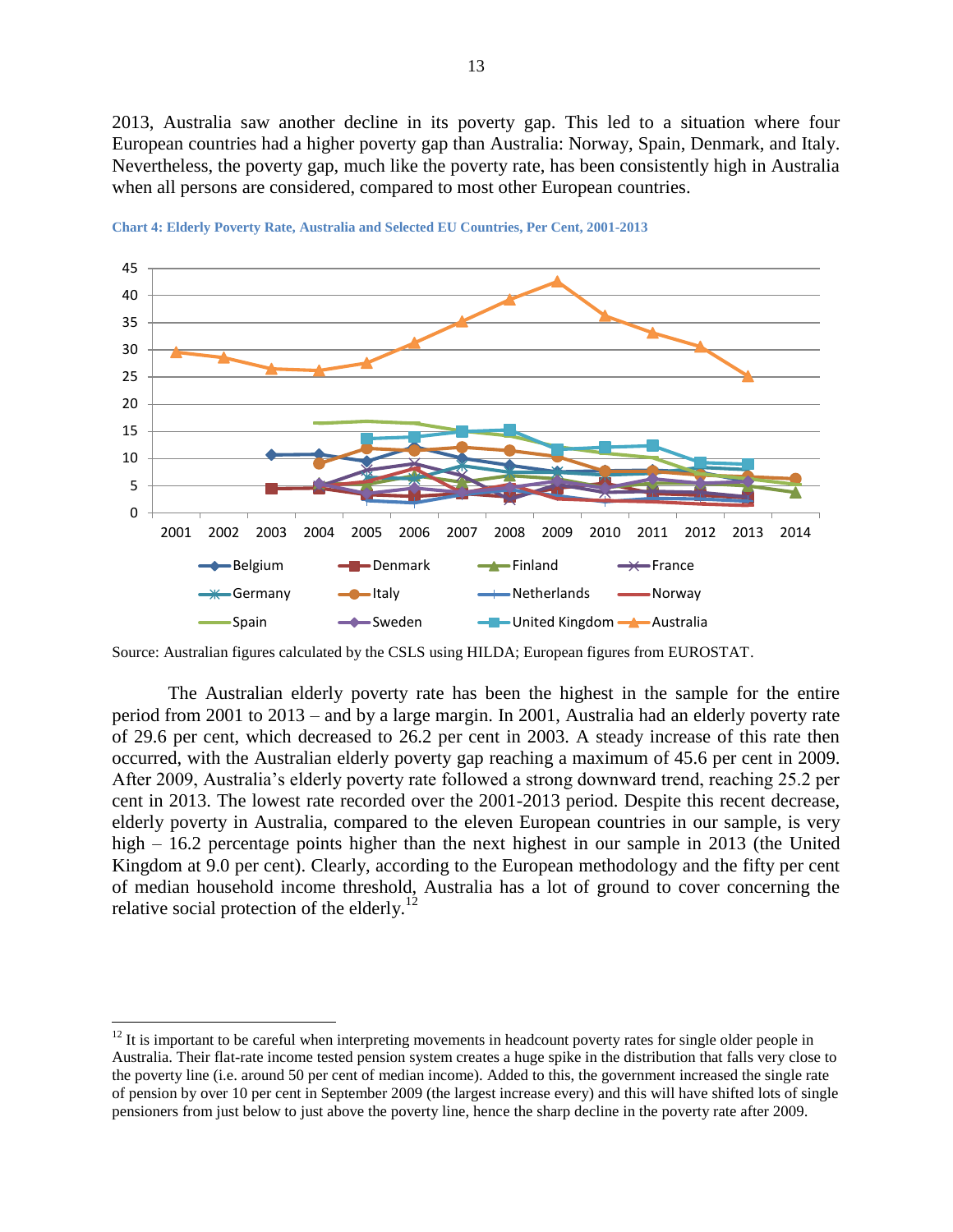2013, Australia saw another decline in its poverty gap. This led to a situation where four European countries had a higher poverty gap than Australia: Norway, Spain, Denmark, and Italy. Nevertheless, the poverty gap, much like the poverty rate, has been consistently high in Australia when all persons are considered, compared to most other European countries.



<span id="page-12-0"></span>**Chart 4: Elderly Poverty Rate, Australia and Selected EU Countries, Per Cent, 2001-2013**

Source: Australian figures calculated by the CSLS using HILDA; European figures from EUROSTAT.

The Australian elderly poverty rate has been the highest in the sample for the entire period from 2001 to 2013 – and by a large margin. In 2001, Australia had an elderly poverty rate of 29.6 per cent, which decreased to 26.2 per cent in 2003. A steady increase of this rate then occurred, with the Australian elderly poverty gap reaching a maximum of 45.6 per cent in 2009. After 2009, Australia's elderly poverty rate followed a strong downward trend, reaching 25.2 per cent in 2013. The lowest rate recorded over the 2001-2013 period. Despite this recent decrease, elderly poverty in Australia, compared to the eleven European countries in our sample, is very high – 16.2 percentage points higher than the next highest in our sample in 2013 (the United Kingdom at 9.0 per cent). Clearly, according to the European methodology and the fifty per cent of median household income threshold, Australia has a lot of ground to cover concerning the relative social protection of the elderly.<sup>12</sup>

 $\overline{a}$ 

 $12$  It is important to be careful when interpreting movements in headcount poverty rates for single older people in Australia. Their flat-rate income tested pension system creates a huge spike in the distribution that falls very close to the poverty line (i.e. around 50 per cent of median income). Added to this, the government increased the single rate of pension by over 10 per cent in September 2009 (the largest increase every) and this will have shifted lots of single pensioners from just below to just above the poverty line, hence the sharp decline in the poverty rate after 2009.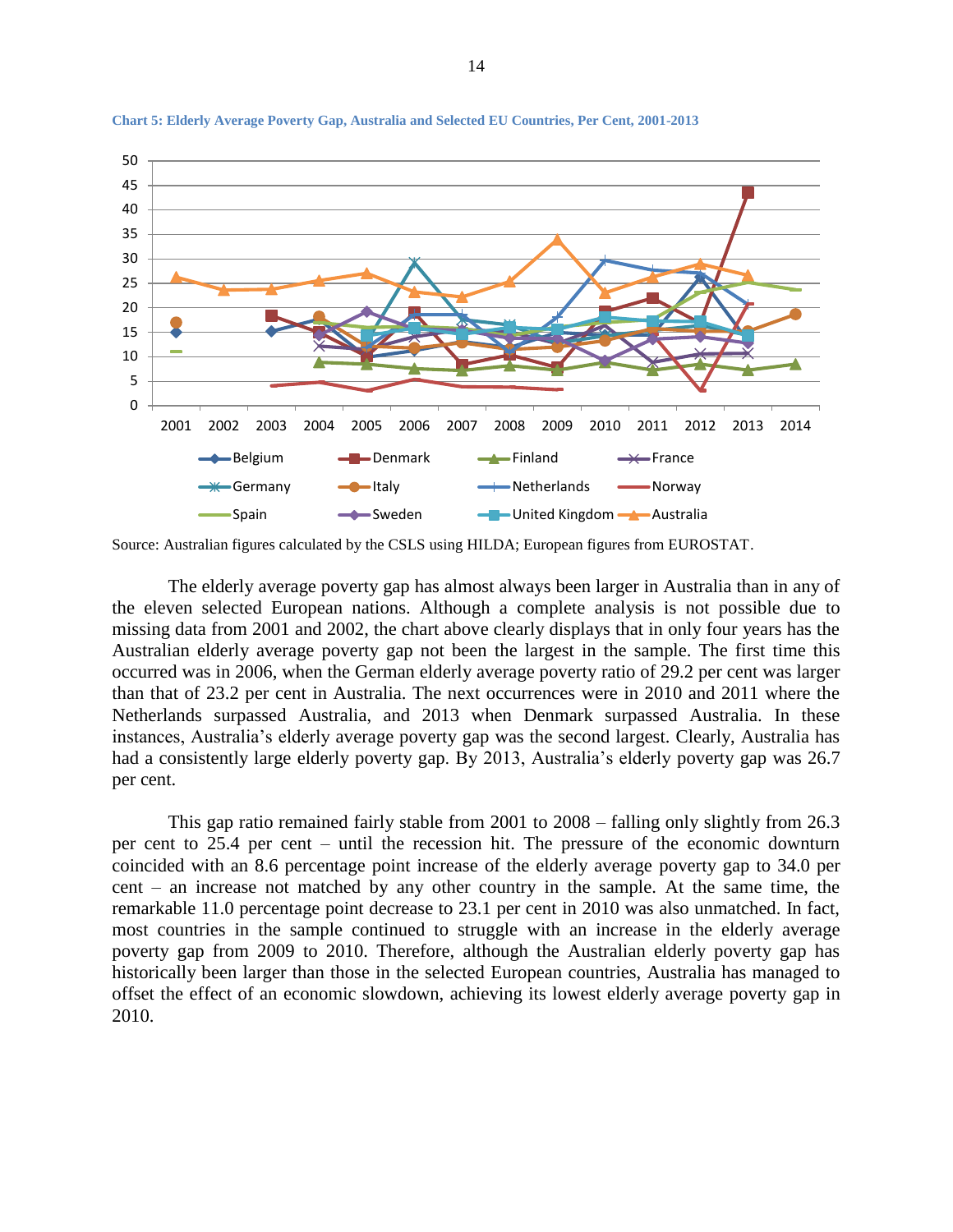

<span id="page-13-0"></span>**Chart 5: Elderly Average Poverty Gap, Australia and Selected EU Countries, Per Cent, 2001-2013**

Source: Australian figures calculated by the CSLS using HILDA; European figures from EUROSTAT.

The elderly average poverty gap has almost always been larger in Australia than in any of the eleven selected European nations. Although a complete analysis is not possible due to missing data from 2001 and 2002, the chart above clearly displays that in only four years has the Australian elderly average poverty gap not been the largest in the sample. The first time this occurred was in 2006, when the German elderly average poverty ratio of 29.2 per cent was larger than that of 23.2 per cent in Australia. The next occurrences were in 2010 and 2011 where the Netherlands surpassed Australia, and 2013 when Denmark surpassed Australia. In these instances, Australia's elderly average poverty gap was the second largest. Clearly, Australia has had a consistently large elderly poverty gap. By 2013, Australia's elderly poverty gap was 26.7 per cent.

This gap ratio remained fairly stable from 2001 to 2008 – falling only slightly from 26.3 per cent to 25.4 per cent – until the recession hit. The pressure of the economic downturn coincided with an 8.6 percentage point increase of the elderly average poverty gap to 34.0 per cent – an increase not matched by any other country in the sample. At the same time, the remarkable 11.0 percentage point decrease to 23.1 per cent in 2010 was also unmatched. In fact, most countries in the sample continued to struggle with an increase in the elderly average poverty gap from 2009 to 2010. Therefore, although the Australian elderly poverty gap has historically been larger than those in the selected European countries, Australia has managed to offset the effect of an economic slowdown, achieving its lowest elderly average poverty gap in 2010.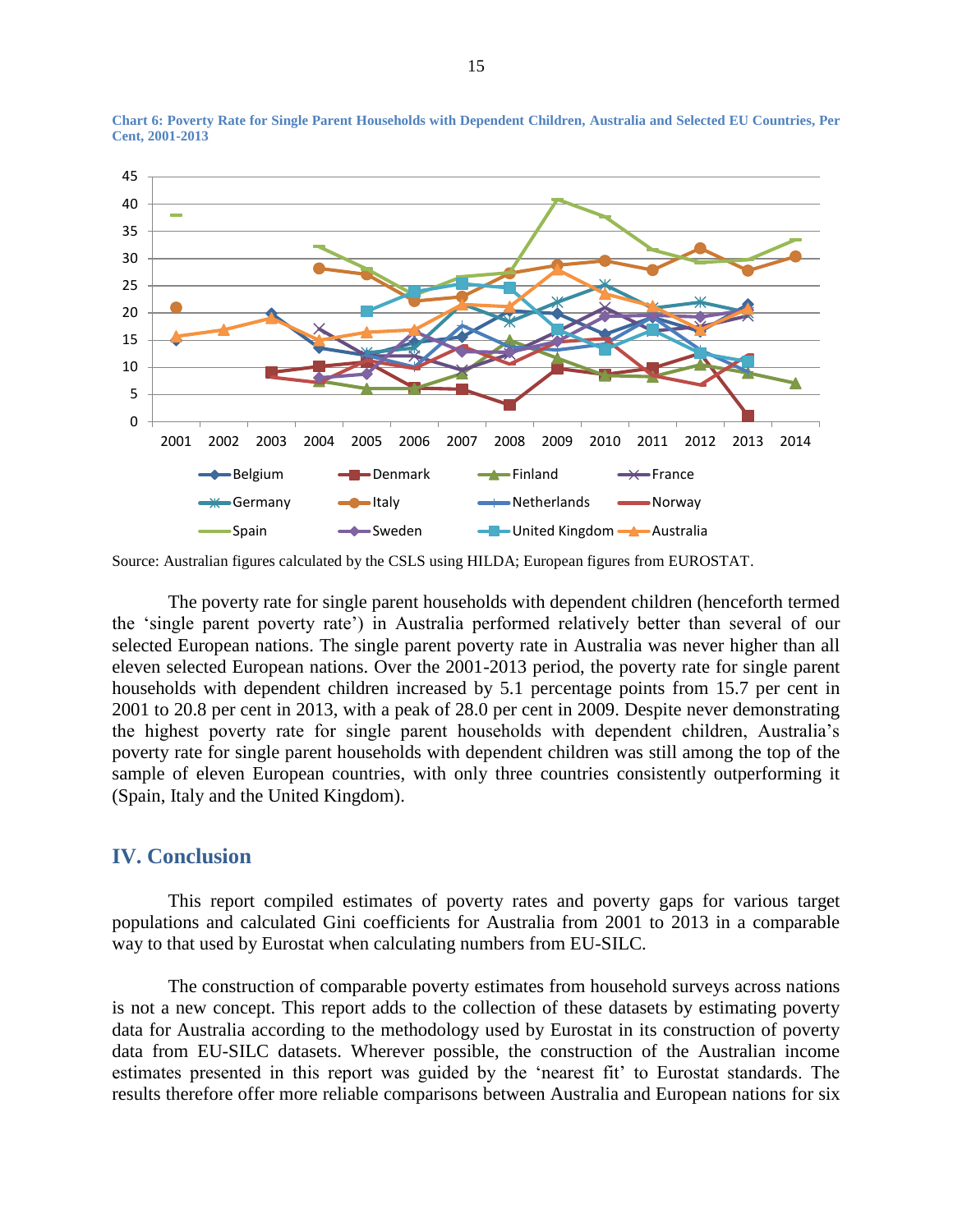

<span id="page-14-1"></span>**Chart 6: Poverty Rate for Single Parent Households with Dependent Children, Australia and Selected EU Countries, Per Cent, 2001-2013**

Source: Australian figures calculated by the CSLS using HILDA; European figures from EUROSTAT.

The poverty rate for single parent households with dependent children (henceforth termed the 'single parent poverty rate') in Australia performed relatively better than several of our selected European nations. The single parent poverty rate in Australia was never higher than all eleven selected European nations. Over the 2001-2013 period, the poverty rate for single parent households with dependent children increased by 5.1 percentage points from 15.7 per cent in 2001 to 20.8 per cent in 2013, with a peak of 28.0 per cent in 2009. Despite never demonstrating the highest poverty rate for single parent households with dependent children, Australia's poverty rate for single parent households with dependent children was still among the top of the sample of eleven European countries, with only three countries consistently outperforming it (Spain, Italy and the United Kingdom).

### <span id="page-14-0"></span>**IV. Conclusion**

This report compiled estimates of poverty rates and poverty gaps for various target populations and calculated Gini coefficients for Australia from 2001 to 2013 in a comparable way to that used by Eurostat when calculating numbers from EU-SILC.

The construction of comparable poverty estimates from household surveys across nations is not a new concept. This report adds to the collection of these datasets by estimating poverty data for Australia according to the methodology used by Eurostat in its construction of poverty data from EU-SILC datasets. Wherever possible, the construction of the Australian income estimates presented in this report was guided by the 'nearest fit' to Eurostat standards. The results therefore offer more reliable comparisons between Australia and European nations for six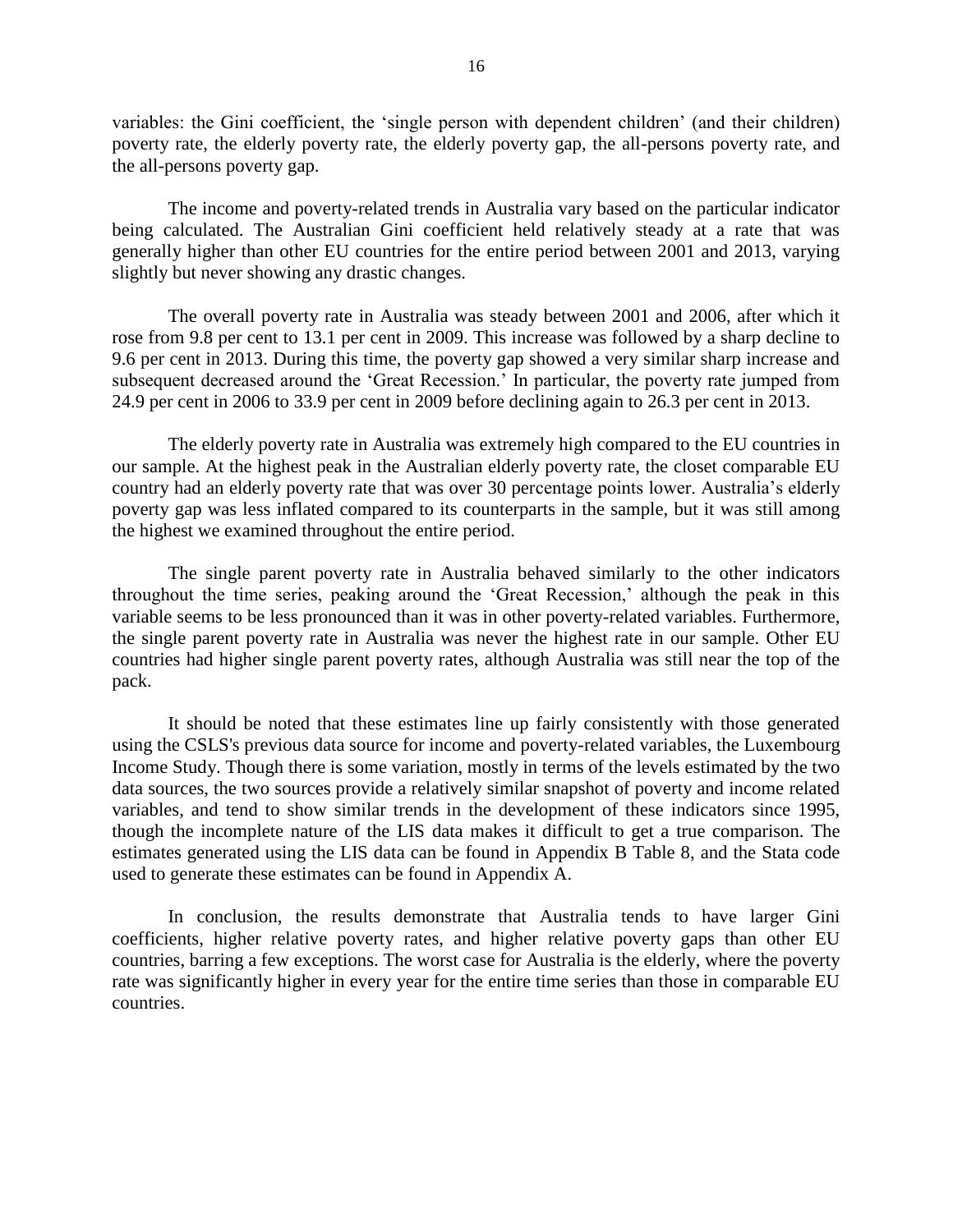variables: the Gini coefficient, the 'single person with dependent children' (and their children) poverty rate, the elderly poverty rate, the elderly poverty gap, the all-persons poverty rate, and the all-persons poverty gap.

The income and poverty-related trends in Australia vary based on the particular indicator being calculated. The Australian Gini coefficient held relatively steady at a rate that was generally higher than other EU countries for the entire period between 2001 and 2013, varying slightly but never showing any drastic changes.

The overall poverty rate in Australia was steady between 2001 and 2006, after which it rose from 9.8 per cent to 13.1 per cent in 2009. This increase was followed by a sharp decline to 9.6 per cent in 2013. During this time, the poverty gap showed a very similar sharp increase and subsequent decreased around the 'Great Recession.' In particular, the poverty rate jumped from 24.9 per cent in 2006 to 33.9 per cent in 2009 before declining again to 26.3 per cent in 2013.

The elderly poverty rate in Australia was extremely high compared to the EU countries in our sample. At the highest peak in the Australian elderly poverty rate, the closet comparable EU country had an elderly poverty rate that was over 30 percentage points lower. Australia's elderly poverty gap was less inflated compared to its counterparts in the sample, but it was still among the highest we examined throughout the entire period.

The single parent poverty rate in Australia behaved similarly to the other indicators throughout the time series, peaking around the 'Great Recession,' although the peak in this variable seems to be less pronounced than it was in other poverty-related variables. Furthermore, the single parent poverty rate in Australia was never the highest rate in our sample. Other EU countries had higher single parent poverty rates, although Australia was still near the top of the pack.

It should be noted that these estimates line up fairly consistently with those generated using the CSLS's previous data source for income and poverty-related variables, the Luxembourg Income Study. Though there is some variation, mostly in terms of the levels estimated by the two data sources, the two sources provide a relatively similar snapshot of poverty and income related variables, and tend to show similar trends in the development of these indicators since 1995, though the incomplete nature of the LIS data makes it difficult to get a true comparison. The estimates generated using the LIS data can be found in Appendix B Table 8, and the Stata code used to generate these estimates can be found in Appendix A.

In conclusion, the results demonstrate that Australia tends to have larger Gini coefficients, higher relative poverty rates, and higher relative poverty gaps than other EU countries, barring a few exceptions. The worst case for Australia is the elderly, where the poverty rate was significantly higher in every year for the entire time series than those in comparable EU countries.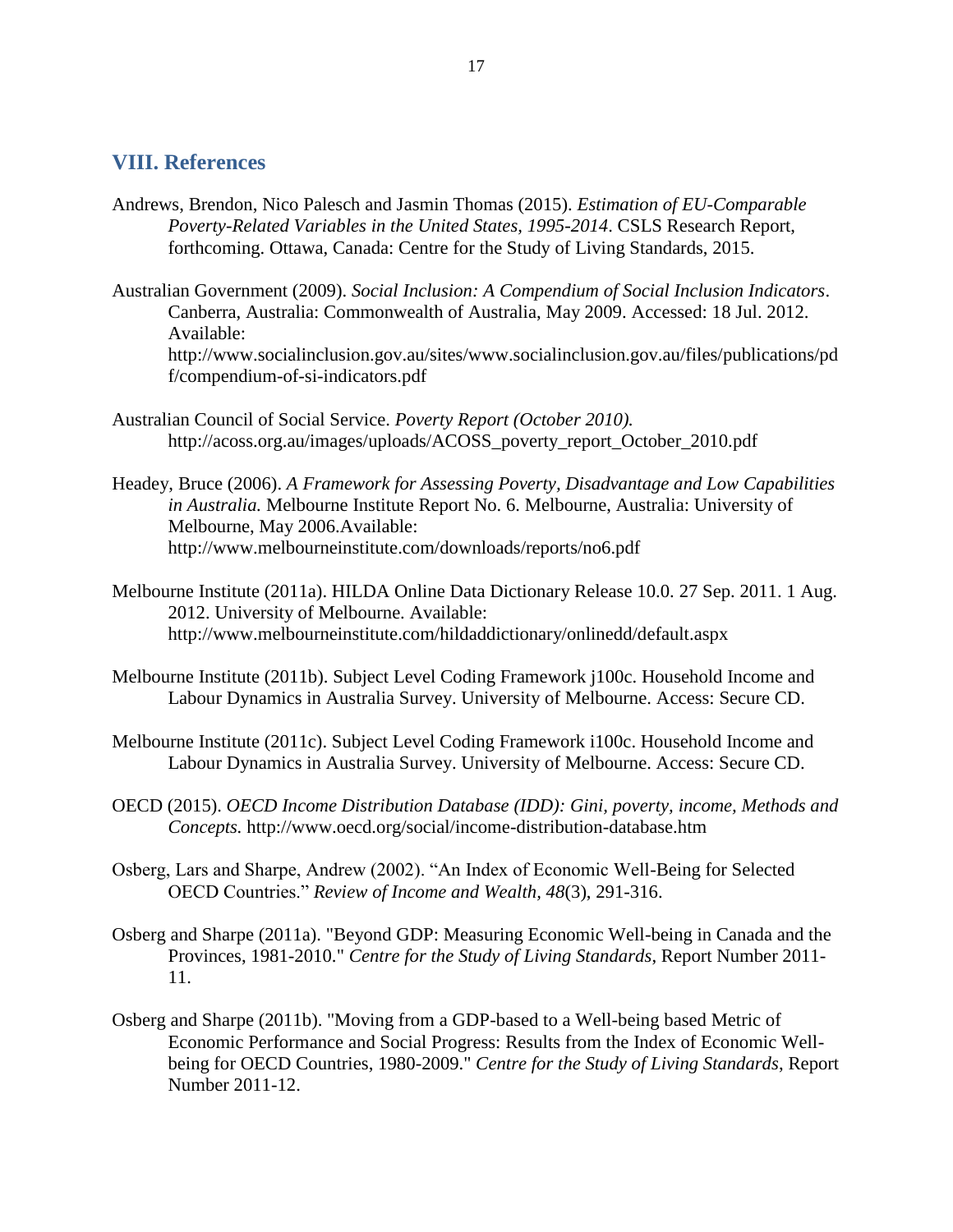## <span id="page-16-0"></span>**VIII. References**

- Andrews, Brendon, Nico Palesch and Jasmin Thomas (2015). *Estimation of EU-Comparable Poverty-Related Variables in the United States, 1995-2014*. CSLS Research Report, forthcoming. Ottawa, Canada: Centre for the Study of Living Standards, 2015.
- Australian Government (2009). *Social Inclusion: A Compendium of Social Inclusion Indicators*. Canberra, Australia: Commonwealth of Australia, May 2009. Accessed: 18 Jul. 2012. Available: http://www.socialinclusion.gov.au/sites/www.socialinclusion.gov.au/files/publications/pd f/compendium-of-si-indicators.pdf
- Australian Council of Social Service. *Poverty Report (October 2010).*  http://acoss.org.au/images/uploads/ACOSS\_poverty\_report\_October\_2010.pdf
- Headey, Bruce (2006). *A Framework for Assessing Poverty, Disadvantage and Low Capabilities in Australia.* Melbourne Institute Report No. 6. Melbourne, Australia: University of Melbourne, May 2006.Available: http://www.melbourneinstitute.com/downloads/reports/no6.pdf
- Melbourne Institute (2011a). HILDA Online Data Dictionary Release 10.0. 27 Sep. 2011. 1 Aug. 2012. University of Melbourne. Available: <http://www.melbourneinstitute.com/hildaddictionary/onlinedd/default.aspx>
- Melbourne Institute (2011b). Subject Level Coding Framework j100c. Household Income and Labour Dynamics in Australia Survey. University of Melbourne. Access: Secure CD.
- Melbourne Institute (2011c). Subject Level Coding Framework i100c. Household Income and Labour Dynamics in Australia Survey. University of Melbourne. Access: Secure CD.
- OECD (2015). *OECD Income Distribution Database (IDD): Gini, poverty, income, Methods and Concepts.* http://www.oecd.org/social/income-distribution-database.htm
- Osberg, Lars and Sharpe, Andrew (2002). "An Index of Economic Well-Being for Selected OECD Countries." *Review of Income and Wealth, 48*(3), 291-316.
- Osberg and Sharpe (2011a). "Beyond GDP: Measuring Economic Well-being in Canada and the Provinces, 1981-2010." *Centre for the Study of Living Standards*, Report Number 2011- 11.
- Osberg and Sharpe (2011b). "Moving from a GDP-based to a Well-being based Metric of Economic Performance and Social Progress: Results from the Index of Economic Wellbeing for OECD Countries, 1980-2009." *Centre for the Study of Living Standards*, Report Number 2011-12.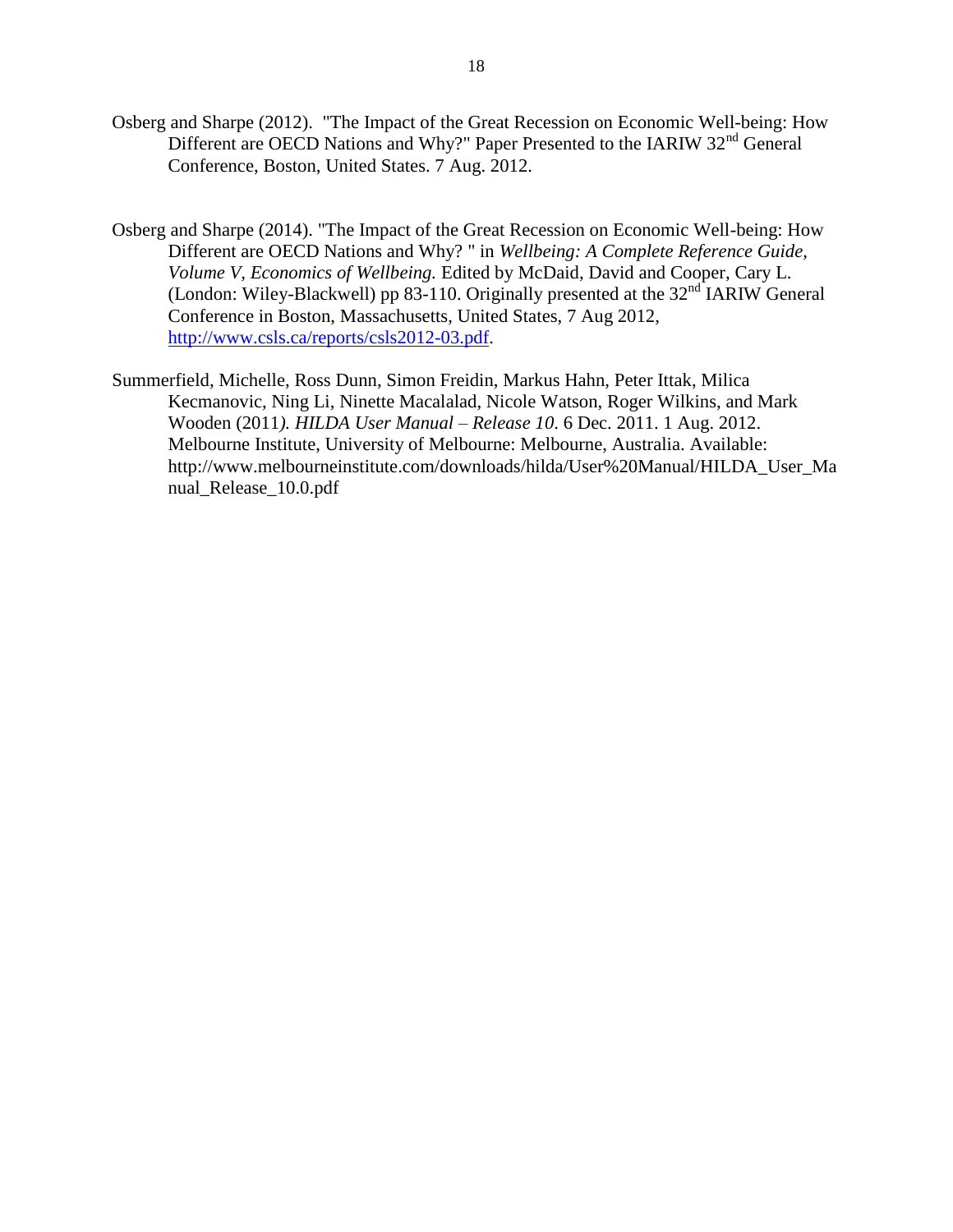- Osberg and Sharpe (2012). "The Impact of the Great Recession on Economic Well-being: How Different are OECD Nations and Why?" Paper Presented to the IARIW 32<sup>nd</sup> General Conference, Boston, United States. 7 Aug. 2012.
- Osberg and Sharpe (2014). "The Impact of the Great Recession on Economic Well-being: How Different are OECD Nations and Why? " in *Wellbeing: A Complete Reference Guide, Volume V, Economics of Wellbeing.* Edited by McDaid, David and Cooper, Cary L. (London: Wiley-Blackwell) pp 83-110. Originally presented at the 32<sup>nd</sup> IARIW General Conference in Boston, Massachusetts, United States, 7 Aug 2012, [http://www.csls.ca/reports/csls2012-03.pdf.](http://www.csls.ca/reports/csls2012-03.pdf)
- Summerfield, Michelle, Ross Dunn, Simon Freidin, Markus Hahn, Peter Ittak, Milica Kecmanovic, Ning Li, Ninette Macalalad, Nicole Watson, Roger Wilkins, and Mark Wooden (2011*). HILDA User Manual – Release 10*. 6 Dec. 2011. 1 Aug. 2012. Melbourne Institute, University of Melbourne: Melbourne, Australia. Available: http://www.melbourneinstitute.com/downloads/hilda/User%20Manual/HILDA\_User\_Ma nual\_Release\_10.0.pdf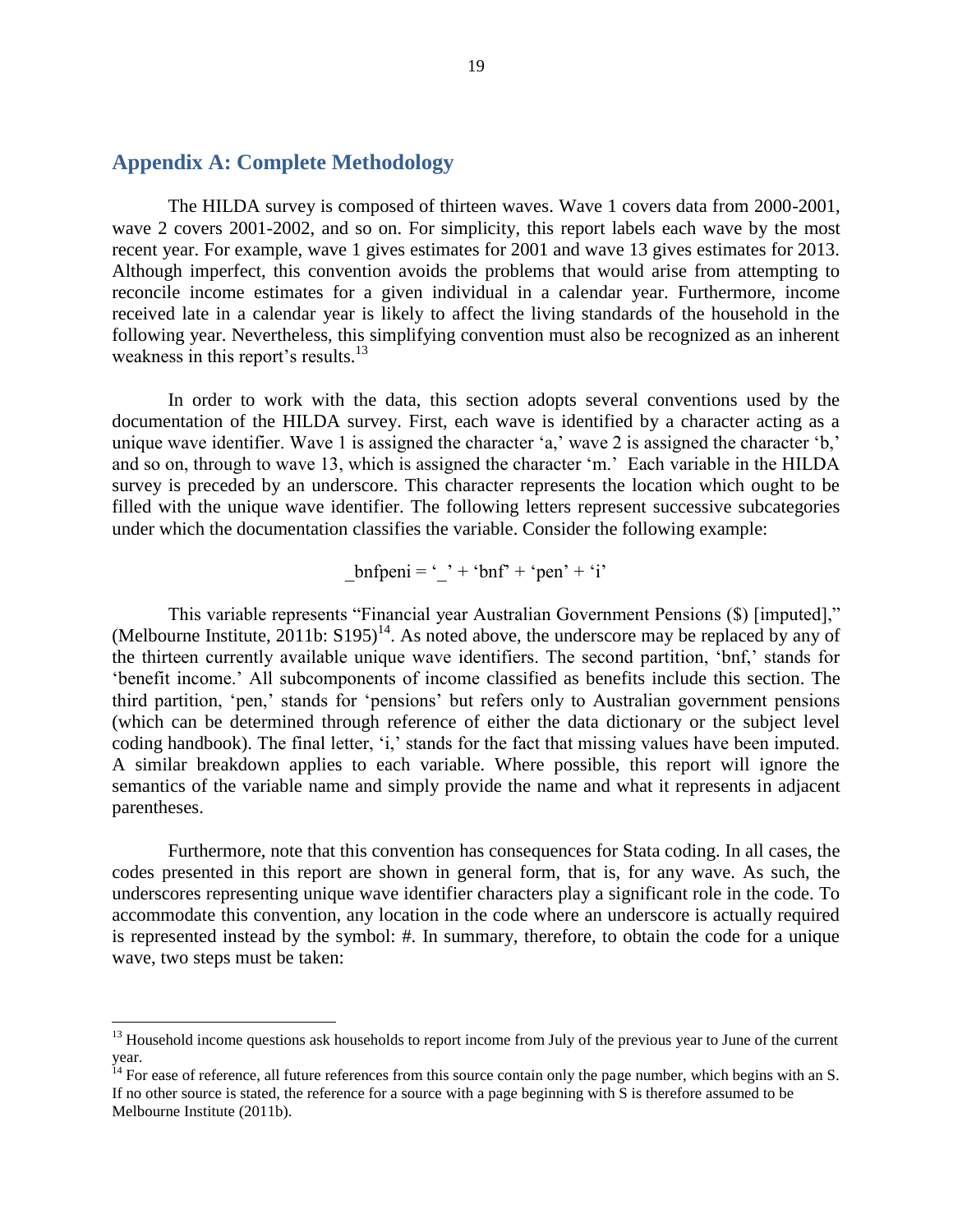## <span id="page-18-0"></span>**Appendix A: Complete Methodology**

 $\overline{a}$ 

The HILDA survey is composed of thirteen waves. Wave 1 covers data from 2000-2001, wave 2 covers 2001-2002, and so on. For simplicity, this report labels each wave by the most recent year. For example, wave 1 gives estimates for 2001 and wave 13 gives estimates for 2013. Although imperfect, this convention avoids the problems that would arise from attempting to reconcile income estimates for a given individual in a calendar year. Furthermore, income received late in a calendar year is likely to affect the living standards of the household in the following year. Nevertheless, this simplifying convention must also be recognized as an inherent weakness in this report's results.<sup>13</sup>

In order to work with the data, this section adopts several conventions used by the documentation of the HILDA survey. First, each wave is identified by a character acting as a unique wave identifier. Wave 1 is assigned the character 'a,' wave 2 is assigned the character 'b,' and so on, through to wave 13, which is assigned the character 'm.' Each variable in the HILDA survey is preceded by an underscore. This character represents the location which ought to be filled with the unique wave identifier. The following letters represent successive subcategories under which the documentation classifies the variable. Consider the following example:

 $bnfpeni = ' ' + 'bnf' + 'pen' + 'i'$ 

This variable represents "Financial year Australian Government Pensions (\$) [imputed]," (Melbourne Institute, 2011b:  $S195$ <sup>14</sup>. As noted above, the underscore may be replaced by any of the thirteen currently available unique wave identifiers. The second partition, 'bnf,' stands for 'benefit income.' All subcomponents of income classified as benefits include this section. The third partition, 'pen,' stands for 'pensions' but refers only to Australian government pensions (which can be determined through reference of either the data dictionary or the subject level coding handbook). The final letter, 'i,' stands for the fact that missing values have been imputed. A similar breakdown applies to each variable. Where possible, this report will ignore the semantics of the variable name and simply provide the name and what it represents in adjacent parentheses.

Furthermore, note that this convention has consequences for Stata coding. In all cases, the codes presented in this report are shown in general form, that is, for any wave. As such, the underscores representing unique wave identifier characters play a significant role in the code. To accommodate this convention, any location in the code where an underscore is actually required is represented instead by the symbol: #. In summary, therefore, to obtain the code for a unique wave, two steps must be taken:

<sup>&</sup>lt;sup>13</sup> Household income questions ask households to report income from July of the previous year to June of the current year.

<sup>&</sup>lt;sup>14</sup> For ease of reference, all future references from this source contain only the page number, which begins with an S. If no other source is stated, the reference for a source with a page beginning with S is therefore assumed to be Melbourne Institute (2011b).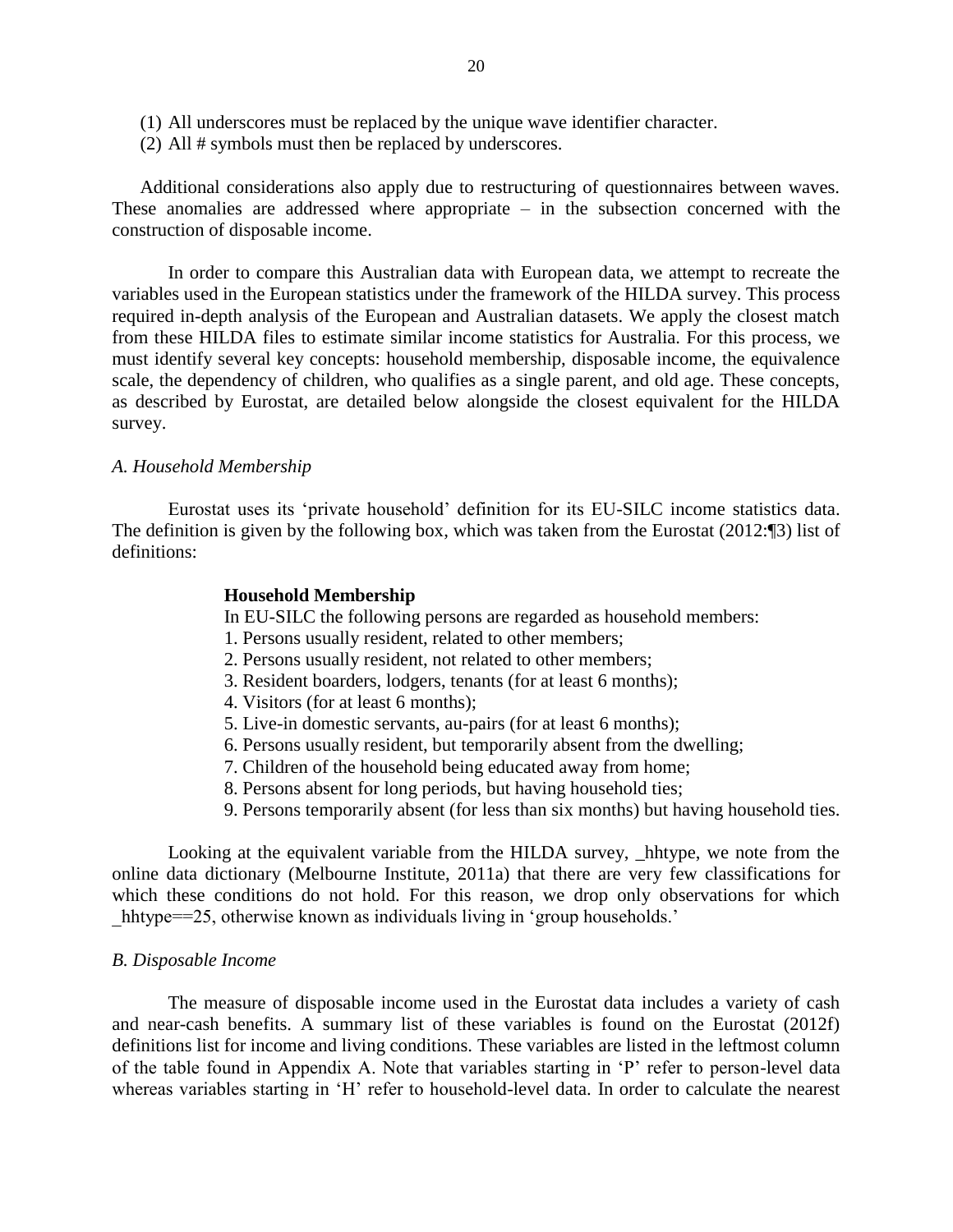- (1) All underscores must be replaced by the unique wave identifier character.
- (2) All # symbols must then be replaced by underscores.

Additional considerations also apply due to restructuring of questionnaires between waves. These anomalies are addressed where appropriate – in the subsection concerned with the construction of disposable income.

In order to compare this Australian data with European data, we attempt to recreate the variables used in the European statistics under the framework of the HILDA survey. This process required in-depth analysis of the European and Australian datasets. We apply the closest match from these HILDA files to estimate similar income statistics for Australia. For this process, we must identify several key concepts: household membership, disposable income, the equivalence scale, the dependency of children, who qualifies as a single parent, and old age. These concepts, as described by Eurostat, are detailed below alongside the closest equivalent for the HILDA survey.

#### *A. Household Membership*

Eurostat uses its 'private household' definition for its EU-SILC income statistics data. The definition is given by the following box, which was taken from the Eurostat (2012:¶3) list of definitions:

#### **Household Membership**

In EU-SILC the following persons are regarded as household members:

- 1. Persons usually resident, related to other members;
- 2. Persons usually resident, not related to other members;
- 3. Resident boarders, lodgers, tenants (for at least 6 months);
- 4. Visitors (for at least 6 months);
- 5. Live-in domestic servants, au-pairs (for at least 6 months);
- 6. Persons usually resident, but temporarily absent from the dwelling;
- 7. Children of the household being educated away from home;
- 8. Persons absent for long periods, but having household ties;
- 9. Persons temporarily absent (for less than six months) but having household ties.

Looking at the equivalent variable from the HILDA survey, \_hhtype, we note from the online data dictionary (Melbourne Institute, 2011a) that there are very few classifications for which these conditions do not hold. For this reason, we drop only observations for which hhtype==25, otherwise known as individuals living in 'group households.'

#### *B. Disposable Income*

The measure of disposable income used in the Eurostat data includes a variety of cash and near-cash benefits. A summary list of these variables is found on the Eurostat (2012f) definitions list for income and living conditions. These variables are listed in the leftmost column of the table found in Appendix A. Note that variables starting in 'P' refer to person-level data whereas variables starting in 'H' refer to household-level data. In order to calculate the nearest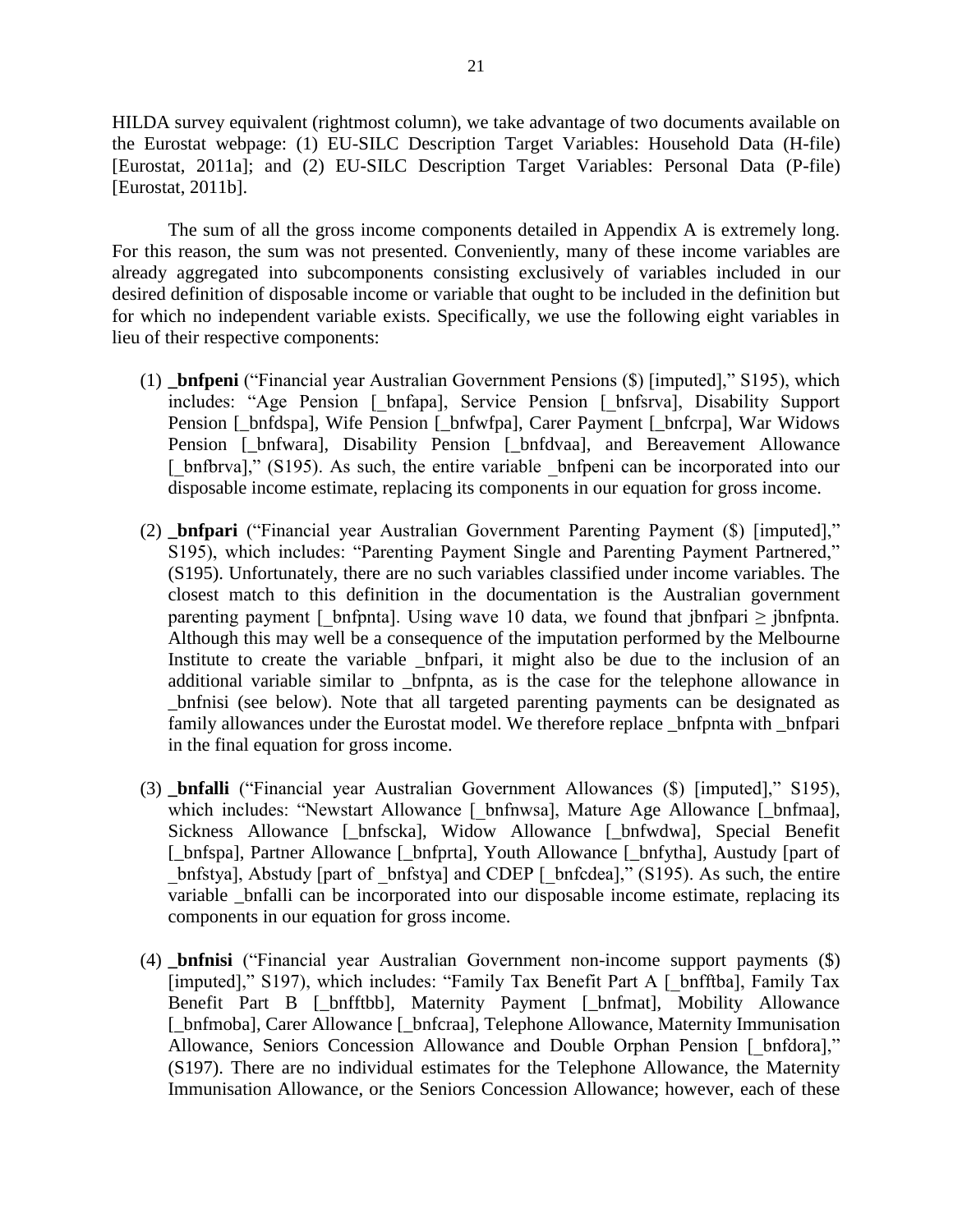HILDA survey equivalent (rightmost column), we take advantage of two documents available on the Eurostat webpage: (1) EU-SILC Description Target Variables: Household Data (H-file) [Eurostat, 2011a]; and (2) EU-SILC Description Target Variables: Personal Data (P-file) [Eurostat, 2011b].

The sum of all the gross income components detailed in Appendix A is extremely long. For this reason, the sum was not presented. Conveniently, many of these income variables are already aggregated into subcomponents consisting exclusively of variables included in our desired definition of disposable income or variable that ought to be included in the definition but for which no independent variable exists. Specifically, we use the following eight variables in lieu of their respective components:

- (1) **\_bnfpeni** ("Financial year Australian Government Pensions (\$) [imputed]," S195), which includes: "Age Pension [\_bnfapa], Service Pension [\_bnfsrva], Disability Support Pension [\_bnfdspa], Wife Pension [\_bnfwfpa], Carer Payment [\_bnfcrpa], War Widows Pension [\_bnfwara], Disability Pension [\_bnfdvaa], and Bereavement Allowance [ bnfbrva]," (S195). As such, the entire variable bnfpeni can be incorporated into our disposable income estimate, replacing its components in our equation for gross income.
- (2) **\_bnfpari** ("Financial year Australian Government Parenting Payment (\$) [imputed]," S195), which includes: "Parenting Payment Single and Parenting Payment Partnered," (S195). Unfortunately, there are no such variables classified under income variables. The closest match to this definition in the documentation is the Australian government parenting payment [ bnfpnta]. Using wave 10 data, we found that jbnfpari  $\geq$  jbnfpnta. Although this may well be a consequence of the imputation performed by the Melbourne Institute to create the variable \_bnfpari, it might also be due to the inclusion of an additional variable similar to \_bnfpnta, as is the case for the telephone allowance in \_bnfnisi (see below). Note that all targeted parenting payments can be designated as family allowances under the Eurostat model. We therefore replace \_bnfpnta with \_bnfpari in the final equation for gross income.
- (3) **\_bnfalli** ("Financial year Australian Government Allowances (\$) [imputed]," S195), which includes: "Newstart Allowance [ bnfnwsa], Mature Age Allowance [\_bnfmaa], Sickness Allowance [\_bnfscka], Widow Allowance [\_bnfwdwa], Special Benefit [ $\phi$ bnfspa], Partner Allowance [ $\phi$ bnfprta], Youth Allowance [ $\phi$ bnfytha], Austudy [part of bnfstya], Abstudy [part of \_bnfstya] and CDEP [\_bnfcdea]," (S195). As such, the entire variable bnfalli can be incorporated into our disposable income estimate, replacing its components in our equation for gross income.
- (4) **\_bnfnisi** ("Financial year Australian Government non-income support payments (\$) [imputed]," S197), which includes: "Family Tax Benefit Part A [ bnfftba], Family Tax Benefit Part B [\_bnfftbb], Maternity Payment [\_bnfmat], Mobility Allowance [\_bnfmoba], Carer Allowance [\_bnfcraa], Telephone Allowance, Maternity Immunisation Allowance, Seniors Concession Allowance and Double Orphan Pension [ bnfdora]," (S197). There are no individual estimates for the Telephone Allowance, the Maternity Immunisation Allowance, or the Seniors Concession Allowance; however, each of these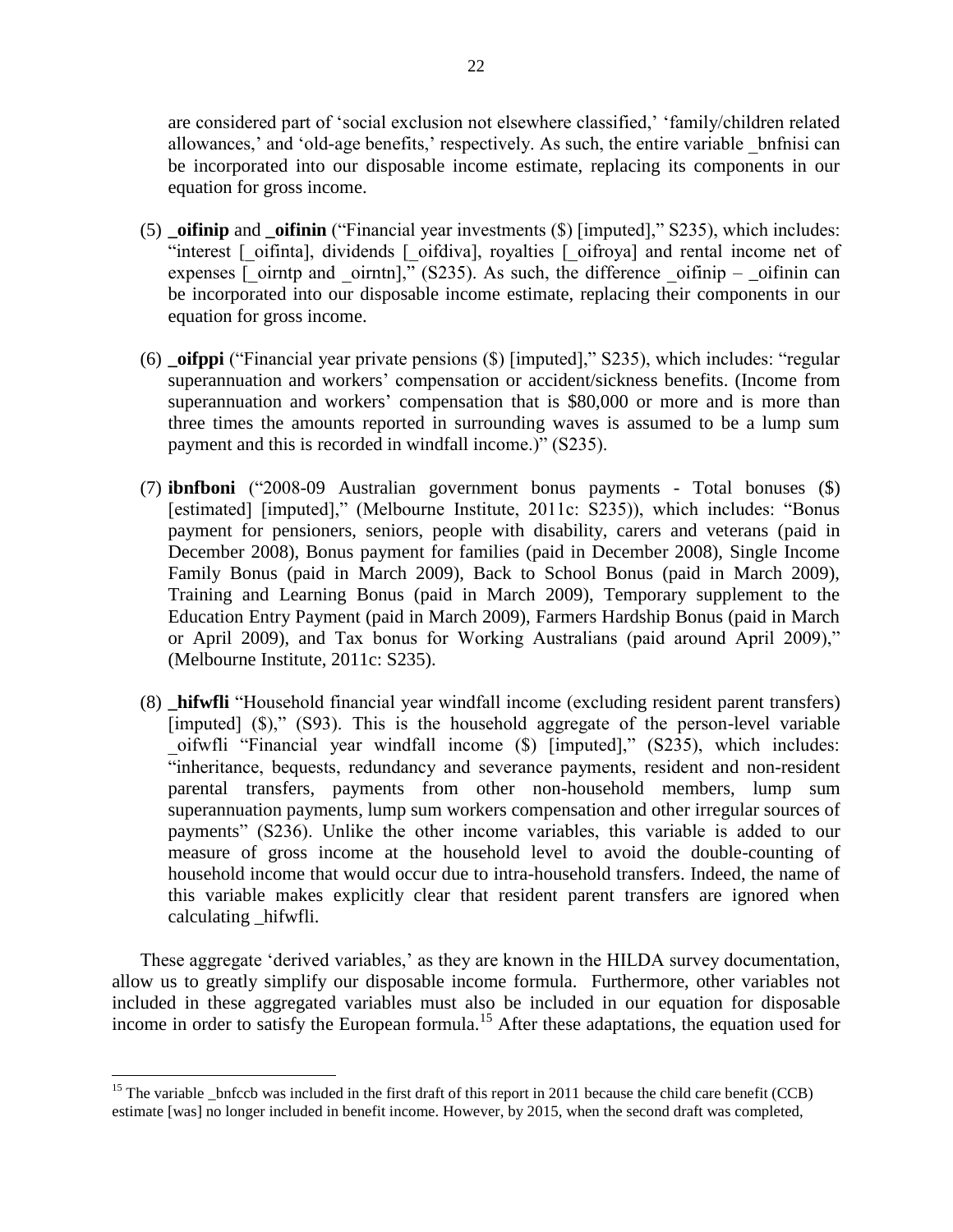are considered part of 'social exclusion not elsewhere classified,' 'family/children related allowances,' and 'old-age benefits,' respectively. As such, the entire variable \_bnfnisi can be incorporated into our disposable income estimate, replacing its components in our equation for gross income.

- (5) **\_oifinip** and **\_oifinin** ("Financial year investments (\$) [imputed]," S235), which includes: "interest [\_oifinta], dividends [\_oifdiva], royalties [\_oifroya] and rental income net of expenses  $\boxed{\overline{\text{o}}$  oirntp and  $\boxed{\text{o}}$ irntn]," (S235). As such, the difference  $\boxed{\text{o}}$ ifinip –  $\boxed{\text{o}}$ ifinin can be incorporated into our disposable income estimate, replacing their components in our equation for gross income.
- (6) **\_oifppi** ("Financial year private pensions (\$) [imputed]," S235), which includes: "regular superannuation and workers' compensation or accident/sickness benefits. (Income from superannuation and workers' compensation that is \$80,000 or more and is more than three times the amounts reported in surrounding waves is assumed to be a lump sum payment and this is recorded in windfall income.)" (S235).
- (7) **ibnfboni** ("2008-09 Australian government bonus payments Total bonuses (\$) [estimated] [imputed]," (Melbourne Institute, 2011c: S235)), which includes: "Bonus payment for pensioners, seniors, people with disability, carers and veterans (paid in December 2008), Bonus payment for families (paid in December 2008), Single Income Family Bonus (paid in March 2009), Back to School Bonus (paid in March 2009), Training and Learning Bonus (paid in March 2009), Temporary supplement to the Education Entry Payment (paid in March 2009), Farmers Hardship Bonus (paid in March or April 2009), and Tax bonus for Working Australians (paid around April 2009)," (Melbourne Institute, 2011c: S235).
- (8) **\_hifwfli** "Household financial year windfall income (excluding resident parent transfers) [imputed] (\$)," (S93). This is the household aggregate of the person-level variable \_oifwfli "Financial year windfall income (\$) [imputed]," (S235), which includes: "inheritance, bequests, redundancy and severance payments, resident and non-resident parental transfers, payments from other non-household members, lump sum superannuation payments, lump sum workers compensation and other irregular sources of payments" (S236). Unlike the other income variables, this variable is added to our measure of gross income at the household level to avoid the double-counting of household income that would occur due to intra-household transfers. Indeed, the name of this variable makes explicitly clear that resident parent transfers are ignored when calculating \_hifwfli.

These aggregate 'derived variables,' as they are known in the HILDA survey documentation, allow us to greatly simplify our disposable income formula. Furthermore, other variables not included in these aggregated variables must also be included in our equation for disposable income in order to satisfy the European formula.<sup>15</sup> After these adaptations, the equation used for

 $\overline{\phantom{a}}$ 

<sup>&</sup>lt;sup>15</sup> The variable \_bnfccb was included in the first draft of this report in 2011 because the child care benefit (CCB) estimate [was] no longer included in benefit income. However, by 2015, when the second draft was completed,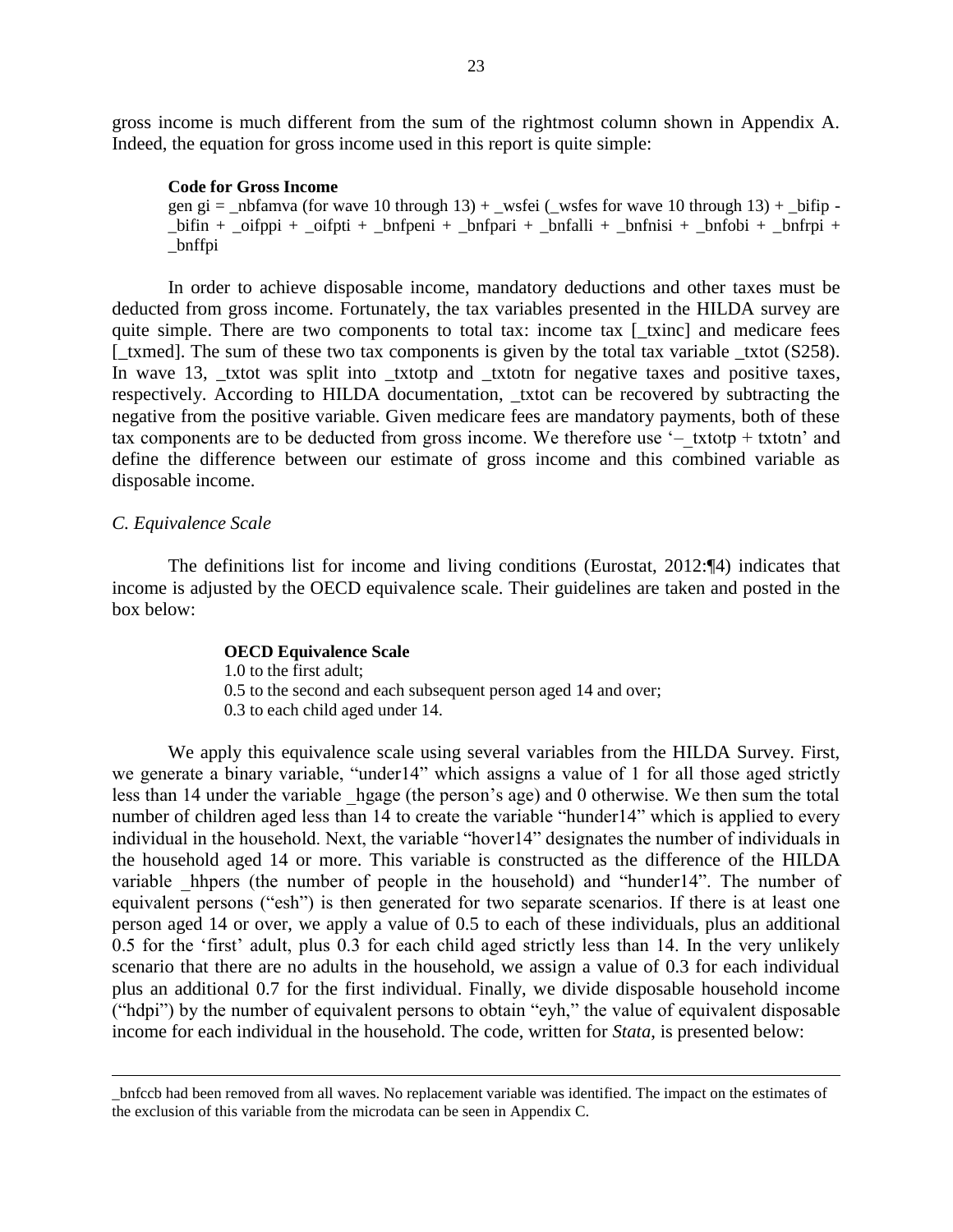gross income is much different from the sum of the rightmost column shown in Appendix A. Indeed, the equation for gross income used in this report is quite simple:

#### **Code for Gross Income**

gen gi = \_nbfamva (for wave 10 through  $13$ ) + \_wsfei (\_wsfes for wave 10 through  $13$ ) + \_bifip - $\phi$ bifin +  $\phi$ ifppi +  $\phi$ oifpti +  $\phi$ hnfpeni +  $\phi$ hnfpari +  $\phi$ hnfnisi +  $\phi$ hnfobi +  $\phi$ hnfrpi + \_bnffpi

In order to achieve disposable income, mandatory deductions and other taxes must be deducted from gross income. Fortunately, the tax variables presented in the HILDA survey are quite simple. There are two components to total tax: income tax [\_txinc] and medicare fees [\_txmed]. The sum of these two tax components is given by the total tax variable \_txtot (S258). In wave 13, \_txtot was split into \_txtotp and \_txtotn for negative taxes and positive taxes, respectively. According to HILDA documentation, \_txtot can be recovered by subtracting the negative from the positive variable. Given medicare fees are mandatory payments, both of these tax components are to be deducted from gross income. We therefore use  $-$  txtotp + txtotn' and define the difference between our estimate of gross income and this combined variable as disposable income.

#### *C. Equivalence Scale*

 $\overline{\phantom{a}}$ 

The definitions list for income and living conditions (Eurostat, 2012:¶4) indicates that income is adjusted by the OECD equivalence scale. Their guidelines are taken and posted in the box below:

#### **OECD Equivalence Scale**

1.0 to the first adult; 0.5 to the second and each subsequent person aged 14 and over; 0.3 to each child aged under 14.

We apply this equivalence scale using several variables from the HILDA Survey. First, we generate a binary variable, "under14" which assigns a value of 1 for all those aged strictly less than 14 under the variable hgage (the person's age) and 0 otherwise. We then sum the total number of children aged less than 14 to create the variable "hunder14" which is applied to every individual in the household. Next, the variable "hover14" designates the number of individuals in the household aged 14 or more. This variable is constructed as the difference of the HILDA variable hhpers (the number of people in the household) and "hunder14". The number of equivalent persons ("esh") is then generated for two separate scenarios. If there is at least one person aged 14 or over, we apply a value of 0.5 to each of these individuals, plus an additional 0.5 for the 'first' adult, plus 0.3 for each child aged strictly less than 14. In the very unlikely scenario that there are no adults in the household, we assign a value of 0.3 for each individual plus an additional 0.7 for the first individual. Finally, we divide disposable household income ("hdpi") by the number of equivalent persons to obtain "eyh," the value of equivalent disposable income for each individual in the household. The code, written for *Stata*, is presented below:

\_bnfccb had been removed from all waves. No replacement variable was identified. The impact on the estimates of the exclusion of this variable from the microdata can be seen in Appendix C.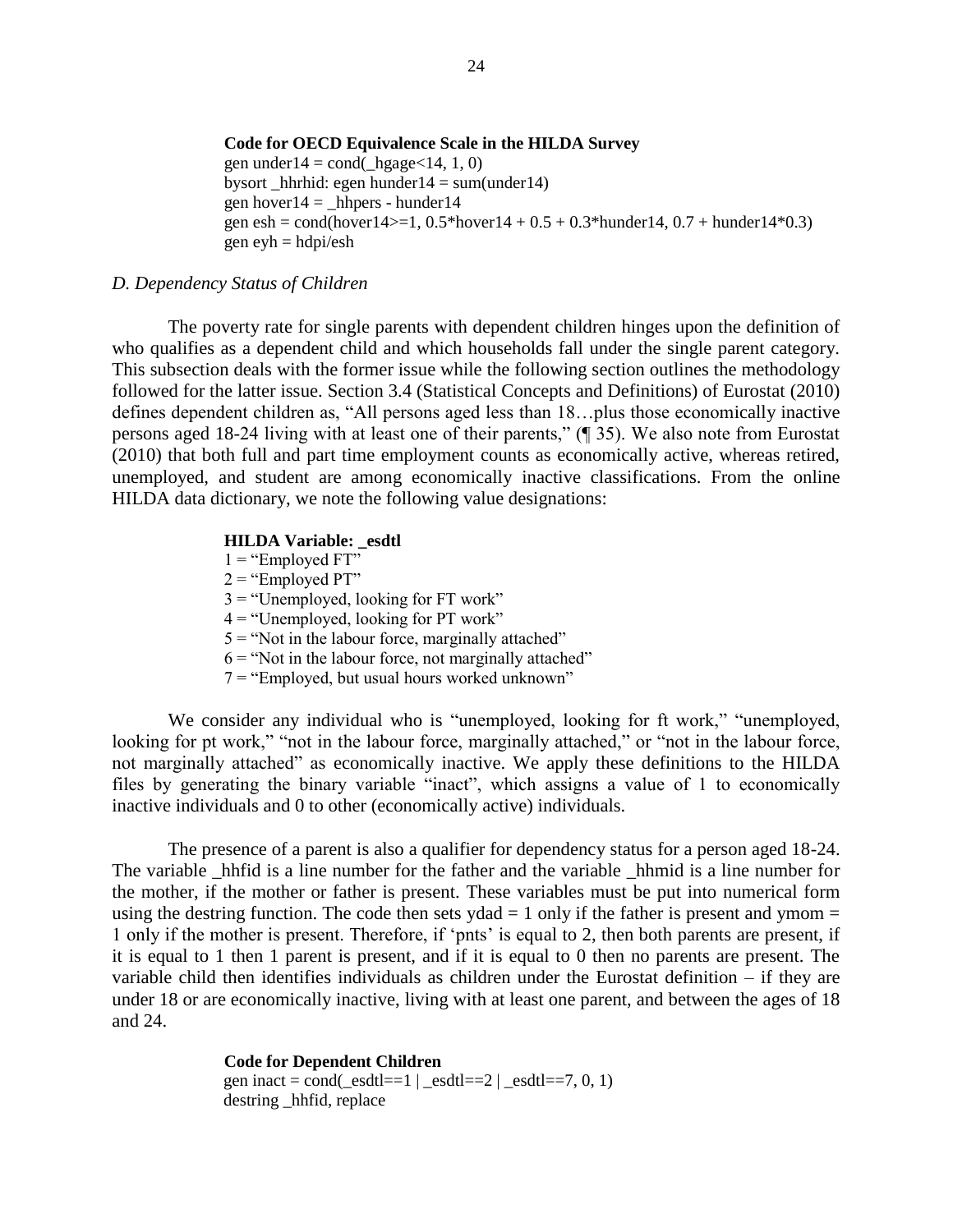#### **Code for OECD Equivalence Scale in the HILDA Survey**

gen under  $14 = \text{cond}(\text{hggge} < 14, 1, 0)$ bysort hhrhid: egen hunder $14 = \text{sum}(\text{under}14)$ gen hover $14 =$  hhpers - hunder $14$ gen esh = cond(hover14 $> = 1$ , 0.5\*hover14 + 0.5 + 0.3\*hunder14, 0.7 + hunder14\*0.3) gen ey $h = hdpi/esh$ 

#### *D. Dependency Status of Children*

The poverty rate for single parents with dependent children hinges upon the definition of who qualifies as a dependent child and which households fall under the single parent category. This subsection deals with the former issue while the following section outlines the methodology followed for the latter issue. Section 3.4 (Statistical Concepts and Definitions) of Eurostat (2010) defines dependent children as, "All persons aged less than 18…plus those economically inactive persons aged 18-24 living with at least one of their parents," (¶ 35). We also note from Eurostat (2010) that both full and part time employment counts as economically active, whereas retired, unemployed, and student are among economically inactive classifications. From the online HILDA data dictionary, we note the following value designations:

#### **HILDA Variable: esdtl**

- $1 =$  "Employed FT"
- $2 =$ "Employed PT"
- $3 =$  "Unemployed, looking for FT work"
- $4 =$  "Unemployed, looking for PT work"
- $5 =$  "Not in the labour force, marginally attached"
- $6 =$  "Not in the labour force, not marginally attached"
- $7 =$  "Employed, but usual hours worked unknown"

We consider any individual who is "unemployed, looking for ft work," "unemployed, looking for pt work," "not in the labour force, marginally attached," or "not in the labour force, not marginally attached" as economically inactive. We apply these definitions to the HILDA files by generating the binary variable "inact", which assigns a value of 1 to economically inactive individuals and 0 to other (economically active) individuals.

The presence of a parent is also a qualifier for dependency status for a person aged 18-24. The variable \_hhfid is a line number for the father and the variable \_hhmid is a line number for the mother, if the mother or father is present. These variables must be put into numerical form using the destring function. The code then sets ydad  $= 1$  only if the father is present and ymom  $=$ 1 only if the mother is present. Therefore, if 'pnts' is equal to 2, then both parents are present, if it is equal to 1 then 1 parent is present, and if it is equal to 0 then no parents are present. The variable child then identifies individuals as children under the Eurostat definition – if they are under 18 or are economically inactive, living with at least one parent, and between the ages of 18 and 24.

> **Code for Dependent Children**  gen inact = cond( $\text{esdt} = 1 | \text{esdt} = 2 | \text{esdt} = 7, 0, 1)$ destring hhfid, replace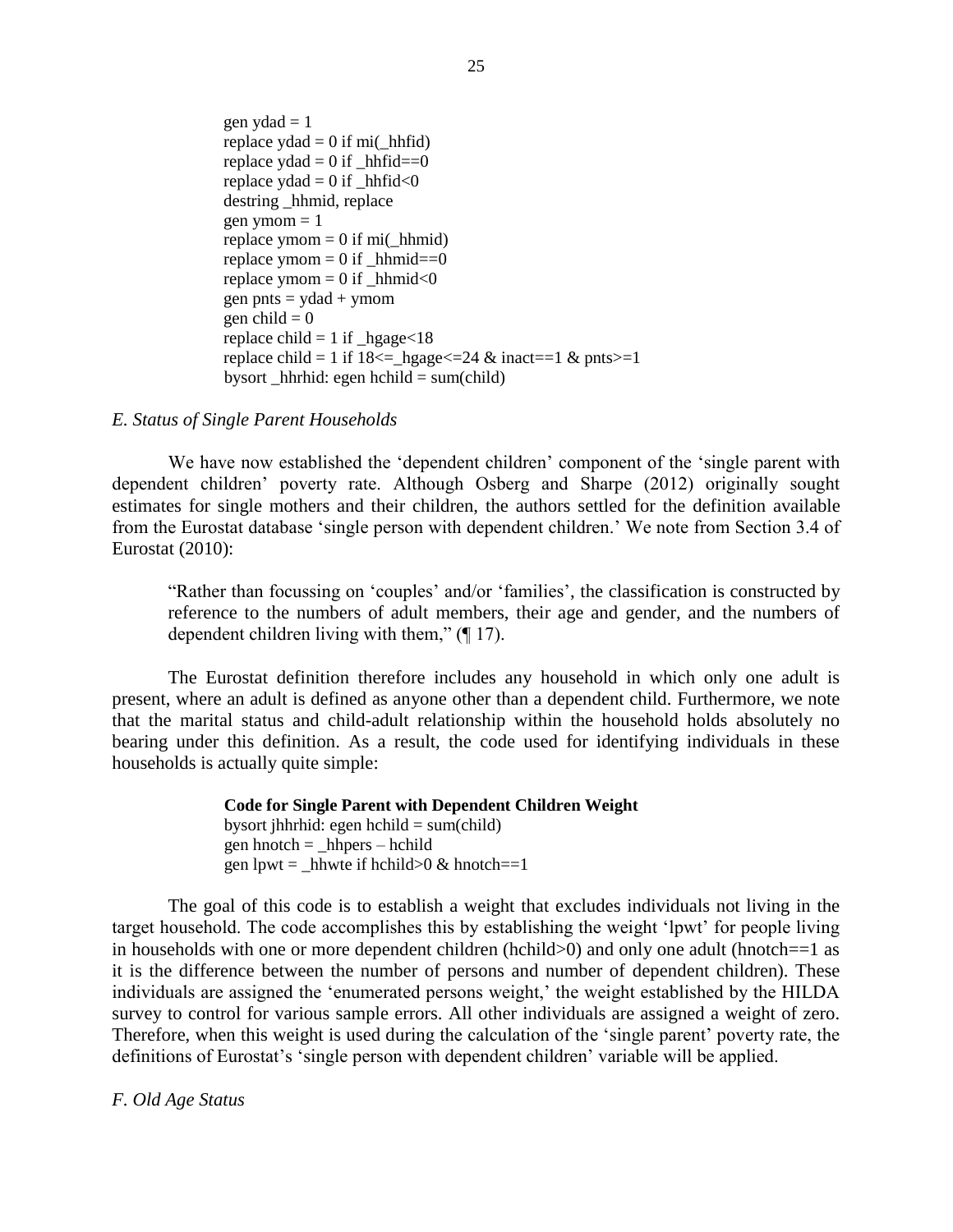gen  $vda$ d = 1 replace  $yda = 0$  if mi( hhfid) replace  $ydad = 0$  if \_hhfid==0 replace  $yda = 0$  if  $hhfid < 0$ destring hhmid, replace gen ymom  $= 1$ replace ymom  $= 0$  if mi(\_hhmid) replace ymom  $= 0$  if hhmid==0 replace ymom  $= 0$  if hhmid $< 0$ gen pnts  $=$  ydad  $+$  ymom gen child  $= 0$ replace child  $= 1$  if  $_{\text{ngage} < 18}$ replace child = 1 if  $18 \leq -h$  hgage $\leq 24 \& \text{inact} = 1 \& \text{pnts} = 1$ bysort \_hhrhid: egen hchild =  $sum(child)$ 

#### *E. Status of Single Parent Households*

We have now established the 'dependent children' component of the 'single parent with dependent children' poverty rate. Although Osberg and Sharpe (2012) originally sought estimates for single mothers and their children, the authors settled for the definition available from the Eurostat database 'single person with dependent children.' We note from Section 3.4 of Eurostat (2010):

"Rather than focussing on 'couples' and/or 'families', the classification is constructed by reference to the numbers of adult members, their age and gender, and the numbers of dependent children living with them," (¶ 17).

The Eurostat definition therefore includes any household in which only one adult is present, where an adult is defined as anyone other than a dependent child. Furthermore, we note that the marital status and child-adult relationship within the household holds absolutely no bearing under this definition. As a result, the code used for identifying individuals in these households is actually quite simple:

> **Code for Single Parent with Dependent Children Weight** bysort jhhrhid: egen hchild  $= sum(child)$ gen hnotch  $=$  \_hhpers – hchild gen lpwt = \_hhwte if hchild $>0$  & hnotch==1

The goal of this code is to establish a weight that excludes individuals not living in the target household. The code accomplishes this by establishing the weight 'lpwt' for people living in households with one or more dependent children (hchild>0) and only one adult (hnotch==1 as it is the difference between the number of persons and number of dependent children). These individuals are assigned the 'enumerated persons weight,' the weight established by the HILDA survey to control for various sample errors. All other individuals are assigned a weight of zero. Therefore, when this weight is used during the calculation of the 'single parent' poverty rate, the definitions of Eurostat's 'single person with dependent children' variable will be applied.

*F. Old Age Status*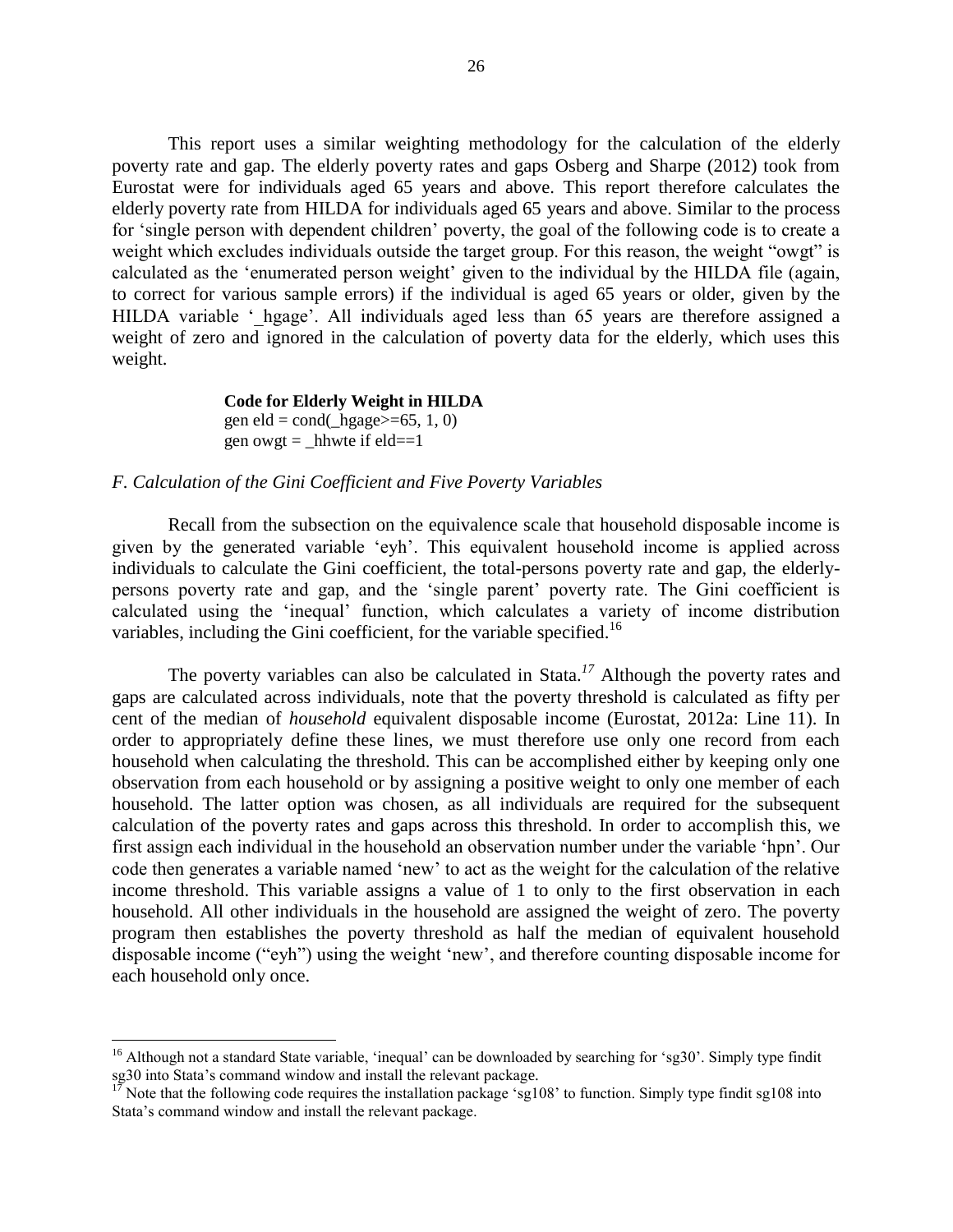This report uses a similar weighting methodology for the calculation of the elderly poverty rate and gap. The elderly poverty rates and gaps Osberg and Sharpe (2012) took from Eurostat were for individuals aged 65 years and above. This report therefore calculates the elderly poverty rate from HILDA for individuals aged 65 years and above. Similar to the process for 'single person with dependent children' poverty, the goal of the following code is to create a weight which excludes individuals outside the target group. For this reason, the weight "owgt" is calculated as the 'enumerated person weight' given to the individual by the HILDA file (again, to correct for various sample errors) if the individual is aged 65 years or older, given by the HILDA variable ' hgage'. All individuals aged less than 65 years are therefore assigned a weight of zero and ignored in the calculation of poverty data for the elderly, which uses this weight.

> **Code for Elderly Weight in HILDA** gen eld = cond( hgage $>=65, 1, 0$ ) gen owgt = hhwte if eld==1

#### *F. Calculation of the Gini Coefficient and Five Poverty Variables*

 $\overline{\phantom{a}}$ 

Recall from the subsection on the equivalence scale that household disposable income is given by the generated variable 'eyh'. This equivalent household income is applied across individuals to calculate the Gini coefficient, the total-persons poverty rate and gap, the elderlypersons poverty rate and gap, and the 'single parent' poverty rate. The Gini coefficient is calculated using the 'inequal' function, which calculates a variety of income distribution variables, including the Gini coefficient, for the variable specified.<sup>16</sup>

The poverty variables can also be calculated in Stata. *<sup>17</sup>* Although the poverty rates and gaps are calculated across individuals, note that the poverty threshold is calculated as fifty per cent of the median of *household* equivalent disposable income (Eurostat, 2012a: Line 11). In order to appropriately define these lines, we must therefore use only one record from each household when calculating the threshold. This can be accomplished either by keeping only one observation from each household or by assigning a positive weight to only one member of each household. The latter option was chosen, as all individuals are required for the subsequent calculation of the poverty rates and gaps across this threshold. In order to accomplish this, we first assign each individual in the household an observation number under the variable 'hpn'. Our code then generates a variable named 'new' to act as the weight for the calculation of the relative income threshold. This variable assigns a value of 1 to only to the first observation in each household. All other individuals in the household are assigned the weight of zero. The poverty program then establishes the poverty threshold as half the median of equivalent household disposable income ("eyh") using the weight 'new', and therefore counting disposable income for each household only once.

<sup>&</sup>lt;sup>16</sup> Although not a standard State variable, 'inequal' can be downloaded by searching for 'sg30'. Simply type findit sg30 into Stata's command window and install the relevant package.

Note that the following code requires the installation package 'sg108' to function. Simply type findit sg108 into Stata's command window and install the relevant package.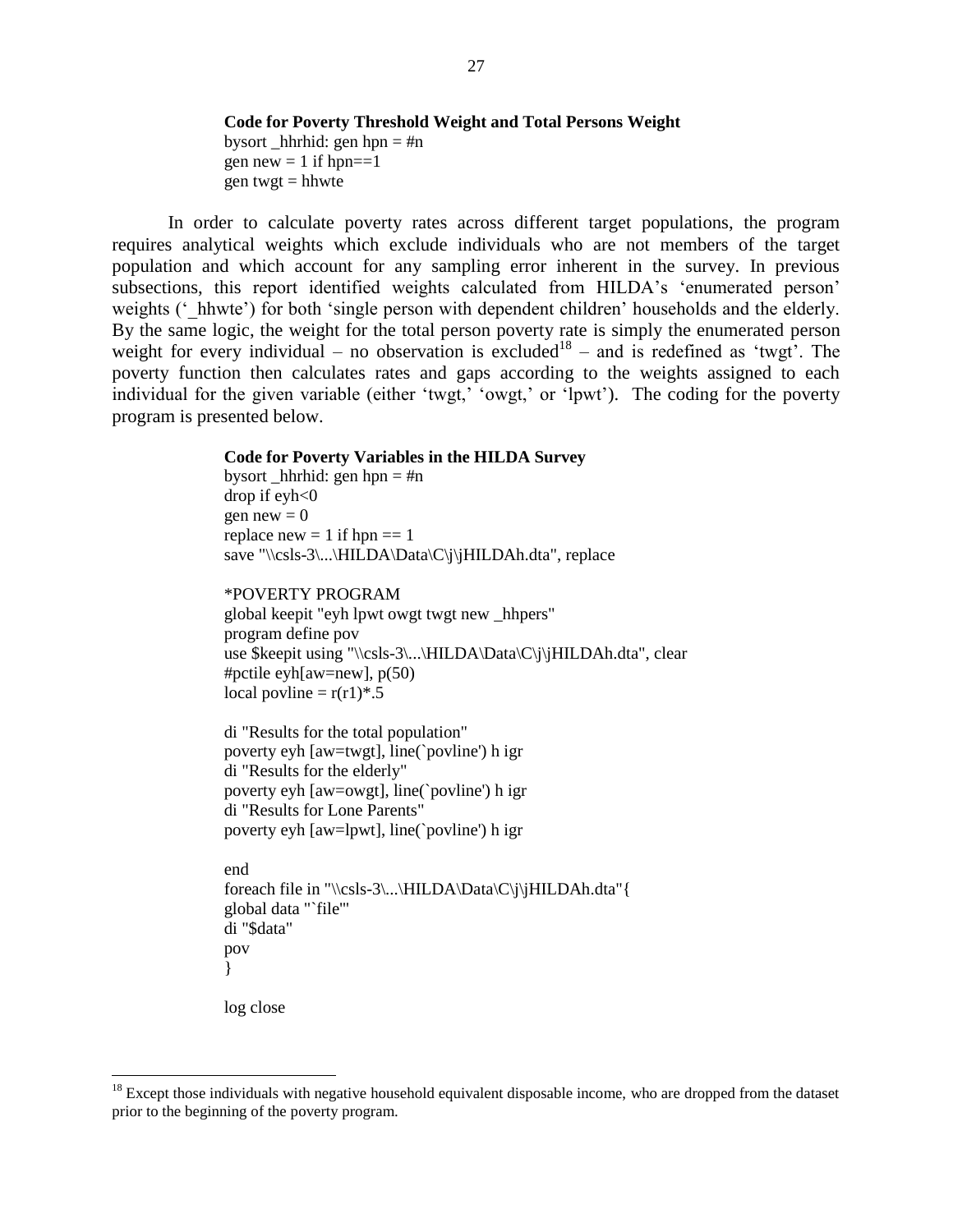#### **Code for Poverty Threshold Weight and Total Persons Weight**

bysort hhrhid: gen hpn  $=$  #n gen new  $= 1$  if hpn= $=1$ gen twgt  $=$  hhwte

In order to calculate poverty rates across different target populations, the program requires analytical weights which exclude individuals who are not members of the target population and which account for any sampling error inherent in the survey. In previous subsections, this report identified weights calculated from HILDA's 'enumerated person' weights ( $'$  hhwte') for both 'single person with dependent children' households and the elderly. By the same logic, the weight for the total person poverty rate is simply the enumerated person weight for every individual – no observation is excluded<sup>18</sup> – and is redefined as 'twgt'. The poverty function then calculates rates and gaps according to the weights assigned to each individual for the given variable (either 'twgt,' 'owgt,' or 'lpwt'). The coding for the poverty program is presented below.

#### **Code for Poverty Variables in the HILDA Survey**

bysort hhrhid: gen hpn  $=$  #n drop if  $evh<0$ gen new  $= 0$ replace new  $= 1$  if hpn  $== 1$ save "\\csls-3\...\HILDA\Data\C\j\jHILDAh.dta", replace

#### \*POVERTY PROGRAM

global keepit "eyh lpwt owgt twgt new \_hhpers" program define pov use \$keepit using "\\csls-3\...\HILDA\Data\C\j\jHILDAh.dta", clear #pctile eyh[aw=new], p(50) local povline =  $r(r1)*.5$ 

di "Results for the total population" poverty eyh [aw=twgt], line(`povline') h igr di "Results for the elderly" poverty eyh [aw=owgt], line(`povline') h igr di "Results for Lone Parents" poverty eyh [aw=lpwt], line(`povline') h igr

end foreach file in "\\csls-3\...\HILDA\Data\C\j\jHILDAh.dta" { global data "`file'" di "\$data" pov }

log close

 $\overline{\phantom{a}}$ 

<sup>&</sup>lt;sup>18</sup> Except those individuals with negative household equivalent disposable income, who are dropped from the dataset prior to the beginning of the poverty program.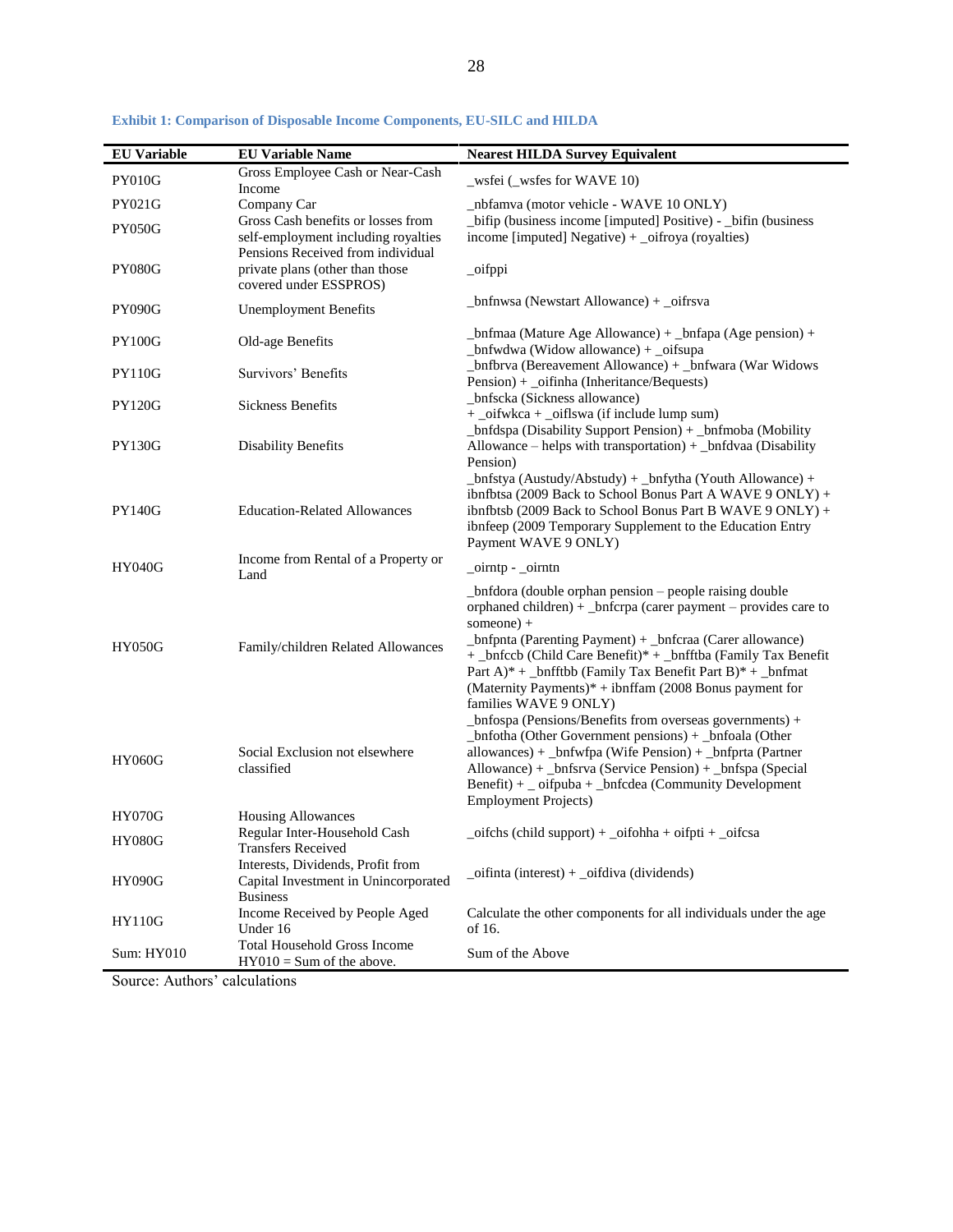| <b>EU Variable</b> | <b>EU Variable Name</b>                                                                                        | <b>Nearest HILDA Survey Equivalent</b>                                                                                                                                                                                                                                                                                                                                                                                       |
|--------------------|----------------------------------------------------------------------------------------------------------------|------------------------------------------------------------------------------------------------------------------------------------------------------------------------------------------------------------------------------------------------------------------------------------------------------------------------------------------------------------------------------------------------------------------------------|
| <b>PY010G</b>      | Gross Employee Cash or Near-Cash<br>Income                                                                     | _wsfei (_wsfes for WAVE 10)                                                                                                                                                                                                                                                                                                                                                                                                  |
| PY021G             | Company Car                                                                                                    | _nbfamva (motor vehicle - WAVE 10 ONLY)                                                                                                                                                                                                                                                                                                                                                                                      |
| <b>PY050G</b>      | Gross Cash benefits or losses from<br>self-employment including royalties<br>Pensions Received from individual | _bifip (business income [imputed] Positive) - _bifin (business<br>income [imputed] Negative) + _oifroya (royalties)                                                                                                                                                                                                                                                                                                          |
| <b>PY080G</b>      | private plans (other than those<br>covered under ESSPROS)                                                      | _oifppi                                                                                                                                                                                                                                                                                                                                                                                                                      |
| <b>PY090G</b>      | <b>Unemployment Benefits</b>                                                                                   | _bnfnwsa (Newstart Allowance) + _oifrsva                                                                                                                                                                                                                                                                                                                                                                                     |
| <b>PY100G</b>      | Old-age Benefits                                                                                               | _bnfmaa (Mature Age Allowance) + _bnfapa (Age pension) +<br>_bnfwdwa (Widow allowance) + _oifsupa                                                                                                                                                                                                                                                                                                                            |
| <b>PY110G</b>      | Survivors' Benefits                                                                                            | _bnfbrva (Bereavement Allowance) + _bnfwara (War Widows<br>Pension) + _oifinha (Inheritance/Bequests)                                                                                                                                                                                                                                                                                                                        |
| <b>PY120G</b>      | <b>Sickness Benefits</b>                                                                                       | _bnfscka (Sickness allowance)<br>+ _oifwkca + _oiflswa (if include lump sum)                                                                                                                                                                                                                                                                                                                                                 |
| <b>PY130G</b>      | <b>Disability Benefits</b>                                                                                     | _bnfdspa (Disability Support Pension) + _bnfmoba (Mobility<br>Allowance – helps with transportation) + _bnfdvaa (Disability<br>Pension)                                                                                                                                                                                                                                                                                      |
| <b>PY140G</b>      | <b>Education-Related Allowances</b>                                                                            | $_{\rm \sim}$ bnfstya (Austudy/Abstudy) + _bnfytha (Youth Allowance) +<br>ibnfbtsa (2009 Back to School Bonus Part A WAVE 9 ONLY) +<br>ibnfbtsb (2009 Back to School Bonus Part B WAVE 9 ONLY) +<br>ibnfeep (2009 Temporary Supplement to the Education Entry<br>Payment WAVE 9 ONLY)                                                                                                                                        |
| <b>HY040G</b>      | Income from Rental of a Property or<br>Land                                                                    | _oirntp - _oirntn                                                                                                                                                                                                                                                                                                                                                                                                            |
| <b>HY050G</b>      | Family/children Related Allowances                                                                             | _bnfdora (double orphan pension – people raising double<br>orphaned children) + _bnfcrpa (carer payment - provides care to<br>someone $)+$<br>_bnfpnta (Parenting Payment) + _bnfcraa (Carer allowance)<br>+ _bnfccb (Child Care Benefit)* + _bnfftba (Family Tax Benefit)<br>Part A)* + _bnfftbb (Family Tax Benefit Part B)* + _bnfmat<br>(Maternity Payments)* + ibnffam (2008 Bonus payment for<br>families WAVE 9 ONLY) |
| <b>HY060G</b>      | Social Exclusion not elsewhere<br>classified                                                                   | _bnfospa (Pensions/Benefits from overseas governments) +<br>_bnfotha (Other Government pensions) + _bnfoala (Other<br>allowances) + _bnfwfpa (Wife Pension) + _bnfprta (Partner<br>Allowance) + _bnfsrva (Service Pension) + _bnfspa (Special<br>Benefit) + _ oifpuba + _bnfcdea (Community Development<br><b>Employment Projects)</b>                                                                                       |
| <b>HY070G</b>      | <b>Housing Allowances</b>                                                                                      |                                                                                                                                                                                                                                                                                                                                                                                                                              |
| <b>HY080G</b>      | Regular Inter-Household Cash<br><b>Transfers Received</b>                                                      | oifchs (child support) + _oifohha + oifpti + _oifcsa                                                                                                                                                                                                                                                                                                                                                                         |
| <b>HY090G</b>      | Interests, Dividends, Profit from<br>Capital Investment in Unincorporated<br><b>Business</b>                   | $of inf$ (interest) + $of div$ (dividends)                                                                                                                                                                                                                                                                                                                                                                                   |
| <b>HY110G</b>      | Income Received by People Aged<br>Under 16                                                                     | Calculate the other components for all individuals under the age<br>of 16.                                                                                                                                                                                                                                                                                                                                                   |
| Sum: HY010         | <b>Total Household Gross Income</b><br>$HY010 = Sum of the above.$                                             | Sum of the Above                                                                                                                                                                                                                                                                                                                                                                                                             |

**Exhibit 1: Comparison of Disposable Income Components, EU-SILC and HILDA**

Source: Authors' calculations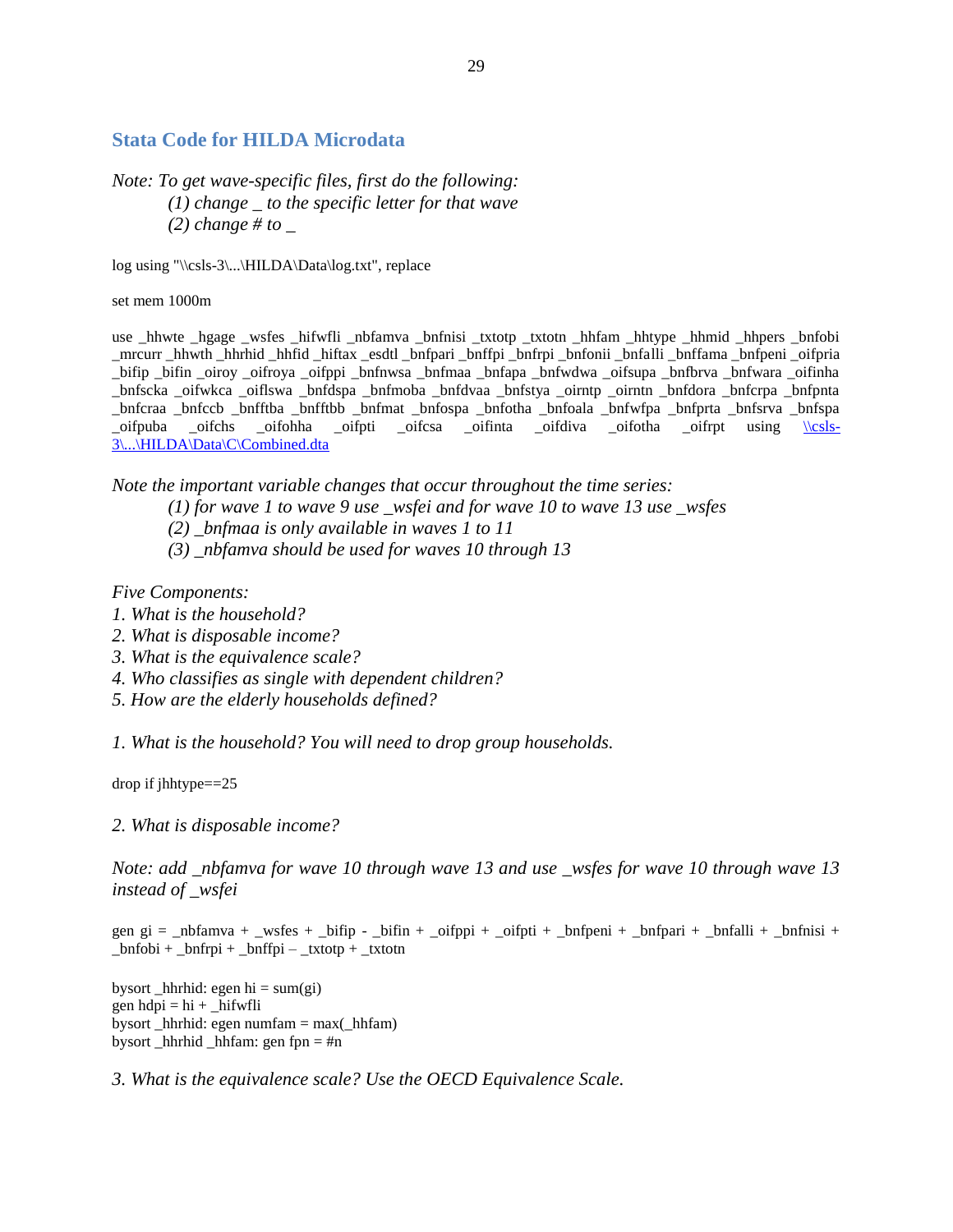### <span id="page-28-0"></span>**Stata Code for HILDA Microdata**

## *Note: To get wave-specific files, first do the following: (1) change \_ to the specific letter for that wave (2) change # to \_*

log using "\\csls-3\...\HILDA\Data\log.txt", replace

set mem 1000m

use hhwte hgage wsfes hifwfli nbfamva bnfnisi txtotp txtotn hhfam hhtype hhmid hhpers bnfobi \_mrcurr \_hhwth \_hhrhid \_hhfid \_hiftax \_esdtl \_bnfpari \_bnffpi \_bnfrpi \_bnfonii \_bnfalli \_bnffama \_bnfpeni \_oifpria \_bifip \_bifin \_oiroy \_oifroya \_oifppi \_bnfnwsa \_bnfmaa \_bnfapa \_bnfwdwa \_oifsupa \_bnfbrva \_bnfwara \_oifinha \_bnfscka \_oifwkca \_oiflswa \_bnfdspa \_bnfmoba \_bnfdvaa \_bnfstya \_oirntp \_oirntn \_bnfdora \_bnfcrpa \_bnfpnta \_bnfcraa \_bnfccb \_bnfftba \_bnfftbb \_bnfmat \_bnfospa \_bnfotha \_bnfoala \_bnfwfpa \_bnfprta \_bnfsrva \_bnfspa \_oifpuba \_oifchs \_oifohha \_oifpti \_oifcsa \_oifinta \_oifdiva \_oifotha \_oifrpt using \[\\csls-](file://csls-3/.../HILDA/Data/C/Combined.dta)[3\...\HILDA\Data\C\Combined.dta](file://csls-3/.../HILDA/Data/C/Combined.dta)

*Note the important variable changes that occur throughout the time series:*

*(1) for wave 1 to wave 9 use \_wsfei and for wave 10 to wave 13 use \_wsfes*

- *(2) \_bnfmaa is only available in waves 1 to 11*
- *(3) \_nbfamva should be used for waves 10 through 13*

*Five Components:* 

- *1. What is the household?*
- *2. What is disposable income?*
- *3. What is the equivalence scale?*
- *4. Who classifies as single with dependent children?*
- *5. How are the elderly households defined?*

*1. What is the household? You will need to drop group households.*

drop if jhhtype==25

*2. What is disposable income?*

*Note: add \_nbfamva for wave 10 through wave 13 and use \_wsfes for wave 10 through wave 13 instead of \_wsfei*

gen gi = \_nbfamva + \_wsfes + \_bifip - \_bifin + \_oifppi + \_oifpti + \_bnfpeni + \_bnfpari + \_bnfalli + \_bnfnisi +  $\_bnfobi + _bnrpi + _bnrfpi - _txtotp + _txtotn$ 

bysort hhrhid: egen hi = sum(gi) gen  $hdpi = hi + \n__hifwfli$ bysort \_hhrhid: egen numfam = max(\_hhfam) bysort \_hhrhid \_hhfam: gen fpn = #n

*3. What is the equivalence scale? Use the OECD Equivalence Scale.*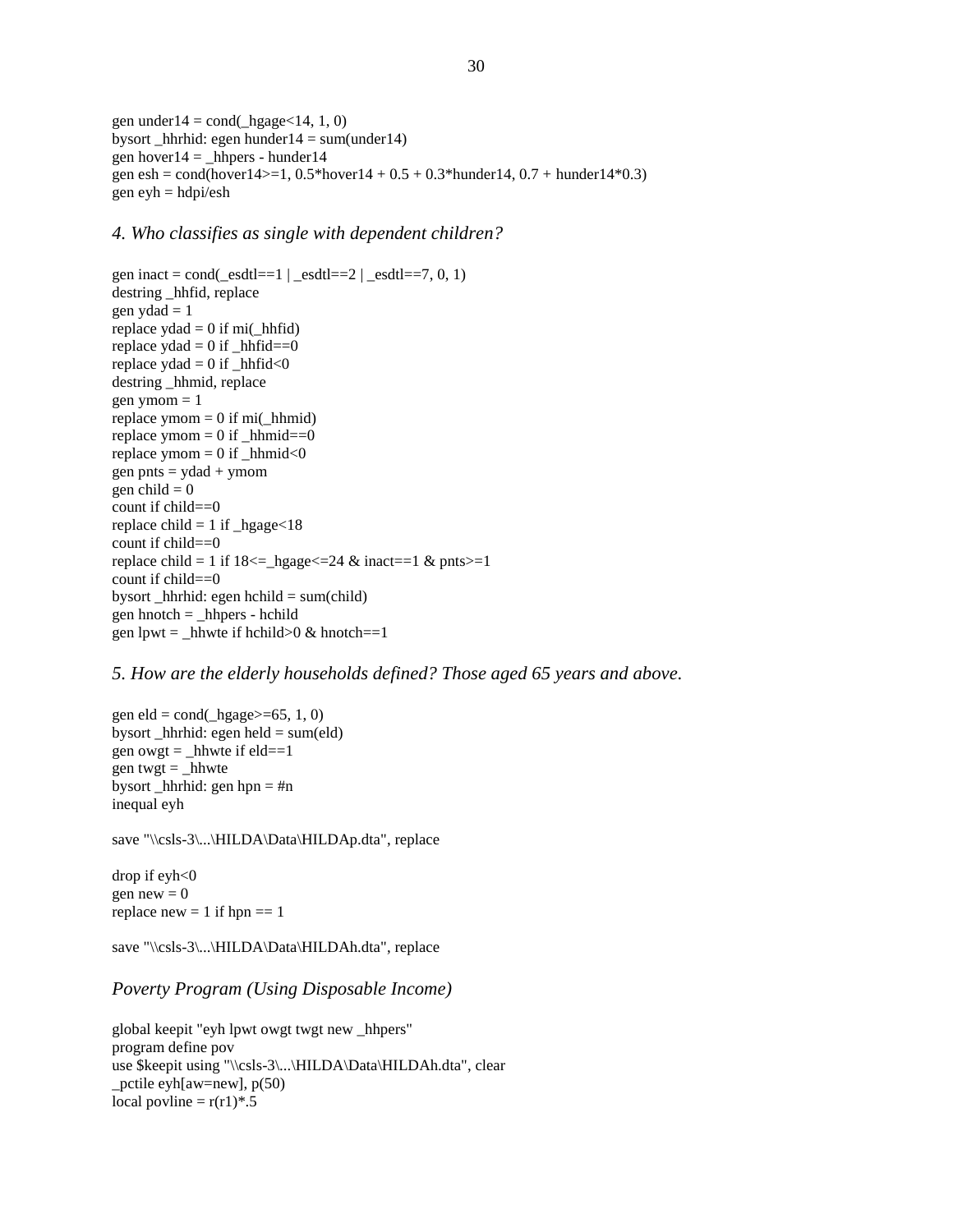gen under  $14 = \text{cond}(\text{hggge} < 14, 1, 0)$ bysort hhrhid: egen hunder $14 = \text{sum}(\text{under}14)$ gen hover $14 =$ \_hhpers - hunder $14$ gen esh = cond(hover $14$  > = 1, 0.5\*hover $14 + 0.5 + 0.3$ \*hunder $14$ , 0.7 + hunder $14$ \*0.3) gen  $evh = hdpi/esh$ 

#### *4. Who classifies as single with dependent children?*

```
gen inact = cond(\text{esdt} = 1 | \text{esdt} = 2 | \text{esdt} = 7, 0, 1)destring _hhfid, replace
gen ydad = 1replace yda = 0 if mi( hhfid)
replace ydad = 0 if _\text{hh}fid==0
replace yda = 0 if _hhfid<0
destring _hhmid, replace
gen ymom = 1replace ymom = 0 if mi(_hhmid)
replace ymom = 0 if _hhmid==0
replace ymom = 0 if _hhmid<0
gen pnts = ydad + ymom
gen child = 0count if child==0
replace child = 1 if _\text{ngage} < 18count if child==0
replace child = 1 if 18 \le \text{hage} \le 24 \& \text{inact} = 1 \& \text{pts} \ge 1count if child==0
bysort _hhrhid: egen hchild = sum(child)
gen hnotch = _hhpers - hchild
gen lpwt = _hhwte if hchild>0 & hnotch==1
```
*5. How are the elderly households defined? Those aged 65 years and above.*

gen eld = cond $(\_\text{hgage}>=65, 1, 0)$ bysort \_hhrhid: egen held = sum(eld) gen owgt = hhwte if  $eld==1$ gen twgt  $=$  hhwte bysort \_hhrhid: gen hpn =  $\#n$ inequal eyh

save "\\csls-3\...\HILDA\Data\HILDAp.dta", replace

drop if eyh<0 gen  $new = 0$ replace  $new = 1$  if  $hpn == 1$ 

save "\\csls-3\...\HILDA\Data\HILDAh.dta", replace

#### *Poverty Program (Using Disposable Income)*

global keepit "eyh lpwt owgt twgt new \_hhpers" program define pov use \$keepit using "\\csls-3\...\HILDA\Data\HILDAh.dta", clear pctile eyh[aw=new],  $p(50)$ local povline =  $r(r1)*.5$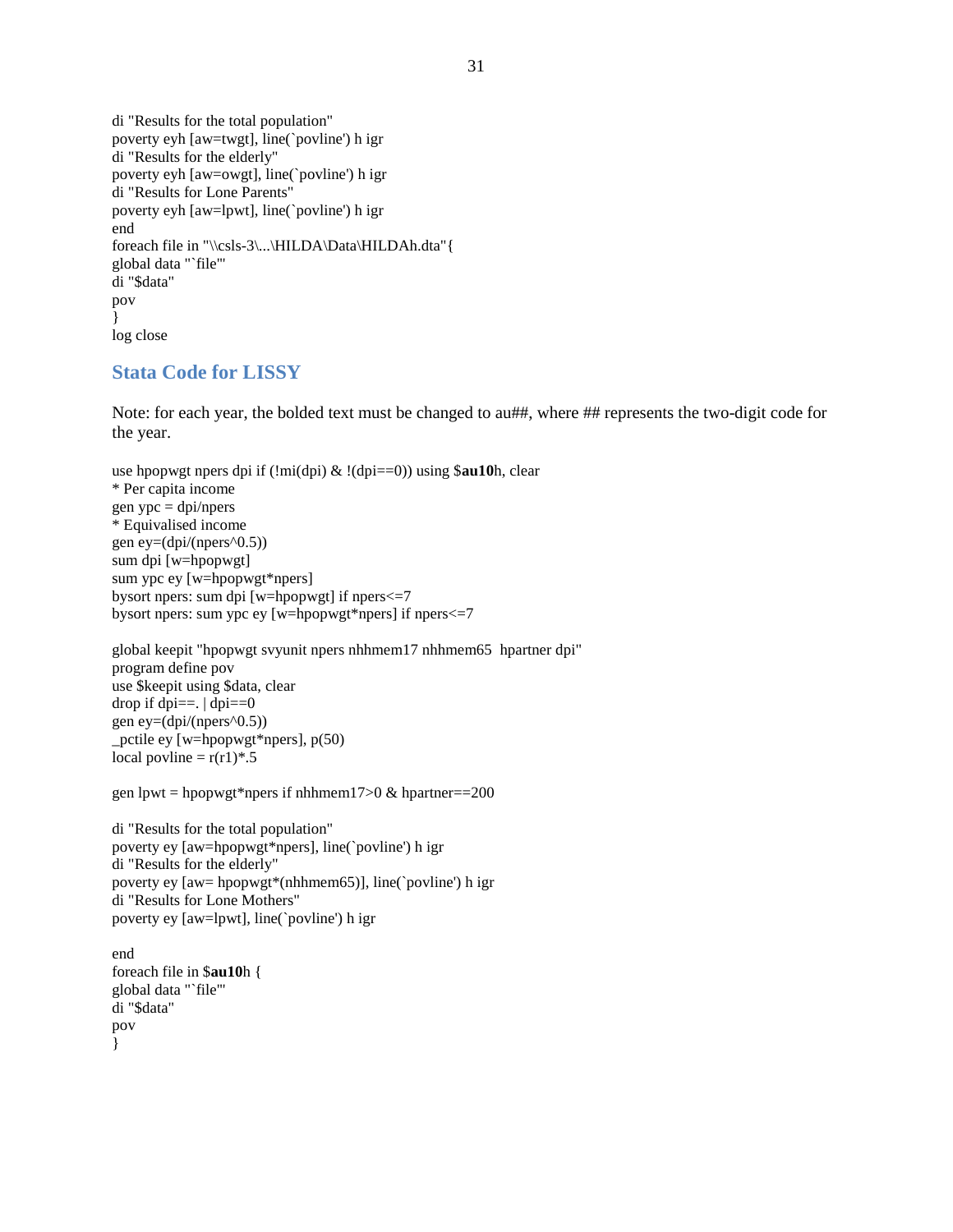di "Results for the total population" poverty eyh [aw=twgt], line(`povline') h igr di "Results for the elderly" poverty eyh [aw=owgt], line(`povline') h igr di "Results for Lone Parents" poverty eyh [aw=lpwt], line(`povline') h igr end foreach file in "\\csls-3\...\HILDA\Data\HILDAh.dta" { global data "`file'" di "\$data" pov } log close

#### <span id="page-30-0"></span>**Stata Code for LISSY**

Note: for each year, the bolded text must be changed to au##, where ## represents the two-digit code for the year.

```
use hpopwgt npers dpi if (!mi(dpi) & !(dpi==0)) using $au10h, clear
* Per capita income
gen ype = \text{dpi/npers}* Equivalised income
gen ey=(dpi/(npers^0.5))
sum dpi [w=hpopwgt]
sum ypc ey [w=hpopwgt*npers]
bysort npers: sum dpi [w=hpopwgt] if npers<=7
bysort npers: sum ypc ey [w=hpopwgt*npers] if npers<=7
```
global keepit "hpopwgt svyunit npers nhhmem17 nhhmem65 hpartner dpi" program define pov use \$keepit using \$data, clear drop if dpi= $=$ . | dpi= $=0$ gen ey= $(dpi/(npers^0.5))$ \_pctile ey [w=hpopwgt\*npers], p(50) local povline =  $r(r1)*.5$ 

gen lpwt = hpopwgt\*npers if nhhmem17>0  $\&$  hpartner==200

di "Results for the total population" poverty ey [aw=hpopwgt\*npers], line(`povline') h igr di "Results for the elderly" poverty ey [aw= hpopwgt\*(nhhmem65)], line(`povline') h igr di "Results for Lone Mothers" poverty ey [aw=lpwt], line(`povline') h igr

end foreach file in \$**au10**h { global data "`file'" di "\$data" pov }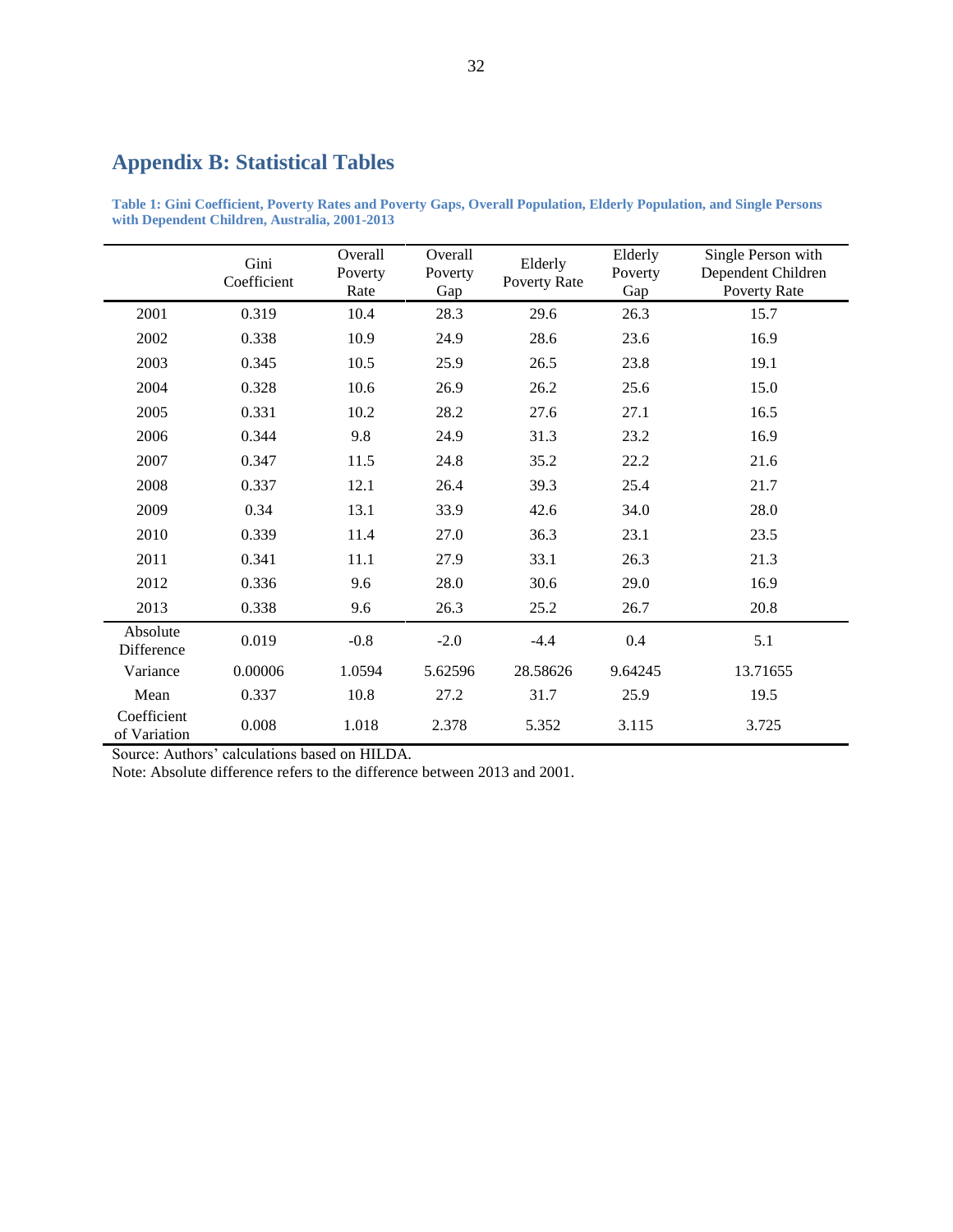## <span id="page-31-0"></span>**Appendix B: Statistical Tables**

<span id="page-31-1"></span>**Table 1: Gini Coefficient, Poverty Rates and Poverty Gaps, Overall Population, Elderly Population, and Single Persons with Dependent Children, Australia, 2001-2013**

|                             | Gini<br>Coefficient | Overall<br>Poverty<br>Rate | Overall<br>Poverty<br>Gap | Elderly<br>Poverty Rate | Elderly<br>Poverty<br>Gap | Single Person with<br>Dependent Children<br>Poverty Rate |
|-----------------------------|---------------------|----------------------------|---------------------------|-------------------------|---------------------------|----------------------------------------------------------|
| 2001                        | 0.319               | 10.4                       | 28.3                      | 29.6                    | 26.3                      | 15.7                                                     |
| 2002                        | 0.338               | 10.9                       | 24.9                      | 28.6                    | 23.6                      | 16.9                                                     |
| 2003                        | 0.345               | 10.5                       | 25.9                      | 26.5                    | 23.8                      | 19.1                                                     |
| 2004                        | 0.328               | 10.6                       | 26.9                      | 26.2                    | 25.6                      | 15.0                                                     |
| 2005                        | 0.331               | 10.2                       | 28.2                      | 27.6                    | 27.1                      | 16.5                                                     |
| 2006                        | 0.344               | 9.8                        | 24.9                      | 31.3                    | 23.2                      | 16.9                                                     |
| 2007                        | 0.347               | 11.5                       | 24.8                      | 35.2                    | 22.2                      | 21.6                                                     |
| 2008                        | 0.337               | 12.1                       | 26.4                      | 39.3                    | 25.4                      | 21.7                                                     |
| 2009                        | 0.34                | 13.1                       | 33.9                      | 42.6                    | 34.0                      | 28.0                                                     |
| 2010                        | 0.339               | 11.4                       | 27.0                      | 36.3                    | 23.1                      | 23.5                                                     |
| 2011                        | 0.341               | 11.1                       | 27.9                      | 33.1                    | 26.3                      | 21.3                                                     |
| 2012                        | 0.336               | 9.6                        | 28.0                      | 30.6                    | 29.0                      | 16.9                                                     |
| 2013                        | 0.338               | 9.6                        | 26.3                      | 25.2                    | 26.7                      | 20.8                                                     |
| Absolute<br>Difference      | 0.019               | $-0.8$                     | $-2.0$                    | $-4.4$                  | 0.4                       | 5.1                                                      |
| Variance                    | 0.00006             | 1.0594                     | 5.62596                   | 28.58626                | 9.64245                   | 13.71655                                                 |
| Mean                        | 0.337               | 10.8                       | 27.2                      | 31.7                    | 25.9                      | 19.5                                                     |
| Coefficient<br>of Variation | 0.008               | 1.018                      | 2.378                     | 5.352                   | 3.115                     | 3.725                                                    |

Source: Authors' calculations based on HILDA.

Note: Absolute difference refers to the difference between 2013 and 2001.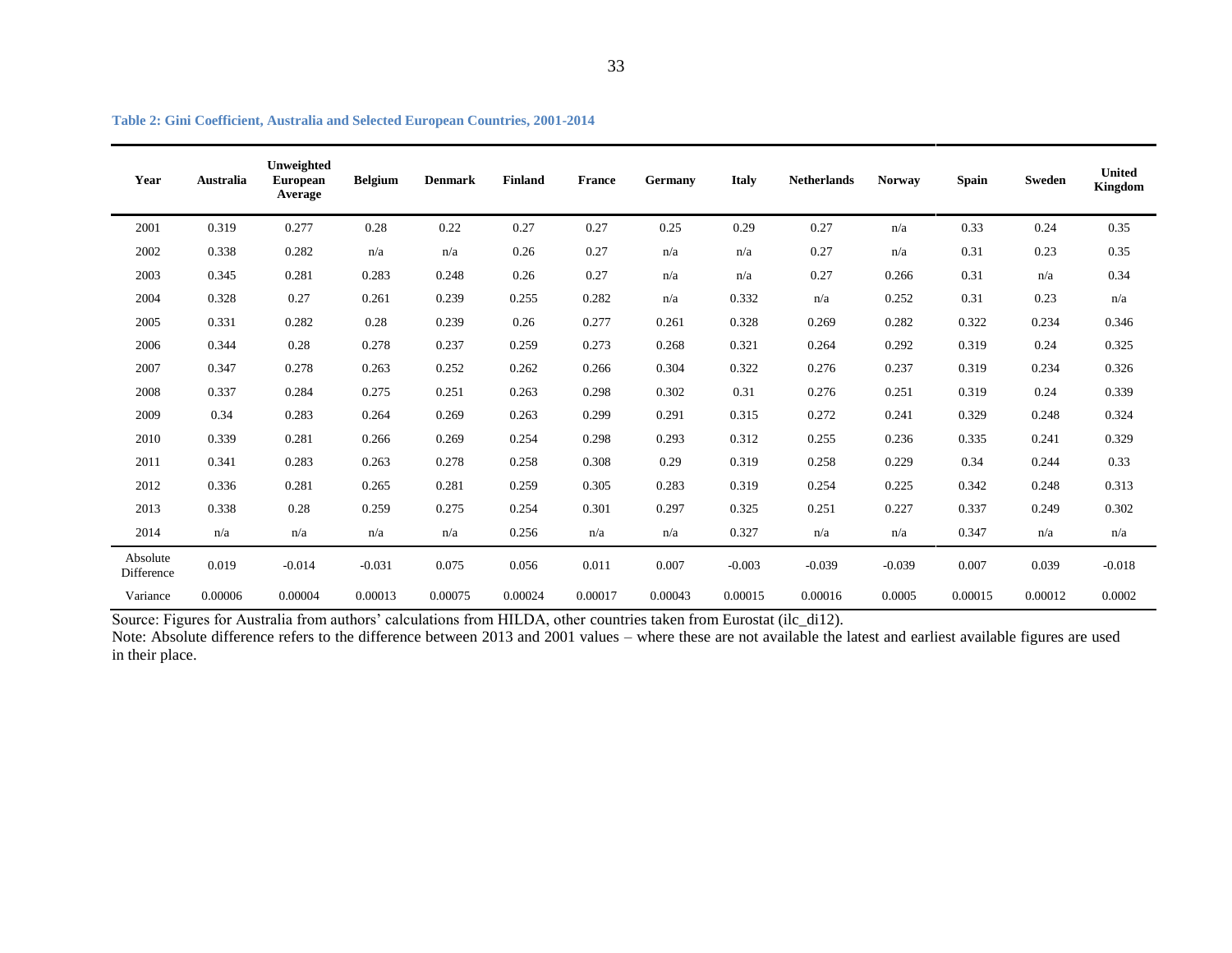| Year                   | Australia | Unweighted<br><b>European</b><br>Average | <b>Belgium</b> | <b>Denmark</b> | <b>Finland</b> | <b>France</b> | Germany | <b>Italy</b> | <b>Netherlands</b> | <b>Norway</b> | <b>Spain</b> | <b>Sweden</b> | <b>United</b><br><b>Kingdom</b> |
|------------------------|-----------|------------------------------------------|----------------|----------------|----------------|---------------|---------|--------------|--------------------|---------------|--------------|---------------|---------------------------------|
| 2001                   | 0.319     | 0.277                                    | 0.28           | 0.22           | 0.27           | 0.27          | 0.25    | 0.29         | 0.27               | n/a           | 0.33         | 0.24          | 0.35                            |
| 2002                   | 0.338     | 0.282                                    | n/a            | n/a            | 0.26           | 0.27          | n/a     | n/a          | 0.27               | n/a           | 0.31         | 0.23          | 0.35                            |
| 2003                   | 0.345     | 0.281                                    | 0.283          | 0.248          | 0.26           | 0.27          | n/a     | n/a          | 0.27               | 0.266         | 0.31         | n/a           | 0.34                            |
| 2004                   | 0.328     | 0.27                                     | 0.261          | 0.239          | 0.255          | 0.282         | n/a     | 0.332        | n/a                | 0.252         | 0.31         | 0.23          | n/a                             |
| 2005                   | 0.331     | 0.282                                    | 0.28           | 0.239          | 0.26           | 0.277         | 0.261   | 0.328        | 0.269              | 0.282         | 0.322        | 0.234         | 0.346                           |
| 2006                   | 0.344     | 0.28                                     | 0.278          | 0.237          | 0.259          | 0.273         | 0.268   | 0.321        | 0.264              | 0.292         | 0.319        | 0.24          | 0.325                           |
| 2007                   | 0.347     | 0.278                                    | 0.263          | 0.252          | 0.262          | 0.266         | 0.304   | 0.322        | 0.276              | 0.237         | 0.319        | 0.234         | 0.326                           |
| 2008                   | 0.337     | 0.284                                    | 0.275          | 0.251          | 0.263          | 0.298         | 0.302   | 0.31         | 0.276              | 0.251         | 0.319        | 0.24          | 0.339                           |
| 2009                   | 0.34      | 0.283                                    | 0.264          | 0.269          | 0.263          | 0.299         | 0.291   | 0.315        | 0.272              | 0.241         | 0.329        | 0.248         | 0.324                           |
| 2010                   | 0.339     | 0.281                                    | 0.266          | 0.269          | 0.254          | 0.298         | 0.293   | 0.312        | 0.255              | 0.236         | 0.335        | 0.241         | 0.329                           |
| 2011                   | 0.341     | 0.283                                    | 0.263          | 0.278          | 0.258          | 0.308         | 0.29    | 0.319        | 0.258              | 0.229         | 0.34         | 0.244         | 0.33                            |
| 2012                   | 0.336     | 0.281                                    | 0.265          | 0.281          | 0.259          | 0.305         | 0.283   | 0.319        | 0.254              | 0.225         | 0.342        | 0.248         | 0.313                           |
| 2013                   | 0.338     | 0.28                                     | 0.259          | 0.275          | 0.254          | 0.301         | 0.297   | 0.325        | 0.251              | 0.227         | 0.337        | 0.249         | 0.302                           |
| 2014                   | n/a       | n/a                                      | n/a            | n/a            | 0.256          | n/a           | n/a     | 0.327        | n/a                | n/a           | 0.347        | n/a           | n/a                             |
| Absolute<br>Difference | 0.019     | $-0.014$                                 | $-0.031$       | 0.075          | 0.056          | 0.011         | 0.007   | $-0.003$     | $-0.039$           | $-0.039$      | 0.007        | 0.039         | $-0.018$                        |
| Variance               | 0.00006   | 0.00004                                  | 0.00013        | 0.00075        | 0.00024        | 0.00017       | 0.00043 | 0.00015      | 0.00016            | 0.0005        | 0.00015      | 0.00012       | 0.0002                          |

**Table 2: Gini Coefficient, Australia and Selected European Countries, 2001-2014**

<span id="page-32-0"></span>Source: Figures for Australia from authors' calculations from HILDA, other countries taken from Eurostat (ilc\_di12).

Note: Absolute difference refers to the difference between 2013 and 2001 values – where these are not available the latest and earliest available figures are used in their place.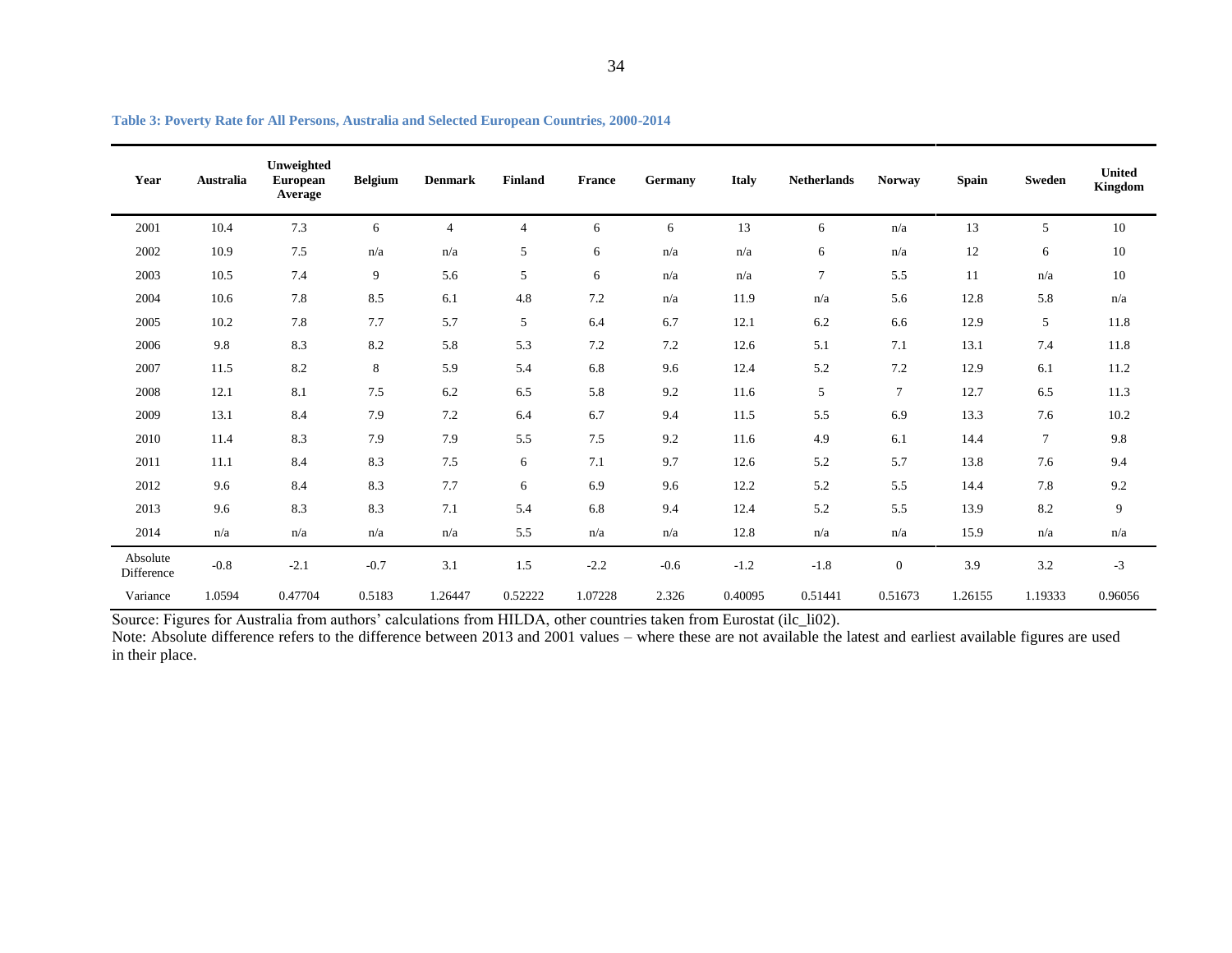| Year                   | Australia | Unweighted<br><b>European</b><br>Average | <b>Belgium</b> | <b>Denmark</b> | <b>Finland</b> | <b>France</b> | Germany | <b>Italy</b> | <b>Netherlands</b> | <b>Norway</b>    | <b>Spain</b> | <b>Sweden</b> | <b>United</b><br><b>Kingdom</b> |
|------------------------|-----------|------------------------------------------|----------------|----------------|----------------|---------------|---------|--------------|--------------------|------------------|--------------|---------------|---------------------------------|
| 2001                   | 10.4      | 7.3                                      | 6              | $\overline{4}$ | $\overline{4}$ | 6             | 6       | 13           | 6                  | n/a              | 13           | 5             | 10                              |
| 2002                   | 10.9      | 7.5                                      | n/a            | n/a            | 5              | 6             | n/a     | n/a          | 6                  | n/a              | 12           | 6             | 10                              |
| 2003                   | 10.5      | 7.4                                      | 9              | 5.6            | 5              | 6             | n/a     | n/a          | $\tau$             | 5.5              | 11           | n/a           | 10                              |
| 2004                   | 10.6      | 7.8                                      | 8.5            | 6.1            | 4.8            | 7.2           | n/a     | 11.9         | n/a                | 5.6              | 12.8         | 5.8           | n/a                             |
| 2005                   | 10.2      | 7.8                                      | 7.7            | 5.7            | 5              | 6.4           | 6.7     | 12.1         | 6.2                | 6.6              | 12.9         | 5             | 11.8                            |
| 2006                   | 9.8       | 8.3                                      | 8.2            | 5.8            | 5.3            | 7.2           | 7.2     | 12.6         | 5.1                | 7.1              | 13.1         | 7.4           | 11.8                            |
| 2007                   | 11.5      | 8.2                                      | 8              | 5.9            | 5.4            | 6.8           | 9.6     | 12.4         | 5.2                | 7.2              | 12.9         | 6.1           | 11.2                            |
| 2008                   | 12.1      | 8.1                                      | 7.5            | 6.2            | 6.5            | 5.8           | 9.2     | 11.6         | 5                  | $\overline{7}$   | 12.7         | 6.5           | 11.3                            |
| 2009                   | 13.1      | 8.4                                      | 7.9            | 7.2            | 6.4            | 6.7           | 9.4     | 11.5         | 5.5                | 6.9              | 13.3         | 7.6           | 10.2                            |
| 2010                   | 11.4      | 8.3                                      | 7.9            | 7.9            | 5.5            | $7.5\,$       | 9.2     | 11.6         | 4.9                | 6.1              | 14.4         | $\tau$        | 9.8                             |
| 2011                   | 11.1      | 8.4                                      | 8.3            | $7.5\,$        | 6              | 7.1           | 9.7     | 12.6         | 5.2                | 5.7              | 13.8         | 7.6           | 9.4                             |
| 2012                   | 9.6       | 8.4                                      | 8.3            | 7.7            | 6              | 6.9           | 9.6     | 12.2         | 5.2                | 5.5              | 14.4         | 7.8           | 9.2                             |
| 2013                   | 9.6       | 8.3                                      | 8.3            | 7.1            | 5.4            | 6.8           | 9.4     | 12.4         | 5.2                | 5.5              | 13.9         | 8.2           | 9                               |
| 2014                   | n/a       | n/a                                      | n/a            | n/a            | 5.5            | n/a           | n/a     | 12.8         | n/a                | n/a              | 15.9         | n/a           | n/a                             |
| Absolute<br>Difference | $-0.8$    | $-2.1$                                   | $-0.7$         | 3.1            | 1.5            | $-2.2$        | $-0.6$  | $-1.2$       | $-1.8$             | $\boldsymbol{0}$ | 3.9          | 3.2           | $-3$                            |
| Variance               | 1.0594    | 0.47704                                  | 0.5183         | 1.26447        | 0.52222        | 1.07228       | 2.326   | 0.40095      | 0.51441            | 0.51673          | 1.26155      | 1.19333       | 0.96056                         |

**Table 3: Poverty Rate for All Persons, Australia and Selected European Countries, 2000-2014**

<span id="page-33-0"></span>Source: Figures for Australia from authors' calculations from HILDA, other countries taken from Eurostat (ilc\_li02).

Note: Absolute difference refers to the difference between 2013 and 2001 values – where these are not available the latest and earliest available figures are used in their place.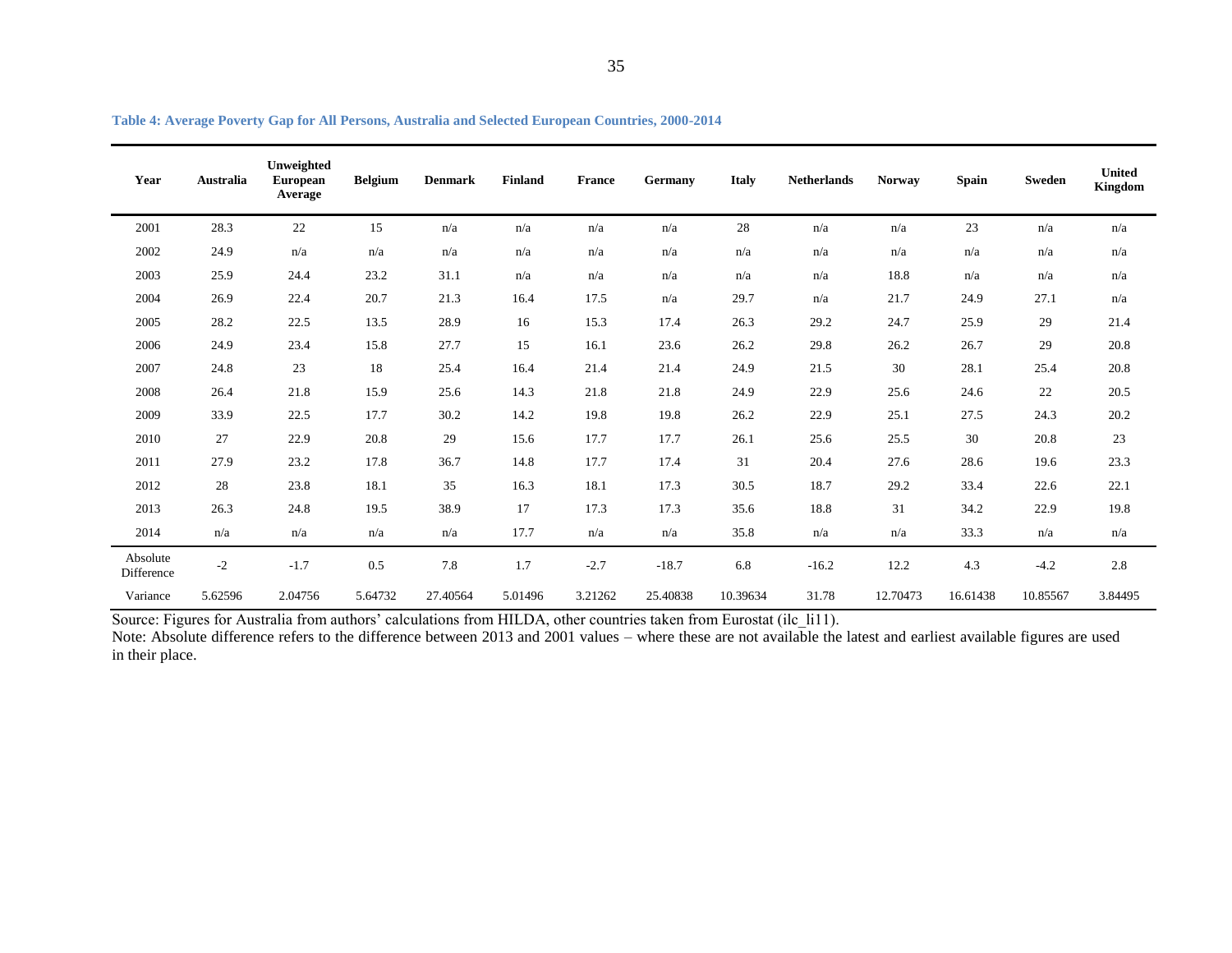| Year                   | <b>Australia</b> | Unweighted<br><b>European</b><br>Average | <b>Belgium</b> | <b>Denmark</b> | <b>Finland</b> | <b>France</b> | Germany  | <b>Italy</b> | <b>Netherlands</b> | <b>Norway</b> | <b>Spain</b> | <b>Sweden</b> | <b>United</b><br><b>Kingdom</b> |
|------------------------|------------------|------------------------------------------|----------------|----------------|----------------|---------------|----------|--------------|--------------------|---------------|--------------|---------------|---------------------------------|
| 2001                   | 28.3             | $22\,$                                   | 15             | n/a            | n/a            | n/a           | n/a      | $28\,$       | n/a                | n/a           | 23           | n/a           | n/a                             |
| 2002                   | 24.9             | n/a                                      | n/a            | n/a            | n/a            | n/a           | n/a      | n/a          | n/a                | n/a           | n/a          | n/a           | n/a                             |
| 2003                   | 25.9             | 24.4                                     | 23.2           | 31.1           | n/a            | n/a           | n/a      | n/a          | n/a                | 18.8          | n/a          | n/a           | n/a                             |
| 2004                   | 26.9             | 22.4                                     | 20.7           | 21.3           | 16.4           | 17.5          | n/a      | 29.7         | n/a                | 21.7          | 24.9         | 27.1          | n/a                             |
| 2005                   | 28.2             | 22.5                                     | 13.5           | 28.9           | 16             | 15.3          | 17.4     | 26.3         | 29.2               | 24.7          | 25.9         | 29            | 21.4                            |
| 2006                   | 24.9             | 23.4                                     | 15.8           | 27.7           | 15             | 16.1          | 23.6     | 26.2         | 29.8               | 26.2          | 26.7         | 29            | 20.8                            |
| 2007                   | 24.8             | 23                                       | 18             | 25.4           | 16.4           | 21.4          | 21.4     | 24.9         | 21.5               | 30            | 28.1         | 25.4          | 20.8                            |
| 2008                   | 26.4             | 21.8                                     | 15.9           | 25.6           | 14.3           | 21.8          | 21.8     | 24.9         | 22.9               | 25.6          | 24.6         | 22            | 20.5                            |
| 2009                   | 33.9             | 22.5                                     | 17.7           | 30.2           | 14.2           | 19.8          | 19.8     | 26.2         | 22.9               | 25.1          | 27.5         | 24.3          | 20.2                            |
| 2010                   | 27               | 22.9                                     | 20.8           | 29             | 15.6           | 17.7          | 17.7     | 26.1         | 25.6               | 25.5          | 30           | 20.8          | 23                              |
| 2011                   | 27.9             | 23.2                                     | 17.8           | 36.7           | 14.8           | 17.7          | 17.4     | 31           | 20.4               | 27.6          | 28.6         | 19.6          | 23.3                            |
| 2012                   | 28               | 23.8                                     | 18.1           | 35             | 16.3           | 18.1          | 17.3     | 30.5         | 18.7               | 29.2          | 33.4         | 22.6          | 22.1                            |
| 2013                   | 26.3             | 24.8                                     | 19.5           | 38.9           | 17             | 17.3          | 17.3     | 35.6         | 18.8               | 31            | 34.2         | 22.9          | 19.8                            |
| 2014                   | n/a              | n/a                                      | n/a            | n/a            | 17.7           | n/a           | n/a      | 35.8         | n/a                | n/a           | 33.3         | n/a           | n/a                             |
| Absolute<br>Difference | $-2$             | $-1.7$                                   | 0.5            | 7.8            | 1.7            | $-2.7$        | $-18.7$  | 6.8          | $-16.2$            | 12.2          | 4.3          | $-4.2$        | 2.8                             |
| Variance               | 5.62596          | 2.04756                                  | 5.64732        | 27.40564       | 5.01496        | 3.21262       | 25.40838 | 10.39634     | 31.78              | 12.70473      | 16.61438     | 10.85567      | 3.84495                         |

<span id="page-34-0"></span>Source: Figures for Australia from authors' calculations from HILDA, other countries taken from Eurostat (ilc li11).

Note: Absolute difference refers to the difference between 2013 and 2001 values – where these are not available the latest and earliest available figures are used in their place.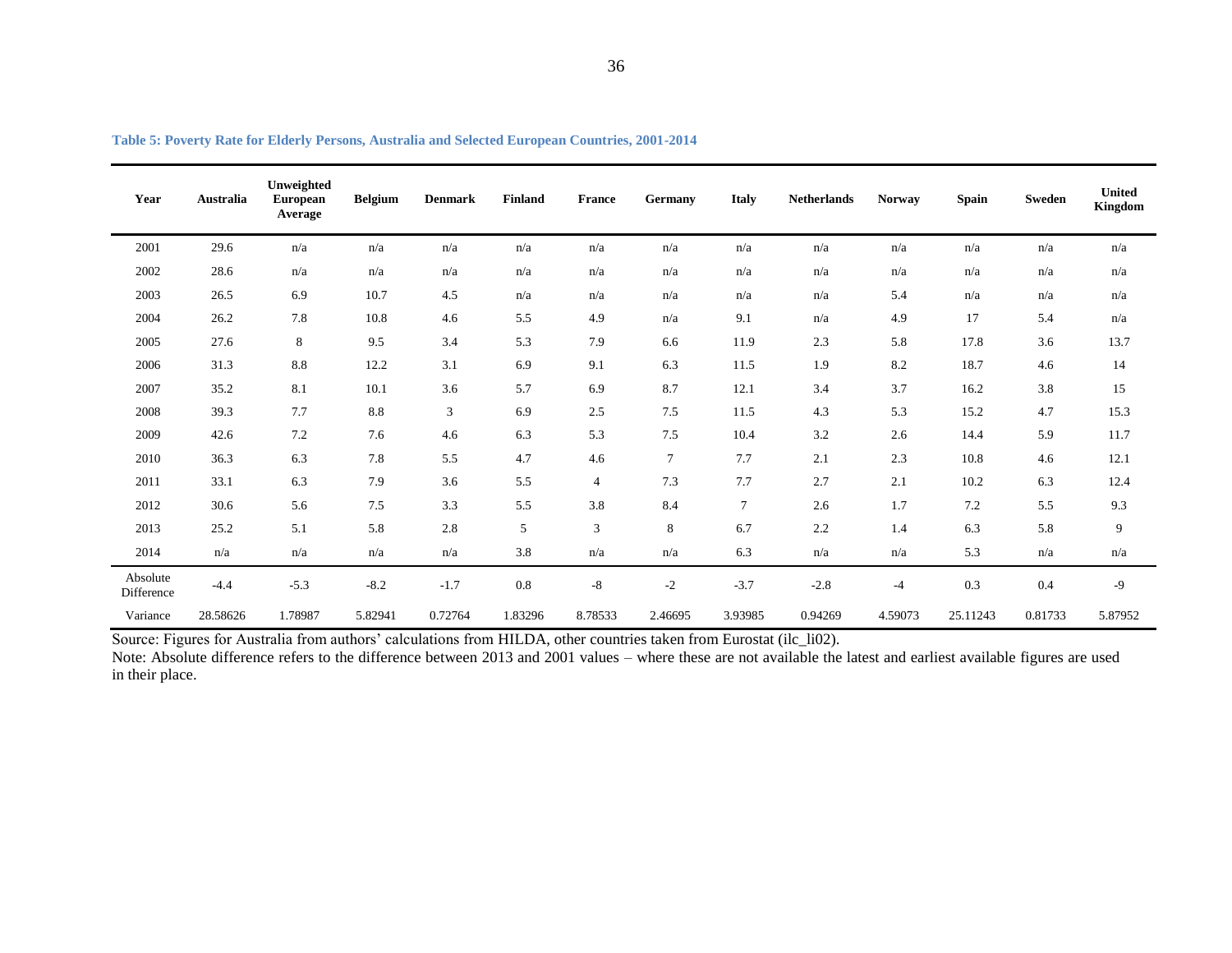| Year                   | <b>Australia</b> | Unweighted<br><b>European</b><br>Average | <b>Belgium</b> | <b>Denmark</b> | <b>Finland</b> | <b>France</b>  | Germany        | <b>Italy</b>   | <b>Netherlands</b> | <b>Norway</b> | <b>Spain</b> | <b>Sweden</b> | <b>United</b><br><b>Kingdom</b> |
|------------------------|------------------|------------------------------------------|----------------|----------------|----------------|----------------|----------------|----------------|--------------------|---------------|--------------|---------------|---------------------------------|
| 2001                   | 29.6             | n/a                                      | n/a            | n/a            | n/a            | n/a            | n/a            | n/a            | n/a                | n/a           | n/a          | n/a           | n/a                             |
| 2002                   | 28.6             | n/a                                      | n/a            | n/a            | n/a            | n/a            | n/a            | n/a            | n/a                | n/a           | n/a          | n/a           | n/a                             |
| 2003                   | 26.5             | 6.9                                      | 10.7           | 4.5            | n/a            | n/a            | n/a            | n/a            | n/a                | 5.4           | n/a          | n/a           | n/a                             |
| 2004                   | 26.2             | 7.8                                      | 10.8           | 4.6            | 5.5            | 4.9            | n/a            | 9.1            | n/a                | 4.9           | 17           | 5.4           | n/a                             |
| 2005                   | 27.6             | 8                                        | 9.5            | 3.4            | 5.3            | 7.9            | 6.6            | 11.9           | 2.3                | 5.8           | 17.8         | 3.6           | 13.7                            |
| 2006                   | 31.3             | 8.8                                      | 12.2           | 3.1            | 6.9            | 9.1            | 6.3            | 11.5           | 1.9                | 8.2           | 18.7         | 4.6           | 14                              |
| 2007                   | 35.2             | 8.1                                      | 10.1           | 3.6            | 5.7            | 6.9            | 8.7            | 12.1           | 3.4                | 3.7           | 16.2         | 3.8           | 15                              |
| 2008                   | 39.3             | 7.7                                      | 8.8            | $\mathfrak{Z}$ | 6.9            | 2.5            | 7.5            | 11.5           | 4.3                | 5.3           | 15.2         | 4.7           | 15.3                            |
| 2009                   | 42.6             | 7.2                                      | 7.6            | 4.6            | 6.3            | 5.3            | 7.5            | 10.4           | 3.2                | 2.6           | 14.4         | 5.9           | 11.7                            |
| 2010                   | 36.3             | 6.3                                      | 7.8            | 5.5            | 4.7            | 4.6            | $\overline{7}$ | 7.7            | 2.1                | 2.3           | 10.8         | 4.6           | 12.1                            |
| 2011                   | 33.1             | 6.3                                      | 7.9            | 3.6            | 5.5            | $\overline{4}$ | 7.3            | 7.7            | 2.7                | 2.1           | 10.2         | 6.3           | 12.4                            |
| 2012                   | 30.6             | 5.6                                      | 7.5            | 3.3            | 5.5            | 3.8            | 8.4            | $\overline{7}$ | 2.6                | 1.7           | $7.2\,$      | 5.5           | 9.3                             |
| 2013                   | 25.2             | 5.1                                      | 5.8            | 2.8            | 5              | 3              | 8              | 6.7            | 2.2                | 1.4           | 6.3          | 5.8           | 9                               |
| 2014                   | n/a              | n/a                                      | n/a            | n/a            | 3.8            | n/a            | n/a            | 6.3            | n/a                | n/a           | 5.3          | n/a           | n/a                             |
| Absolute<br>Difference | $-4.4$           | $-5.3$                                   | $-8.2$         | $-1.7$         | 0.8            | $-8$           | $-2$           | $-3.7$         | $-2.8$             | $-4$          | 0.3          | 0.4           | $-9$                            |
| Variance               | 28.58626         | 1.78987                                  | 5.82941        | 0.72764        | 1.83296        | 8.78533        | 2.46695        | 3.93985        | 0.94269            | 4.59073       | 25.11243     | 0.81733       | 5.87952                         |

| Table 5: Poverty Rate for Elderly Persons, Australia and Selected European Countries, 2001-2014 |
|-------------------------------------------------------------------------------------------------|
|-------------------------------------------------------------------------------------------------|

<span id="page-35-0"></span>Source: Figures for Australia from authors' calculations from HILDA, other countries taken from Eurostat (ilc\_li02).

Note: Absolute difference refers to the difference between 2013 and 2001 values – where these are not available the latest and earliest available figures are used in their place.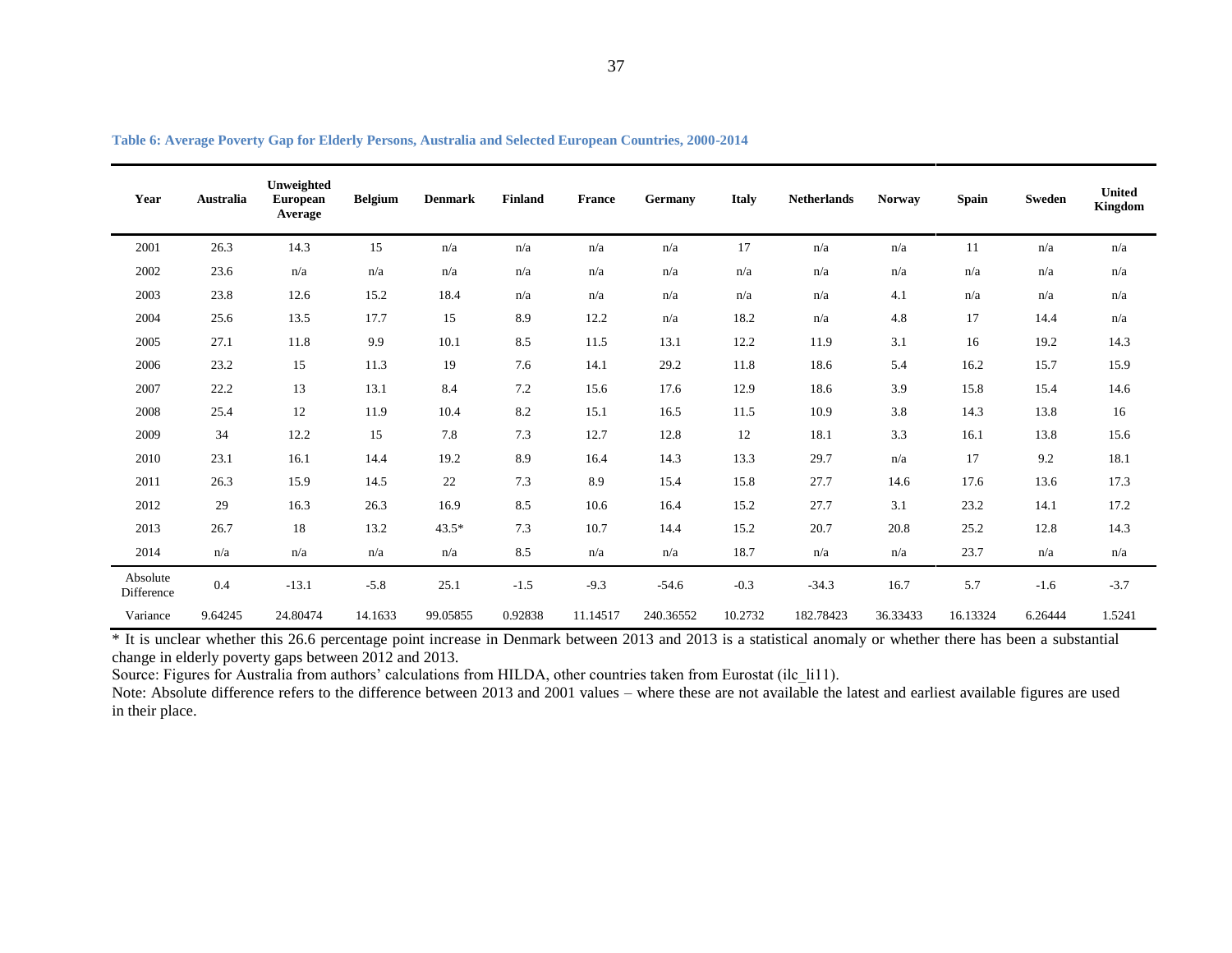| Year                   | Australia | Unweighted<br><b>European</b><br>Average | <b>Belgium</b> | <b>Denmark</b> | <b>Finland</b> | <b>France</b> | Germany   | <b>Italy</b> | <b>Netherlands</b> | <b>Norway</b> | <b>Spain</b> | <b>Sweden</b> | <b>United</b><br><b>Kingdom</b> |
|------------------------|-----------|------------------------------------------|----------------|----------------|----------------|---------------|-----------|--------------|--------------------|---------------|--------------|---------------|---------------------------------|
| 2001                   | 26.3      | 14.3                                     | 15             | n/a            | n/a            | n/a           | n/a       | 17           | n/a                | n/a           | 11           | n/a           | n/a                             |
| 2002                   | 23.6      | n/a                                      | n/a            | n/a            | n/a            | n/a           | n/a       | n/a          | n/a                | n/a           | n/a          | n/a           | n/a                             |
| 2003                   | 23.8      | 12.6                                     | 15.2           | 18.4           | n/a            | n/a           | n/a       | n/a          | n/a                | 4.1           | n/a          | n/a           | n/a                             |
| 2004                   | 25.6      | 13.5                                     | 17.7           | 15             | 8.9            | 12.2          | n/a       | 18.2         | n/a                | 4.8           | 17           | 14.4          | n/a                             |
| 2005                   | 27.1      | 11.8                                     | 9.9            | 10.1           | 8.5            | 11.5          | 13.1      | 12.2         | 11.9               | 3.1           | 16           | 19.2          | 14.3                            |
| 2006                   | 23.2      | 15                                       | 11.3           | 19             | 7.6            | 14.1          | 29.2      | 11.8         | 18.6               | 5.4           | 16.2         | 15.7          | 15.9                            |
| 2007                   | 22.2      | 13                                       | 13.1           | 8.4            | 7.2            | 15.6          | 17.6      | 12.9         | 18.6               | 3.9           | 15.8         | 15.4          | 14.6                            |
| 2008                   | 25.4      | 12                                       | 11.9           | 10.4           | 8.2            | 15.1          | 16.5      | 11.5         | 10.9               | 3.8           | 14.3         | 13.8          | 16                              |
| 2009                   | 34        | 12.2                                     | 15             | 7.8            | 7.3            | 12.7          | 12.8      | 12           | 18.1               | 3.3           | 16.1         | 13.8          | 15.6                            |
| 2010                   | 23.1      | 16.1                                     | 14.4           | 19.2           | 8.9            | 16.4          | 14.3      | 13.3         | 29.7               | n/a           | 17           | 9.2           | 18.1                            |
| 2011                   | 26.3      | 15.9                                     | 14.5           | 22             | 7.3            | 8.9           | 15.4      | 15.8         | 27.7               | 14.6          | 17.6         | 13.6          | 17.3                            |
| 2012                   | 29        | 16.3                                     | 26.3           | 16.9           | 8.5            | 10.6          | 16.4      | 15.2         | 27.7               | 3.1           | 23.2         | 14.1          | 17.2                            |
| 2013                   | 26.7      | 18                                       | 13.2           | $43.5*$        | 7.3            | 10.7          | 14.4      | 15.2         | 20.7               | 20.8          | 25.2         | 12.8          | 14.3                            |
| 2014                   | n/a       | n/a                                      | n/a            | n/a            | 8.5            | n/a           | n/a       | 18.7         | n/a                | n/a           | 23.7         | n/a           | n/a                             |
| Absolute<br>Difference | 0.4       | $-13.1$                                  | $-5.8$         | 25.1           | $-1.5$         | $-9.3$        | $-54.6$   | $-0.3$       | $-34.3$            | 16.7          | 5.7          | $-1.6$        | $-3.7$                          |
| Variance               | 9.64245   | 24.80474                                 | 14.1633        | 99.05855       | 0.92838        | 11.14517      | 240.36552 | 10.2732      | 182.78423          | 36.33433      | 16.13324     | 6.26444       | 1.5241                          |

| Table 6: Average Poverty Gap for Elderly Persons, Australia and Selected European Countries, 2000-2014 |  |
|--------------------------------------------------------------------------------------------------------|--|
|                                                                                                        |  |

<span id="page-36-0"></span>\* It is unclear whether this 26.6 percentage point increase in Denmark between 2013 and 2013 is a statistical anomaly or whether there has been a substantial change in elderly poverty gaps between 2012 and 2013.

Source: Figures for Australia from authors' calculations from HILDA, other countries taken from Eurostat (ilc\_li11).

Note: Absolute difference refers to the difference between 2013 and 2001 values – where these are not available the latest and earliest available figures are used in their place.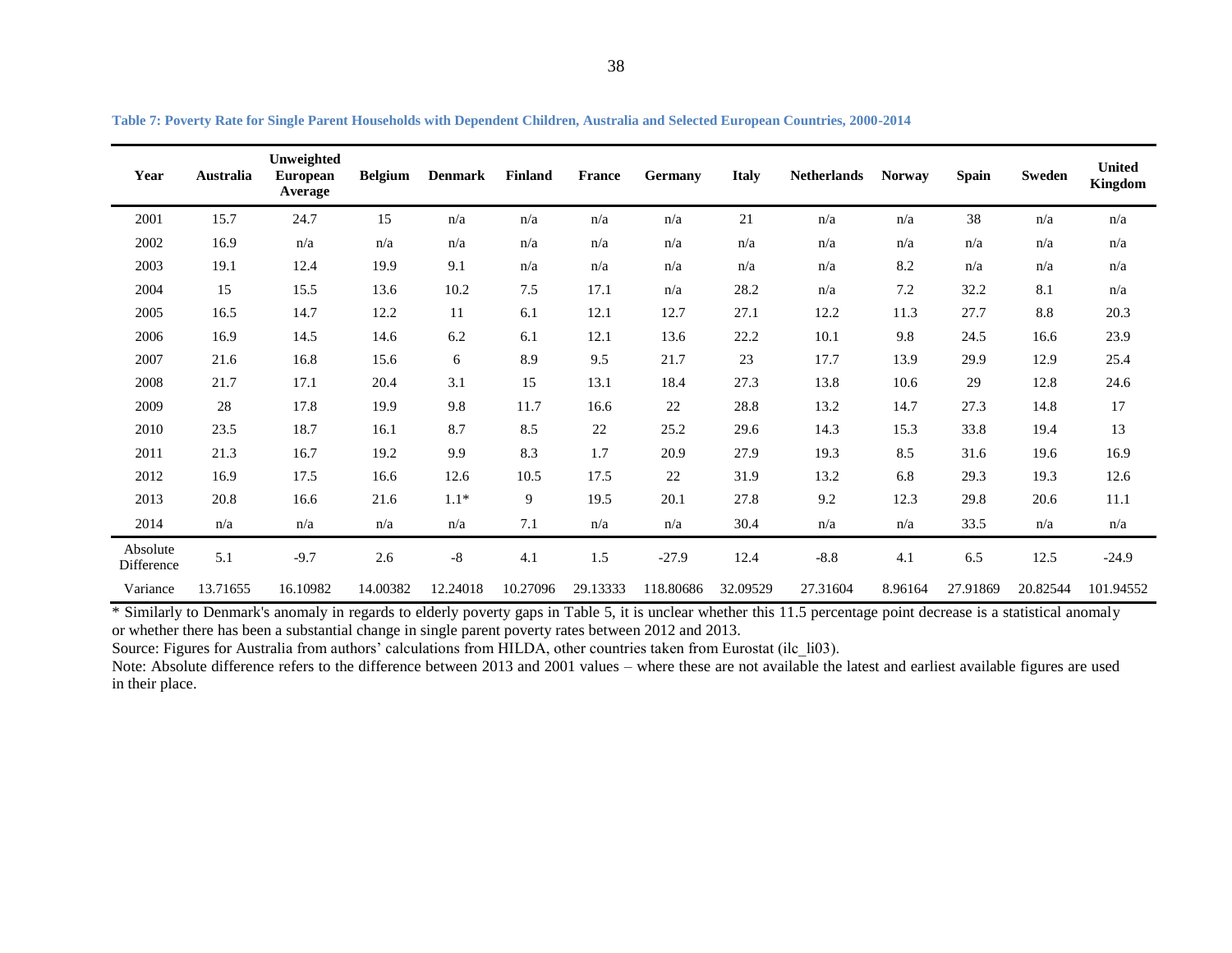| Year                   | Australia | Unweighted<br><b>European</b><br>Average | <b>Belgium</b> | <b>Denmark</b> | <b>Finland</b> | <b>France</b> | Germany   | <b>Italy</b> | <b>Netherlands</b> | <b>Norway</b> | <b>Spain</b> | Sweden   | <b>United</b><br>Kingdom |
|------------------------|-----------|------------------------------------------|----------------|----------------|----------------|---------------|-----------|--------------|--------------------|---------------|--------------|----------|--------------------------|
| 2001                   | 15.7      | 24.7                                     | 15             | n/a            | n/a            | n/a           | n/a       | 21           | n/a                | n/a           | 38           | n/a      | n/a                      |
| 2002                   | 16.9      | n/a                                      | n/a            | n/a            | n/a            | n/a           | n/a       | n/a          | n/a                | n/a           | n/a          | n/a      | n/a                      |
| 2003                   | 19.1      | 12.4                                     | 19.9           | 9.1            | n/a            | n/a           | n/a       | n/a          | n/a                | 8.2           | n/a          | n/a      | n/a                      |
| 2004                   | 15        | 15.5                                     | 13.6           | 10.2           | 7.5            | 17.1          | n/a       | 28.2         | n/a                | 7.2           | 32.2         | 8.1      | n/a                      |
| 2005                   | 16.5      | 14.7                                     | 12.2           | 11             | 6.1            | 12.1          | 12.7      | 27.1         | 12.2               | 11.3          | 27.7         | 8.8      | 20.3                     |
| 2006                   | 16.9      | 14.5                                     | 14.6           | 6.2            | 6.1            | 12.1          | 13.6      | 22.2         | 10.1               | 9.8           | 24.5         | 16.6     | 23.9                     |
| 2007                   | 21.6      | 16.8                                     | 15.6           | 6              | 8.9            | 9.5           | 21.7      | 23           | 17.7               | 13.9          | 29.9         | 12.9     | 25.4                     |
| 2008                   | 21.7      | 17.1                                     | 20.4           | 3.1            | 15             | 13.1          | 18.4      | 27.3         | 13.8               | 10.6          | 29           | 12.8     | 24.6                     |
| 2009                   | 28        | 17.8                                     | 19.9           | 9.8            | 11.7           | 16.6          | $22\,$    | 28.8         | 13.2               | 14.7          | 27.3         | 14.8     | 17                       |
| 2010                   | 23.5      | 18.7                                     | 16.1           | 8.7            | 8.5            | 22            | 25.2      | 29.6         | 14.3               | 15.3          | 33.8         | 19.4     | 13                       |
| 2011                   | 21.3      | 16.7                                     | 19.2           | 9.9            | 8.3            | 1.7           | 20.9      | 27.9         | 19.3               | 8.5           | 31.6         | 19.6     | 16.9                     |
| 2012                   | 16.9      | 17.5                                     | 16.6           | 12.6           | 10.5           | 17.5          | $22\,$    | 31.9         | 13.2               | 6.8           | 29.3         | 19.3     | 12.6                     |
| 2013                   | 20.8      | 16.6                                     | 21.6           | $1.1*$         | 9              | 19.5          | 20.1      | 27.8         | 9.2                | 12.3          | 29.8         | 20.6     | 11.1                     |
| 2014                   | n/a       | n/a                                      | n/a            | n/a            | 7.1            | n/a           | n/a       | 30.4         | n/a                | n/a           | 33.5         | n/a      | n/a                      |
| Absolute<br>Difference | 5.1       | $-9.7$                                   | 2.6            | $-8$           | 4.1            | 1.5           | $-27.9$   | 12.4         | $-8.8$             | 4.1           | 6.5          | 12.5     | $-24.9$                  |
| Variance               | 13.71655  | 16.10982                                 | 14.00382       | 12.24018       | 10.27096       | 29.13333      | 118.80686 | 32.09529     | 27.31604           | 8.96164       | 27.91869     | 20.82544 | 101.94552                |

**Table 7: Poverty Rate for Single Parent Households with Dependent Children, Australia and Selected European Countries, 2000-2014**

<span id="page-37-0"></span>\* Similarly to Denmark's anomaly in regards to elderly poverty gaps in Table 5, it is unclear whether this 11.5 percentage point decrease is a statistical anomaly or whether there has been a substantial change in single parent poverty rates between 2012 and 2013.

Source: Figures for Australia from authors' calculations from HILDA, other countries taken from Eurostat (ilc\_li03).

Note: Absolute difference refers to the difference between 2013 and 2001 values – where these are not available the latest and earliest available figures are used in their place.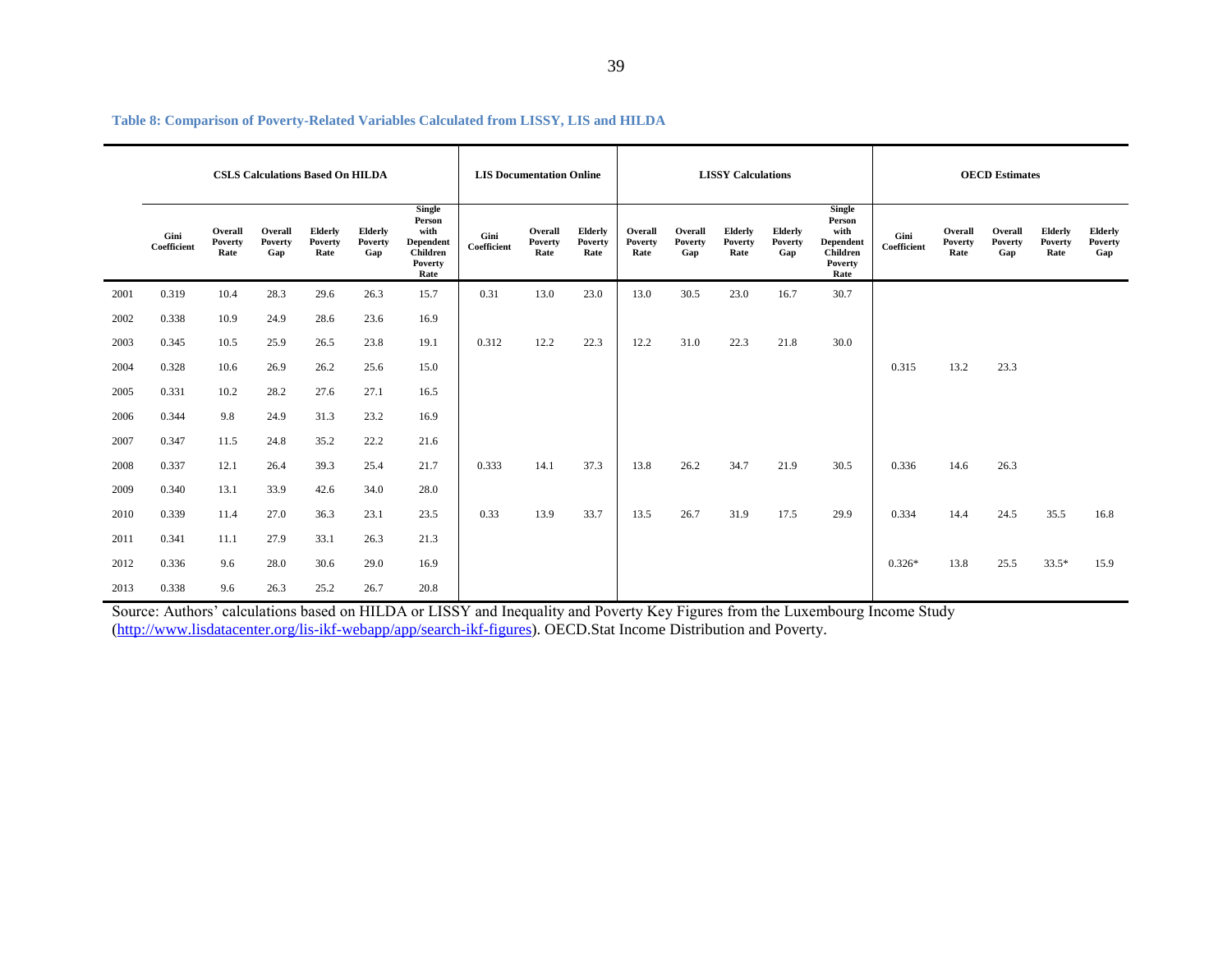|      | <b>CSLS Calculations Based On HILDA</b> |                                   |                           |                                   |                           |                                                                      | <b>LIS Documentation Online</b> |                            |                            | <b>LISSY Calculations</b>  |                           |                            |                           |                                                                             | <b>OECD</b> Estimates |                            |                           |                                          |                           |
|------|-----------------------------------------|-----------------------------------|---------------------------|-----------------------------------|---------------------------|----------------------------------------------------------------------|---------------------------------|----------------------------|----------------------------|----------------------------|---------------------------|----------------------------|---------------------------|-----------------------------------------------------------------------------|-----------------------|----------------------------|---------------------------|------------------------------------------|---------------------------|
|      | Gini<br>Coefficient                     | Overall<br><b>Poverty</b><br>Rate | Overall<br>Poverty<br>Gap | <b>Elderly</b><br>Poverty<br>Rate | Elderly<br>Poverty<br>Gap | Single<br>Person<br>with<br>Dependent<br>Children<br>Poverty<br>Rate | Gini<br>Coefficient             | Overall<br>Poverty<br>Rate | Elderly<br>Poverty<br>Rate | Overall<br>Poverty<br>Rate | Overall<br>Poverty<br>Gap | Elderly<br>Poverty<br>Rate | Elderly<br>Poverty<br>Gap | <b>Single</b><br>Person<br>with<br>Dependent<br>Children<br>Poverty<br>Rate | Gini<br>Coefficient   | Overall<br>Poverty<br>Rate | Overall<br>Poverty<br>Gap | <b>Elderly</b><br><b>Poverty</b><br>Rate | Elderly<br>Poverty<br>Gap |
| 2001 | 0.319                                   | 10.4                              | 28.3                      | 29.6                              | 26.3                      | 15.7                                                                 | 0.31                            | 13.0                       | 23.0                       | 13.0                       | 30.5                      | 23.0                       | 16.7                      | 30.7                                                                        |                       |                            |                           |                                          |                           |
| 2002 | 0.338                                   | 10.9                              | 24.9                      | 28.6                              | 23.6                      | 16.9                                                                 |                                 |                            |                            |                            |                           |                            |                           |                                                                             |                       |                            |                           |                                          |                           |
| 2003 | 0.345                                   | 10.5                              | 25.9                      | 26.5                              | 23.8                      | 19.1                                                                 | 0.312                           | 12.2                       | 22.3                       | 12.2                       | 31.0                      | 22.3                       | 21.8                      | 30.0                                                                        |                       |                            |                           |                                          |                           |
| 2004 | 0.328                                   | 10.6                              | 26.9                      | 26.2                              | 25.6                      | 15.0                                                                 |                                 |                            |                            |                            |                           |                            |                           |                                                                             | 0.315                 | 13.2                       | 23.3                      |                                          |                           |
| 2005 | 0.331                                   | 10.2                              | 28.2                      | 27.6                              | 27.1                      | 16.5                                                                 |                                 |                            |                            |                            |                           |                            |                           |                                                                             |                       |                            |                           |                                          |                           |
| 2006 | 0.344                                   | 9.8                               | 24.9                      | 31.3                              | 23.2                      | 16.9                                                                 |                                 |                            |                            |                            |                           |                            |                           |                                                                             |                       |                            |                           |                                          |                           |
| 2007 | 0.347                                   | 11.5                              | 24.8                      | 35.2                              | 22.2                      | 21.6                                                                 |                                 |                            |                            |                            |                           |                            |                           |                                                                             |                       |                            |                           |                                          |                           |
| 2008 | 0.337                                   | 12.1                              | 26.4                      | 39.3                              | 25.4                      | 21.7                                                                 | 0.333                           | 14.1                       | 37.3                       | 13.8                       | 26.2                      | 34.7                       | 21.9                      | 30.5                                                                        | 0.336                 | 14.6                       | 26.3                      |                                          |                           |
| 2009 | 0.340                                   | 13.1                              | 33.9                      | 42.6                              | 34.0                      | 28.0                                                                 |                                 |                            |                            |                            |                           |                            |                           |                                                                             |                       |                            |                           |                                          |                           |
| 2010 | 0.339                                   | 11.4                              | 27.0                      | 36.3                              | 23.1                      | 23.5                                                                 | 0.33                            | 13.9                       | 33.7                       | 13.5                       | 26.7                      | 31.9                       | 17.5                      | 29.9                                                                        | 0.334                 | 14.4                       | 24.5                      | 35.5                                     | 16.8                      |
| 2011 | 0.341                                   | 11.1                              | 27.9                      | 33.1                              | 26.3                      | 21.3                                                                 |                                 |                            |                            |                            |                           |                            |                           |                                                                             |                       |                            |                           |                                          |                           |
| 2012 | 0.336                                   | 9.6                               | 28.0                      | 30.6                              | 29.0                      | 16.9                                                                 |                                 |                            |                            |                            |                           |                            |                           |                                                                             | $0.326*$              | 13.8                       | 25.5                      | $33.5*$                                  | 15.9                      |
| 2013 | 0.338                                   | 9.6                               | 26.3                      | 25.2                              | 26.7                      | 20.8                                                                 |                                 |                            |                            |                            |                           |                            |                           |                                                                             |                       |                            |                           |                                          |                           |

**Table 8: Comparison of Poverty-Related Variables Calculated from LISSY, LIS and HILDA**

<span id="page-38-0"></span>Source: Authors' calculations based on HILDA or LISSY and Inequality and Poverty Key Figures from the Luxembourg Income Study [\(http://www.lisdatacenter.org/lis-ikf-webapp/app/search-ikf-figures\)](http://www.lisdatacenter.org/lis-ikf-webapp/app/search-ikf-figures). OECD.Stat Income Distribution and Poverty.